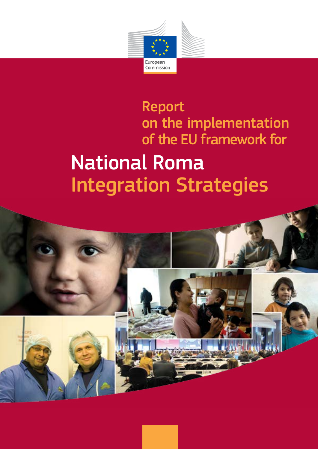

# Report on the implementation of the EU framework for

# National Roma Integration Strategies

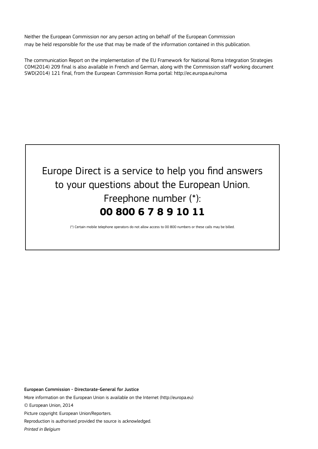Neither the European Commission nor any person acting on behalf of the European Commission may be held responsible for the use that may be made of the information contained in this publication.

The communication Report on the implementation of the EU Framework for National Roma Integration Strategies COM(2014) 209 final is also available in French and German, along with the Commission staff working document SWD(2014) 121 final, from the European Commission Roma portal: http://ec.europa.eu/roma



(\*) Certain mobile telephone operators do not allow access to 00 800 numbers or these calls may be billed.

European Commission - Directorate-General for Justice

More information on the European Union is available on the Internet (http://europa.eu)

© European Union, 2014

Picture copyright: European Union/Reporters.

Reproduction is authorised provided the source is acknowledged.

*Printed in Belgium*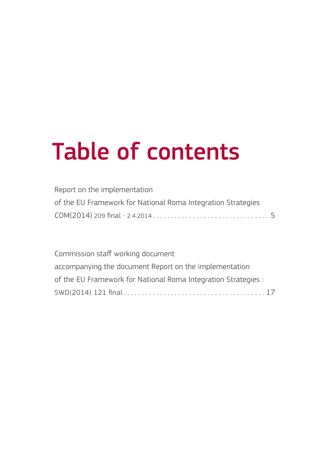# Table of contents

| Report on the implementation                                 |  |
|--------------------------------------------------------------|--|
| of the EU Framework for National Roma Integration Strategies |  |
|                                                              |  |

Commission staff working document accompanying the document Report on the implementation of the EU Framework for National Roma Integration Strategies : SWD(2014) 121 final. . 17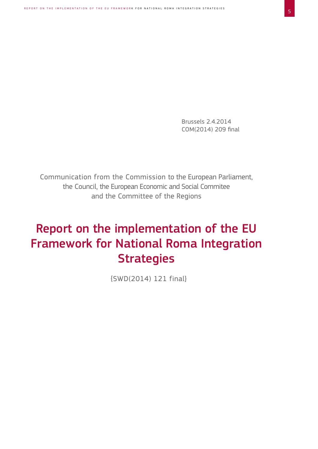Brussels 2.4.2014 COM(2014) 209 final

Communication from the Commission to the European Parliament, the Council, the European Economic and Social Commitee and the Committee of the Regions

## Report on the implementation of the EU Framework for National Roma Integration **Strategies**

{SWD(2014) 121 final}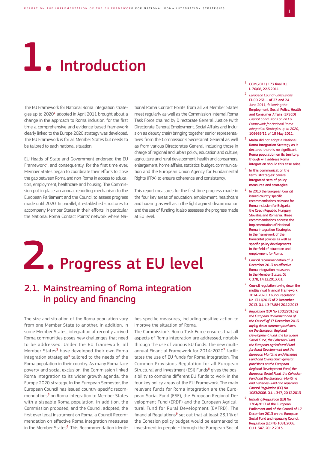# **1.** Introduction

The EU Framework for National Roma Integration strategies up to 2020<sup>1</sup> adopted in April 2011 brought about a change in the approach to Roma inclusion: for the first time a comprehensive and evidence-based framework clearly linked to the Europe 2020 strategy was developed. The EU Framework is for all Member States but needs to be tailored to each national situation.

EU Heads of State and Government endorsed the EU Framework<sup>2</sup>, and consequently, for the first time ever, Member States began to coordinate their efforts to close the gap between Roma and non-Roma in access to education, employment, healthcare and housing. The Commission put in place an annual reporting mechanism to the European Parliament and the Council to assess progress made until 2020. In parallel, it established structures to accompany Member States in their efforts, in particular the National Roma Contact Points' network where National Roma Contact Points from all 28 Member States meet regularly as well as the Commission-internal Roma Task Force chaired by Directorate General Justice (with Directorate General Employment, Social Affairs and Inclusion as deputy chair) bringing together senior representatives from the Commission's Secretariat General as well as from various Directorates General, including those in charge of regional and urban policy, education and culture, agriculture and rural development, health and consumers, enlargement, home affairs, statistics, budget, communication and the European Union Agency for Fundamental Rights (FRA) to ensure coherence and consistency.

This report measures for the first time progress made in the four key areas of education, employment, healthcare and housing, as well as in the fight against discrimination and the use of funding. It also assesses the progress made at EU level.

# 2. Progress at EU level

#### 2.1. Mainstreaming of Roma integration in policy and financing

The size and situation of the Roma population vary from one Member State to another. In addition, in some Member States, integration of recently arrived Roma communities poses new challenges that need to be addressed. Under the EU framework, all Member States<sup>3</sup> have developed their own Roma integration strategies<sup>4</sup> tailored to the needs of the Roma population in their country. As many Roma face poverty and social exclusion, the Commission linked Roma integration to its wider growth agenda, the Europe 2020 strategy. In the European Semester, the European Council has issued country-specific recommendations<sup>5</sup> on Roma integration to Member States with a sizeable Roma population. In addition, the Commission proposed, and the Council adopted, the first ever legal instrument on Roma, a Council Recommendation on effective Roma integration measures in the Member States<sup>6</sup>. This Recommendation identi-

fies specific measures, including positive action to improve the situation of Roma.

The Commission's Roma Task Force ensures that all aspects of Roma integration are addressed, notably through the use of various EU funds. The new multiannual Financial Framework for 2014-2020<sup>7</sup> facilitates the use of EU funds for Roma integration. The Common Provisions Regulation for all European Structural and Investment (ESI) Funds<sup>8</sup> gives the possibility to combine different EU funds to work in the four key policy areas of the EU Framework. The main relevant funds for Roma integration are the European Social Fund (ESF), the European Regional Development Fund (ERDF) and the European Agricultural Fund for Rural Development (EAFRD). The financial Regulations<sup>9</sup> set out that at least 23.1% of the Cohesion policy budget would be earmarked to investment in people - through the European Social

- $1$  COM(2011) 173 final O.J. L 76/68, 22.3.2011
- <sup>2</sup> *European Council Conclusions*  EUCO 23/11 of 23 and 24 June 2011, following the Employment, Social Policy, Health and Consumer Affairs (EPSCO) *Council Conclusions on an EU Framework for National Roma Integration Strategies up to 2020*, 106665/11 of 19 May 2011.
- 3 Malta did not adopt a National Roma Integration Strategy as it declared there is no significant Roma population on its territory, though will address Roma integration should this case arise.
- In this communication the term 'strategies' covers integrated sets of policy measures and strategies.
- <sup>5</sup> In 2013 the European Council issued country specific recommendations relevant for Roma inclusion for Bulgaria, the Czech Republic, Hungary, Slovakia and Romania. These recommendations address the implementation of National Roma Integration Strategies in the framework of the horizontal policies as well as specific policy developments in the field of education and employment for Roma.
- <sup>6</sup> Council recommendation of 9 December 2013 on effective Roma integration measures in the Member States, OJ C 378, 14.12.2013, 01.
- $7$  Council regulation laying down the multiannual financial framework 2014-2020 . Council regulation No 1311/2013 of 2 December 2013. O.J. L 347/884 20.12.2013
- <sup>8</sup> *Regulation (EU) No 1303/2013 of the European Parliament and of the Council of* 17 December 2013 *laying down common provisions on the European Regional Development Fund, the European Social Fund, the Cohesion Fund, the European Agricultural Fund for Rural Development and the European Maritime and Fisheries Fund and laying down general provisions on the European Regional Development Fund, the European Social Fund, the Cohesion Fund and the European Maritime and Fisheries Fund and repealing Council Regulation* (EC) No 1083/2006. O.J. L 347, 20.12.2013
- <sup>9</sup> Including Regulation (EU) No 1304/2013 of the European Parliament and of the Council of 17 December 2013 on the European Social Fund and repealing Council Regulation (EC) No 1081/2006. O.J. L 347, 20.12.2013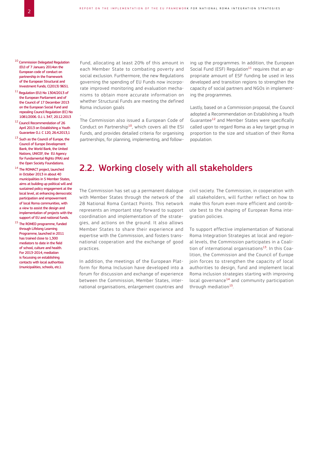- 10 Commission Delegated Regulation (EU) of 7 January 2014on the European code of conduct on partnership in the framework of the European Structural and Investment Funds; C(2013) 9651.
- $^{11}$  Regulation (EU) No 1304/2013 of the European Parliament and of the Council of 17 December 2013 on the European Social Fund and repealing Council Regulation (EC) No 1081/2006. 0.1.1.347, 20.12.2013

.

- 12 Council Recommendation of 26 April 2013 on Establishing a Youth Guarantee O.J. C 120, 26.4.2013,1
- $^{13}$  Such as the Council of Europe, the Council of Europe Development Bank, the World Bank, the United Nations, UNICEF the EU Agency for Fundamental Rights (FRA) and the Open Society Foundations.
- 14 The ROMACT project, launched in October 2013 in about 40 municipalities in 5 Member States, aims at building up political will and sustained policy engagement at the local level, at enhancing democratic participation and empowerment of local Roma communities, with a view to assist the design and implementation of projects with the support of EU and national funds.
- <sup>15</sup> The ROMED programme, funded through Lifelong Learning Programme, launched in 2011 has trained close to 1,300 mediators to date in the field of school, culture and health. For 2013-2014, mediation is focussing on establishing contacts with local authorities (municipalities, schools, etc.).

Fund, allocating at least 20% of this amount in each Member State to combating poverty and social exclusion. Furthermore, the new Regulations governing the spending of EU Funds now incorporate improved monitoring and evaluation mechanisms to obtain more accurate information on whether Structural Funds are meeting the defined Roma inclusion goals

The Commission also issued a European Code of Conduct on Partnership<sup>10</sup>, which covers all the ESI Funds, and provides detailed criteria for organising partnerships, for planning, implementing, and following up the programmes. In addition, the European Social Fund (ESF) Regulation $11$  requires that an appropriate amount of ESF funding be used in less developed and transition regions to strengthen the capacity of social partners and NGOs in implementing the programmes.

Lastly, based on a Commission proposal, the Council adopted a Recommendation on Establishing a Youth Guarantee<sup>12</sup> and Member States were specifically called upon to regard Roma as a key target group in proportion to the size and situation of their Roma population.

#### 2.2. Working closely with all stakeholders

The Commission has set up a permanent dialogue with Member States through the network of the 28 National Roma Contact Points. This network represents an important step forward to support coordination and implementation of the strategies, and actions on the ground. It also allows Member States to share their experience and expertise with the Commission, and fosters transnational cooperation and the exchange of good practices.

In addition, the meetings of the European Platform for Roma Inclusion have developed into a forum for discussion and exchange of experience between the Commission, Member States, international organisations, enlargement countries and

civil society. The Commission, in cooperation with all stakeholders, will further reflect on how to make this forum even more efficient and contribute best to the shaping of European Roma integration policies.

To support effective implementation of National Roma Integration Strategies at local and regional levels, the Commission participates in a Coalition of international organisations<sup>13</sup>. In this Coalition, the Commission and the Council of Europe join forces to strengthen the capacity of local authorities to design, fund and implement local Roma inclusion strategies starting with improving local governance<sup>14</sup> and community participation through mediation<sup>15</sup>.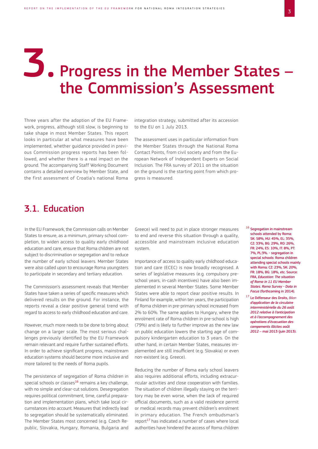# Progress in the Member States – the Commission's Assessment 3.

Three years after the adoption of the EU Framework, progress, although still slow, is beginning to take shape in most Member States. This report looks in particular at what measures have been implemented, whether guidance provided in previous Commission progress reports has been followed, and whether there is a real impact on the ground. The accompanying Staff Working Document contains a detailed overview by Member State, and the first assessment of Croatia's national Roma

integration strategy, submitted after its accession to the EU on 1 July 2013.

The assessment uses in particular information from the Member States through the National Roma Contact Points, from civil society and from the European Network of Independent Experts on Social Inclusion. The FRA survey of 2011 on the situation on the ground is the starting point from which progress is measured.

#### 3.1. Education

In the EU Framework, the Commission calls on Member States to ensure, as a minimum, primary school completion, to widen access to quality early childhood education and care, ensure that Roma children are not subject to discrimination or segregation and to reduce the number of early school leavers. Member States were also called upon to encourage Roma youngsters to participate in secondary and tertiary education.

The Commission's assessment reveals that Member States have taken a series of specific measures which delivered results on the ground. For instance, the reports reveal a clear positive general trend with regard to access to early childhood education and care.

However, much more needs to be done to bring about change on a larger scale. The most serious challenges previously identified by the EU Framework remain relevant and require further sustained efforts. In order to achieve significant progress, mainstream education systems should become more inclusive and more tailored to the needs of Roma pupils.

The persistence of segregation of Roma children in special schools or classes<sup>16</sup> remains a key challenge, with no simple and clear-cut solutions. Desegregation requires political commitment, time, careful preparation and implementation plans, which take local circumstances into account. Measures that indirectly lead to segregation should be systematically eliminated. The Member States most concerned (e.g. Czech Republic, Slovakia, Hungary, Romania, Bulgaria and

Greece) will need to put in place stronger measures to end and reverse this situation through a quality, accessible and mainstream inclusive education system.

Importance of access to quality early childhood education and care (ECEC) is now broadly recognised. A series of legislative measures (e.g. compulsory preschool years, in-cash incentives) have also been implemented in several Member States. Some Member States were able to report clear positive results. In Finland for example, within ten years, the participation of Roma children in pre-primary school increased from 2% to 60%. The same applies to Hungary, where the enrolment rate of Roma children in pre-school is high (79%) and is likely to further improve as the new law on public education lowers the starting age of compulsory kindergarten education to 3 years. On the other hand, in certain Member States, measures implemented are still insufficient (e.g. Slovakia) or even non-existent (e.g. Greece).

Reducing the number of Roma early school leavers also requires additional efforts, including extracurricular activities and close cooperation with families. The situation of children illegally staying on the territory may be even worse, when the lack of required official documents, such as a valid residence permit or medical records may prevent children's enrolment in primary education. The French ombudsman's  $report<sup>17</sup>$  has indicated a number of cases where local authorities have hindered the access of Roma children

- <sup>16</sup> Segregation in mainstream schools attended by Roma: SK: 58%, HU: 45%, EL: 35%, CZ: 33%, BG: 29%, RO: 26%, FR: 24%, ES: 10%, IT: 8%, PT: 7%, PL:3%. - segregation in special schools: Roma children attending special schools mainly with Roma: CZ: 23%, SK: 20%, FR: 18%, BG: 18%, etc. Source: FRA, *Education: The situation of Roma in 11 EU Member States. Roma Survey - Data in Focus* (forthcoming in 2014).
- <sup>17</sup> Le Défenseur des Droits, *Bilan d'application de la circulaire interministérielle du 26 août 2012 relative à l'anticipation et à l'accompagnement des opérations d'évacuation des campements illicites août 2012* – mai 2013 (juin 2013).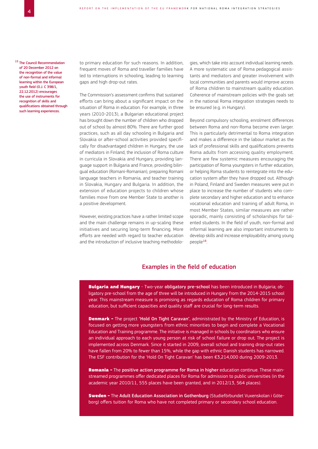<sup>18</sup> The Council Recommendation of 20 December 2012 on the recognition of the value of non-formal and informal learning within the European youth field (O.J. C 398/1, 22.12.2012) encourages the use of instruments for recognition of skills and qualifications obtained through such learning experiences.

to primary education for such reasons. In addition, frequent moves of Roma and traveller families have led to interruptions in schooling, leading to learning gaps and high drop-out rates.

The Commission's assessment confirms that sustained efforts can bring about a significant impact on the situation of Roma in education. For example, in three years (2010-2013), a Bulgarian educational project has brought down the number of children who dropped out of school by almost 80%. There are further good practices, such as all day schooling in Bulgaria and Slovakia or after-school activities provided specifically for disadvantaged children in Hungary, the use of mediators in Finland, the inclusion of Roma culture in curricula in Slovakia and Hungary, providing language support in Bulgaria and France, providing bilingual education (Romani-Romanian), preparing Romani language teachers in Romania, and teacher training in Slovakia, Hungary and Bulgaria. In addition, the extension of education projects to children whose families move from one Member State to another is a positive development.

However, existing practices have a rather limited scope and the main challenge remains in up-scaling these initiatives and securing long-term financing. More efforts are needed with regard to teacher education and the introduction of inclusive teaching methodologies, which take into account individual learning needs. A more systematic use of Roma pedagogical assistants and mediators and greater involvement with local communities and parents would improve access of Roma children to mainstream quality education. Coherence of mainstream policies with the goals set in the national Roma integration strategies needs to be ensured (e.g. in Hungary).

Beyond compulsory schooling, enrolment differences between Roma and non-Roma become even larger. This is particularly detrimental to Roma integration and makes a difference in the labour market as the lack of professional skills and qualifications prevents Roma adults from accessing quality employment. There are few systemic measures encouraging the participation of Roma youngsters in further education, or helping Roma students to reintegrate into the education system after they have dropped out. Although in Poland, Finland and Sweden measures were put in place to increase the number of students who complete secondary and higher education and to enhance vocational education and training of adult Roma, in most Member States, similar measures are rather sporadic, mainly consisting of scholarships for talented students. In the field of youth, non-formal and informal learning are also important instruments to develop skills and increase employability among young people<sup>18</sup>.

#### Examples in the field of education

**Bulgaria and Hungary** - Two-year obligatory pre-school has been introduced in Bulgaria; obligatory pre-school from the age of three will be introduced in Hungary from the 2014-2015 school year. This mainstream measure is promising as regards education of Roma children for primary education, but sufficient capacities and quality staff are crucial for long-term results.

**Denmark -** The project 'Hold On Tight Caravan', administrated by the Ministry of Education, is focused on getting more youngsters from ethnic minorities to begin and complete a Vocational Education and Training programme. The initiative is managed in schools by coordinators who ensure an individual approach to each young person at risk of school failure or drop out. The project is implemented across Denmark. Since it started in 2009, overall school and training drop-out rates have fallen from 20% to fewer than 15%, while the gap with ethnic Danish students has narrowed. The ESF contribution for the 'Hold On Tight Caravan' has been €3,214,000 during 2009-2013.

Romania - The positive action programme for Roma in higher education continue. These mainstreamed programmes offer dedicated places for Roma for admission to public universities (in the academic year 2010/11, 555 places have been granted, and in 2012/13, 564 places).

Sweden - The Adult Education Association in Gothenburg (Studieförbundet Vuxenskolan i Göteborg) offers tuition for Roma who have not completed primary or secondary school education.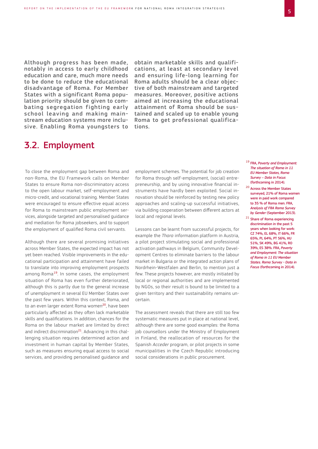Although progress has been made, notably in access to early childhood education and care, much more needs to be done to reduce the educational disadvantage of Roma. For Member States with a significant Roma population priority should be given to combating segregation fighting early school leaving and making mainstream education systems more inclusive. Enabling Roma youngsters to

3.2. Employment

obtain marketable skills and qualifications, at least at secondary level and ensuring life-long learning for Roma adults should be a clear objective of both mainstream and targeted measures. Moreover, positive actions aimed at increasing the educational attainment of Roma should be sustained and scaled up to enable young Roma to get professional qualifications.

To close the employment gap between Roma and non-Roma, the EU Framework calls on Member States to ensure Roma non-discriminatory access to the open labour market, self-employment and micro-credit, and vocational training. Member States were encouraged to ensure effective equal access for Roma to mainstream public employment services, alongside targeted and personalised guidance and mediation for Roma jobseekers, and to support the employment of qualified Roma civil servants.

Although there are several promising initiatives across Member States, the expected impact has not yet been reached. Visible improvements in the educational participation and attainment have failed to translate into improving employment prospects among Roma<sup>19</sup>. In some cases, the employment situation of Roma has even further deteriorated, although this is partly due to the general increase of unemployment in several EU Member States over the past few years. Within this context, Roma, and to an even larger extent Roma women<sup>20</sup>, have been particularly affected as they often lack marketable skills and qualifications. In addition, chances for the Roma on the labour market are limited by direct and indirect discrimination<sup>21</sup>. Advancing in this challenging situation requires determined action and investment in human capital by Member States, such as measures ensuring equal access to social services, and providing personalised guidance and

employment schemes. The potential for job creation for Roma through self-employment, (social) entrepreneurship, and by using innovative financial instruments have hardly been exploited. Social innovation should be reinforced by testing new policy approaches and scaling-up successful initiatives, via building cooperation between different actors at local and regional levels.

Lessons can be learnt from successful projects, for example the *Thara* information platform in Austria, a pilot project stimulating social and professional activation pathways in Belgium, Community Development Centres to eliminate barriers to the labour market in Bulgaria or the integrated action plans of Nordrhein-Westfalen and Berlin, to mention just a few. These projects however, are mostly initiated by local or regional authorities and are implemented by NGOs, so their result is bound to be limited to a given territory and their sustainability remains uncertain.

The assessment reveals that there are still too few systematic measures put in place at national level, although there are some good examples: the Roma job counsellors under the Ministry of Employment in Finland, the reallocation of resources for the Spanish *Acceder* program, or pilot projects in some municipalities in the Czech Republic introducing social considerations in public procurement.

- <sup>19</sup> FRA, *Poverty and Employment: The situation of Roma in 11 EU Member States, Roma Survey – Data in Focus* (forthcoming in 2014).
- <sup>20</sup> Across the Member States surveyed, 21% of Roma women were in paid work compared to 35 % of Roma men. FRA, *Analysis of FRA Roma Survey by Gender* (September 2013).
- <sup>21</sup> Share of Roma experiencing discrimination in the past 5 years when looking for work: CZ 74%, EL 68%, IT 66%, FR 65%, PL 64%, PT 56%, HU 51%, SK 49%, BG 41%, RO 39%, ES 38%. FRA, *Poverty and Employment: The situation of Roma in 11 EU Member States. Roma Survey - Data in Focus* (forthcoming in 2014).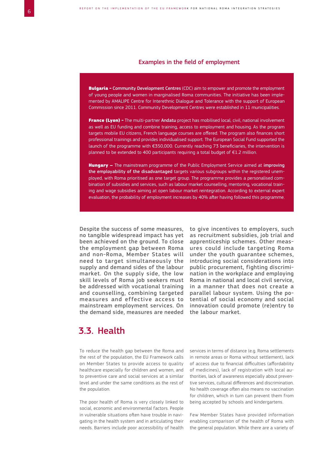#### Examples in the field of employment

**Bulgaria - Community Development Centres (CDC) aim to empower and promote the employment** of young people and women in marginalised Roma communities. The initiative has been implemented by AMALIPE Centre for Interethnic Dialogue and Tolerance with the support of European Commission since 2011. Community Development Centres were established in 11 municipalities.

France (Lyon) - The multi-partner Andatu project has mobilised local, civil, national involvement as well as EU funding and combine training, access to employment and housing. As the program targets mobile EU citizens, French language courses are offered. The program also finances short professional trainings and provides individualised support. The European Social Fund supported the launch of the programme with €350,000. Currently reaching 73 beneficiaries, the intervention is planned to be extended to 400 participants requiring a total budget of €1.2 million.

Hungary – The mainstream programme of the Public Employment Service aimed at improving the employability of the disadvantaged targets various subgroups within the registered unemployed, with Roma prioritised as one target group. The programme provides a personalised combination of subsidies and services, such as labour market counselling, mentoring, vocational training and wage subsidies aiming at open labour market reintegration. According to external expert evaluation, the probability of employment increases by 40% after having followed this programme.

Despite the success of some measures, no tangible widespread impact has yet been achieved on the ground. To close the employment gap between Roma and non-Roma, Member States will need to target simultaneously the supply and demand sides of the labour market. On the supply side, the low skill levels of Roma job seekers must be addressed with vocational training and counselling, combining targeted measures and effective access to mainstream employment services. On the demand side, measures are needed

to give incentives to employers, such as recruitment subsidies, job trial and apprenticeship schemes. Other measures could include targeting Roma under the youth guarantee schemes, introducing social considerations into public procurement, fighting discrimination in the workplace and employing Roma in national and local civil service, in a manner that does not create a parallel labour system. Using the potential of social economy and social innovation could promote (re)entry to the labour market.

#### 3.3. Health

To reduce the health gap between the Roma and the rest of the population, the EU Framework calls on Member States to provide access to quality healthcare especially for children and women, and to preventive care and social services at a similar level and under the same conditions as the rest of the population.

The poor health of Roma is very closely linked to social, economic and environmental factors. People in vulnerable situations often have trouble in navigating in the health system and in articulating their needs. Barriers include poor accessibility of health services in terms of distance (e.g. Roma settlements in remote areas or Roma without settlement), lack of access due to financial difficulties (affordability of medicines), lack of registration with local authorities, lack of awareness especially about preventive services, cultural differences and discrimination. No health coverage often also means no vaccination for children, which in turn can prevent them from being accepted by schools and kindergartens.

Few Member States have provided information enabling comparison of the health of Roma with the general population. While there are a variety of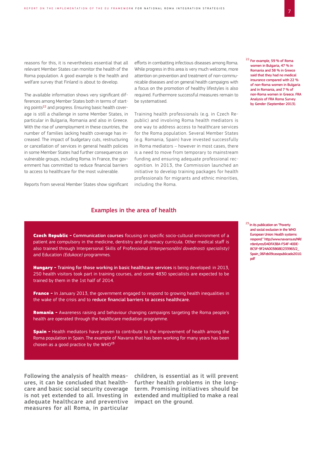reasons for this, it is nevertheless essential that all relevant Member States can monitor the health of the Roma population. A good example is the health and welfare survey that Finland is about to develop.

The available information shows very significant differences among Member States both in terms of starting points<sup>22</sup> and progress. Ensuring basic health coverage is still a challenge in some Member States, in particular in Bulgaria, Romania and also in Greece. With the rise of unemployment in these countries, the number of families lacking health coverage has increased. The impact of budgetary cuts, restructuring or cancellation of services in general health policies in some Member States had further consequences on vulnerable groups, including Roma. In France, the government has committed to reduce financial barriers to access to healthcare for the most vulnerable.

Reports from several Member States show significant

efforts in combatting infectious diseases among Roma. While progress in this area is very much welcome, more attention on prevention and treatment of non-communicable diseases and on general health campaigns with a focus on the promotion of healthy lifestyles is also required. Furthermore successful measures remain to be systematised.

Training health professionals (e.g. in Czech Republic) and involving Roma health mediators is one way to address access to healthcare services for the Roma population. Several Member States (e.g. Romania, Spain) have invested successfully in Roma mediators – however in most cases, there is a need to move from temporary to mainstream funding and ensuring adequate professional recognition. In 2013, the Commission launched an initiative to develop training packages for health professionals for migrants and ethnic minorities, including the Roma.

#### 22 For example, 59 % of Roma women in Bulgaria, 47 % in Romania and 38 % in Greece said that they had no medical insurance compared with 22 % of non-Roma women in Bulgaria and in Romania, and 7 % of non-Roma women in Greece. FRA Analysis of FRA Roma Survey by Gender (September 2013).

#### Examples in the area of health

Czech Republic - Communication courses focusing on specific socio-cultural environment of a patient are compulsory in the medicine, dentistry and pharmacy curricula. Other medical staff is also trained through Interpersonal Skills of Professional *(Interpersonální dovednosti specialisty)* and Education *(Edukace)* programmes.

Hungary - Training for those working in basic healthcare services is being developed: in 2013, 250 health visitors took part in training courses, and some 4830 specialists are expected to be trained by them in the 1st half of 2014.

France - In January 2013, the government engaged to respond to growing health inequalities in the wake of the crisis and to reduce financial barriers to access healthcare.

Romania - Awareness raising and behaviour changing campaigns targeting the Roma people's health are operated through the healthcare mediation programme.

**Spain -** Health mediators have proven to contribute to the improvement of health among the Roma population in Spain. The example of Navarra that has been working for many years has been chosen as a good practice by the  $WHO^{23}$ 

Following the analysis of health measures, it can be concluded that healthcare and basic social security coverage is not yet extended to all. Investing in adequate healthcare and preventive measures for all Roma, in particular

children, is essential as it will prevent further health problems in the longterm. Promising initiatives should be extended and multiplied to make a real impact on the ground.

<sup>23</sup> In its publication on "Poverty and social exclusion in the WHO European Union: Health systems [respond." http://www.navarra.es/NR/](http://www.navarra.es/NR/rdonlyres/D4DFA3BA-F54F-40DE-8C5F-9F24A003868E/233965/2_Spain_06Feb09casopublicado2010.pdf) rdonlyres/D4DFA3BA-F54F-40DE-8C5F-9F24A003868E/233965/2\_ Spain\_06Feb09casopublicado2010. pdf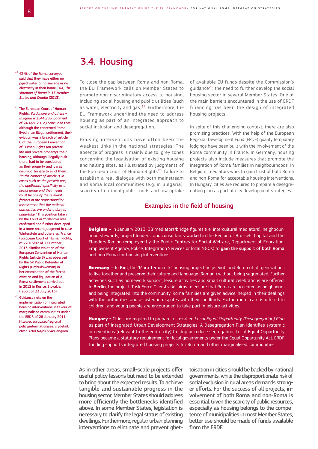24 42 % of the Roma surveyed said that they have either no piped water or no sewage or no electricity in their home. FRA, *The situation of Roma in 15 Member States and Croatia* (2013).

25 The European Court of Human Rights, *Yordanova and others v. Bulgaria* n°25446/06 judgment of 24 April 2012,) concluded that although the concerned Roma lived in an illegal settlement, their eviction was a breach of article 8 of the European Convention of Human Rights (on private life and private property): their housing, although illegally built there, had to be considered as their property and it was disproportionate to evict them. *"In the context of Article 8, in cases such as the present one, the applicants' specificity as a social group and their needs must be one of the relevant factors in the proportionality assessment that the national authorities are under a duty to undertake."* This position taken by the Court in Yordanova was confirmed and further developed in a more recent judgment in case Winterstein and others vs. France (European Court of Human Rights, n° 27013/07 of 17 October 2013. Similar violation of the European Convention of Human Rights (article 8) was observed by the SK Public Defender of Rights (Ombudswoman) in her examination of the forced eviction and liquidation of a Roma settlement carried out in 2012 in Kosice, Slovakia (report of 23 July 2013).

26 Guidance note on the implementation of integrated housing interventions in favour of marginalised communities under the ERDF, of 28 January 2011. http://ec.europa.eu/regional\_ [policy/information/search/detail.](http://ec.europa.eu/regional_policy/information/search/detail.cfm?LAN=EN&id=354&lang=en) cfm?LAN=EN&id=354&lang=en

#### 3.4. Housing

To close the gap between Roma and non-Roma, the EU Framework calls on Member States to promote non-discriminatory access to housing, including social housing and public utilities (such as water, electricity and gas) $24$ . Furthermore, the EU Framework underlined the need to address housing as part of an integrated approach to social inclusion and desegregation.

Housing interventions have often been the weakest links in the national strategies. The absence of progress is mainly due to: grey zones concerning the legalisation of existing housing and halting sites, as illustrated by judgments of the European Court of Human Rights<sup>25</sup>; failure to establish a real dialogue with both mainstream and Roma local communities (e.g. in Bulgaria); scarcity of national public funds and low uptake of available EU funds despite the Commission's guidance<sup>26</sup>; the need to further develop the social housing sector in several Member States. One of the main barriers encountered in the use of ERDF financing has been the design of integrated housing projects.

In spite of this challenging context, there are also promising practices. With the help of the European Regional Development Fund (ERDF) quality temporary lodgings have been built with the involvement of the Roma community in France. In Germany, housing projects also include measures that promote the integration of Roma families in neighbourhoods. In Belgium, mediators work to gain trust of both Roma and non-Roma for acceptable housing interventions. In Hungary, cities are required to prepare a desegregation plan as part of city development strategies.

#### Examples in the field of housing

Belgium - In January 2013, 38 mediators/bridge figures (i.e. intercultural mediators), neighbourhood stewards, project leaders, and consultants worked in the Region of Brussels Capital and the Flanders Region (employed by the Public Centres for Social Welfare, Department of Education, Employment Agency, Police, Integration Services or local NGOs) to gain the support of both Roma and non Roma for housing interventions.

Germany – In Kiel, the 'Maro Temm e.G.' housing project helps Sinti and Roma of all generations to live together and preserve their culture and language (Romani) without being segregated. Further activities such as homework support, leisure activities and small cultural celebrations are offered. In Berlin, the project 'Task Force Okerstraße' aims to ensure that Roma are accepted as neighbours and being integrated into the community. Roma families are given advice, helped in their dealings with the authorities and assisted in disputes with their landlords. Furthermore, care is offered to children, and young people are encouraged to take part in leisure activities.

Hungary - Cities are required to prepare a so-called *Local Equal Opportunity (Desegregation) Plan* as part of Integrated Urban Development Strategies. A Desegregation Plan identifies systemic interventions (relevant to the entire city) to stop or reduce segregation. Local Equal Opportunity Plans became a statutory requirement for local governments under the Equal Opportunity Act. ERDF funding supports integrated housing projects for Roma and other marginalised communities.

As in other areas, small-scale projects offer useful policy lessons but need to be extended to bring about the expected results. To achieve tangible and sustainable progress in the housing sector, Member States should address more efficiently the bottlenecks identified above. In some Member States, legislation is necessary to clarify the legal status of existing dwellings. Furthermore, regular urban planning interventions to eliminate and prevent ghet-

toisation in cities should be backed by national governments, while the disproportionate risk of social exclusion in rural areas demands stronger efforts. For the success of all projects, involvement of both Roma and non-Roma is essential. Given the scarcity of public resources, especially as housing belongs to the competence of municipalities in most Member States, better use should be made of funds available from the ERDF.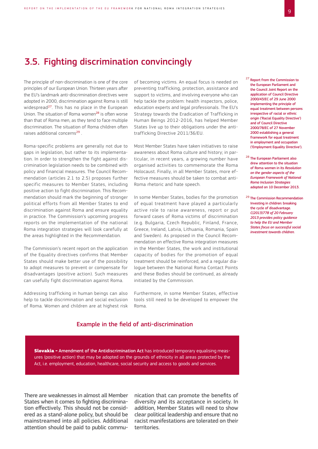#### 3.5. Fighting discrimination convincingly

The principle of non-discrimination is one of the core principles of our European Union. Thirteen years after the EU's landmark anti-discrimination directives were adopted in 2000, discrimination against Roma is still widespread<sup>27</sup>. This has no place in the European Union. The situation of Roma women<sup>28</sup> is often worse than that of Roma men, as they tend to face multiple discrimination. The situation of Roma children often raises additional concerns<sup>29</sup>

Roma-specific problems are generally not due to gaps in legislation, but rather to its implementation. In order to strengthen the fight against discrimination legislation needs to be combined with policy and financial measures. The Council Recommendation (articles 2.1 to 2.5) proposes further specific measures to Member States, including positive action to fight discrimination. This Recommendation should mark the beginning of stronger political efforts from all Member States to end discrimination against Roma and ensure equality in practice. The Commission's upcoming progress reports on the implementation of the national Roma integration strategies will look carefully at the areas highlighted in the Recommendation.

The Commission's recent report on the application of the Equality directives confirms that Member States should make better use of the possibility to adopt measures to prevent or compensate for disadvantages (positive action). Such measures can usefully fight discrimination against Roma.

Addressing trafficking in human beings can also help to tackle discrimination and social exclusion of Roma. Women and children are at highest risk of becoming victims. An equal focus is needed on preventing trafficking, protection, assistance and support to victims, and involving everyone who can help tackle the problem: health inspectors, police, education experts and legal professionals. The EU's Strategy towards the Eradication of Trafficking in Human Beings 2012-2016, has helped Member States live up to their obligations under the antitrafficking Directive 2011/36/EU.

Most Member States have taken initiatives to raise awareness about Roma culture and history; in particular, in recent years, a growing number have organised activities to commemorate the Roma Holocaust. Finally, in all Member States, more effective measures should be taken to combat anti-Roma rhetoric and hate speech.

In some Member States, bodies for the promotion of equal treatment have played a particularly active role to raise awareness, report or put forward cases of Roma victims of discrimination (e.g. Bulgaria, Czech Republic, Finland, France, Greece, Ireland, Latvia, Lithuania, Romania, Spain and Sweden). As proposed in the Council Recommendation on effective Roma integration measures in the Member States, the work and institutional capacity of bodies for the promotion of equal treatment should be reinforced, and a regular dialogue between the National Roma Contact Points and these Bodies should be continued, as already initiated by the Commission.

Furthermore, in some Member States, effective tools still need to be developed to empower the Roma.

#### Example in the field of anti-discrimination

**Slovakia - Amendment of the Antidiscrimination Act has introduced temporary equalising meas**ures (positive action) that may be adopted on the grounds of ethnicity in all areas protected by the Act, i.e. employment, education, healthcare, social security and access to goods and services.

There are weaknesses in almost all Member States when it comes to fighting discrimination effectively. This should not be considered as a stand-alone policy, but should be mainstreamed into all policies. Additional attention should be paid to public communication that can promote the benefits of diversity and its acceptance in society. In addition, Member States will need to show clear political leadership and ensure that no racist manifestations are tolerated on their territories.

<sup>27</sup> Report from the Commission to the European Parliament and the Council Joint Report on the application of Council Directive 2000/43/EC of 29 June 2000 implementing the principle of equal treatment between persons irrespective of racial or ethnic origin ('Racial Equality Directive') and of Council Directive 2000/78/EC of 27 November 2000 establishing a general framework for equal treatment in employment and occupation ('Employment Equality Directive').

- 28 The European Parliament also drew attention to the situation of Roma women in its *Resolution on the gender aspects of the European Framework of National Roma Inclusion Strategies*  adopted on 10 December 2013.
- <sup>29</sup> The Commission Recommendation Investing in children: breaking the cycle of disadvantage. *C(2013)778 of 20 February 2013 provides policy guidance to help the EU and Member States focus on successful social investment towards children.*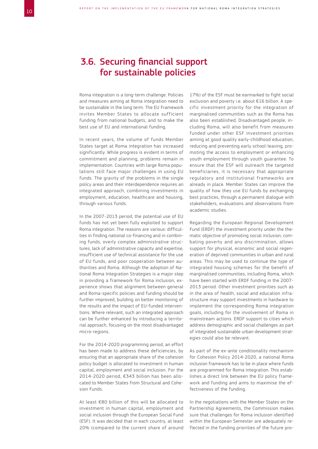#### 3.6. Securing financial support for sustainable policies

Roma integration is a long-term challenge. Policies and measures aiming at Roma integration need to be sustainable in the long term. The EU Framework invites Member States to allocate sufficient funding from national budgets, and to make the best use of EU and international funding.

In recent years, the volume of funds Member States target at Roma integration has increased significantly. While progress is evident in terms of commitment and planning, problems remain in implementation. Countries with large Roma populations still face major challenges in using EU funds. The gravity of the problems in the single policy areas and their interdependence requires an integrated approach, combining investments in employment, education, healthcare and housing, through various funds.

In the 2007-2013 period, the potential use of EU funds has not yet been fully exploited to support Roma integration. The reasons are various: difficulties in finding national co-financing and in combining funds, overly complex administrative structures, lack of administrative capacity and expertise, insufficient use of technical assistance for the use of EU funds, and poor cooperation between authorities and Roma. Although the adoption of National Roma Integration Strategies is a major step in providing a framework for Roma inclusion, experience shows that alignment between general and Roma-specific policies and funding should be further improved, building on better monitoring of the results and the impact of EU-funded interventions. Where relevant, such an integrated approach can be further enhanced by introducing a territorial approach, focusing on the most disadvantaged micro-regions.

For the 2014-2020 programming period, an effort has been made to address these deficiencies, by ensuring that an appropriate share of the cohesion policy budget is allocated to investment in human capital, employment and social inclusion. For the 2014-2020 period, €343 billion has been allocated to Member States from Structural and Cohesion Funds.

At least €80 billion of this will be allocated to investment in human capital, employment and social inclusion through the European Social Fund (ESF). It was decided that in each country, at least 20% (compared to the current share of around

17%) of the ESF must be earmarked to fight social exclusion and poverty i.e. about €16 billion. A specific investment priority for the integration of marginalised communities such as the Roma has also been established. Disadvantaged people, including Roma, will also benefit from measures funded under other ESF investment priorities aiming at good quality early-childhood education, reducing and preventing early school-leaving, promoting the access to employment or enhancing youth employment through youth guarantee. To ensure that the ESF will outreach the targeted beneficiaries, it is necessary that appropriate regulatory and institutional frameworks are already in place. Member States can improve the quality of how they use EU funds by exchanging best practices, through a permanent dialogue with stakeholders, evaluations and observations from academic studies.

Regarding the European Regional Development Fund (ERDF) the investment priority under the thematic objective of promoting social inclusion, combating poverty and any discrimination, allows support for physical, economic and social regeneration of deprived communities in urban and rural areas. This may be used to continue the type of integrated housing schemes for the benefit of marginalised communities, including Roma, which have been started with ERDF funding in the 2007- 2013 period. Other investment priorities such as in the area of health, social and education infrastructure may support investments in hardware to implement the corresponding Roma integration goals, including for the involvement of Roma in mainstream actions. ERDF support to cities which address demographic and social challenges as part of integrated sustainable urban development strategies could also be relevant.

As part of the ex-ante conditionality mechanism for Cohesion Policy 2014-2020, a national Roma inclusion framework has to be in place where funds are programmed for Roma integration. This establishes a direct link between the EU policy framework and funding and aims to maximise the effectiveness of the funding.

In the negotiations with the Member States on the Partnership Agreements, the Commission makes sure that challenges for Roma inclusion identified within the European Semester are adequately reflected in the funding priorities of the future pro-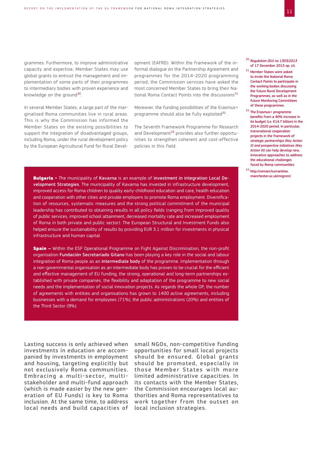grammes. Furthermore, to improve administrative capacity and expertise, Member States may use global grants to entrust the management and implementation of some parts of their programmes to intermediary bodies with proven experience and knowledge on the ground<sup>30</sup>.

In several Member States, a large part of the marginalised Roma communities live in rural areas. This is why the Commission has informed the Member States on the existing possibilities to support the integration of disadvantaged groups, including Roma, under the rural development policy by the European Agricultural Fund for Rural Devel-

opment (EAFRD). Within the framework of the informal dialogue on the Partnership Agreement and programmes for the 2014-2020 programming period, the Commission services have asked the most concerned Member States to bring their National Roma Contact Points into the discussions<sup>31</sup>

Moreover, the funding possibilities of the Erasmus+ programme should also be fully exploited<sup>32</sup>.

The Seventh Framework Programme for Research and Development<sup>33</sup> provides also further opportunities to strengthen coherent and cost-effective policies in this field.

**Bulgaria** - The municipality of Kavarna is an example of investment in integration Local Development Strategies. The municipality of Kavarna has invested in infrastructure development, improved access for Roma children to quality early-childhood education and care, health education and cooperation with other cities and private employers to promote Roma employment. Diversification of resources, systematic measures and the strong political commitment of the municipal leadership has contributed to obtaining results in all policy fields (ranging from improved quality of public services, improved school attainment, decreased mortality rate and increased employment of Roma in both private and public sector). The European Structural and Investment Funds also helped ensure the sustainability of results by providing EUR 3.1 million for investments in physical infrastructure and human capital.

**Spain –** Within the ESF Operational Programme on Fight Against Discrimination, the non-profit organisation Fundación Secretariado Gitano has been playing a key role in the social and labour integration of Roma people as an intermediate body of the programme. Implementation through a non-governmental organisation as an intermediate body has proven to be crucial for the efficient and effective management of EU funding, the strong, operational and long-term partnerships established with private companies, the flexibility and adaptation of the programme to new social needs and the implementation of social innovation projects. As regards the whole OP, the number of agreements with entities and organisations has grown to 1400 active agreements, including businesses with a demand for employees (71%), the public administrations (20%) and entities of the Third Sector (9%).

Lasting success is only achieved when investments in education are accompanied by investments in employment and housing, targeting explicitly but not exclusively Roma communities. Embracing a multi-sector, multistakeholder and multi-fund approach (which is made easier by the new generation of EU Funds) is key to Roma inclusion. At the same time, to address local needs and build capacities of

small NGOs, non-competitive funding opportunities for small local projects should be ensured. Global grants should be promoted, especially in those Member States with more limited administrative capacities. In its contacts with the Member States, the Commission encourages local authorities and Roma representatives to work together from the outset on local inclusion strategies.

<sup>30</sup>*Regulation (EU) no 1303/2013*  of 17 December 2013 op. cit.

- 31 Member States were asked to invite the National Roma Contact Points to participate in the working bodies discussing the future Rural Development Programmes, as well as in the future Monitoring Committees of these programmes.
- 32 The Erasmus+ programme benefits from a 40% increase in its budget (i.e. €14.7 billion) in the 2014-2020 period. In particular, transnational cooperation projects in the framework of *strategic partnerships (Key Action II) and prospective initiatives (Key Action III)* can help develop new, innovative approaches to address the educational challenges faced by Roma communities.
- 33 [http://romani.humanities.](http://romani.humanities.manchester.ac.uk/migrom/) manchester.ac.uk/migrom/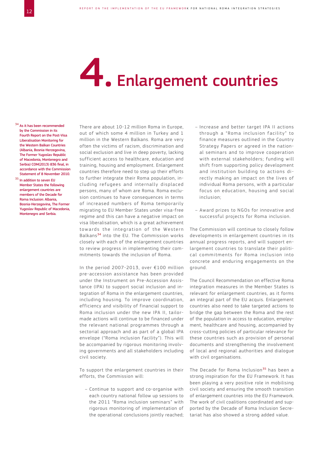# 4. Enlargement countries

#### <sup>34</sup> As it has been recommended by the Commission in its Fourth Report on the Post-Visa Liberalisation Monitoring for the Western Balkan Countries (Albania, Bosnia-Herzegovina, The Former Yugoslav Republic of Macedonia, Montenegro and Serbia) COM(2013) 836 final, in accordance with the Commission Statement of 8 November 2010.

35 In addition to seven EU Member States the following enlargement countries are members of the Decade for Roma Inclusion: Albania, Bosnia-Herzegovina, The Former Yugoslav Republic of Macedonia, Montenegro and Serbia.

There are about 10-12 million Roma in Europe, out of which some 4 million in Turkey and 1 million in the Western Balkans. Roma are very often the victims of racism, discrimination and social exclusion and live in deep poverty, lacking sufficient access to healthcare, education and training, housing and employment. Enlargement countries therefore need to step up their efforts to further integrate their Roma population, including refugees and internally displaced persons, many of whom are Roma. Roma exclusion continues to have consequences in terms of increased numbers of Roma temporarily migrating to EU Member States under visa-free regime and this can have a negative impact on visa liberalisation, which is a great achievement towards the integration of the Western Balkans<sup>34</sup> into the EU. The Commission works closely with each of the enlargement countries to review progress in implementing their commitments towards the inclusion of Roma.

In the period 2007-2013, over €100 million pre-accession assistance has been provided under the Instrument on Pre-Accession Assistance (IPA) to support social inclusion and integration of Roma in the enlargement countries, including housing. To improve coordination, efficiency and visibility of financial support to Roma inclusion under the new IPA II, tailormade actions will continue to be financed under the relevant national programmes through a sectorial approach and as part of a global IPA envelope ("Roma inclusion facility"). This will be accompanied by rigorous monitoring involving governments and all stakeholders including civil society.

To support the enlargement countries in their efforts, the Commission will:

– Continue to support and co-organise with each country national follow up sessions to the 2011 "Roma inclusion seminars" with rigorous monitoring of implementation of the operational conclusions jointly reached;

- Increase and better target IPA II actions through a "Roma inclusion facility" to finance measures outlined in the Country Strategy Papers or agreed in the national seminars and to improve cooperation with external stakeholders; funding will shift from supporting policy development and institution building to actions directly making an impact on the lives of individual Roma persons, with a particular focus on education, housing and social inclusion;
- Award prizes to NGOs for innovative and successful projects for Roma inclusion.

The Commission will continue to closely follow developments in enlargement countries in its annual progress reports, and will support enlargement countries to translate their political commitments for Roma inclusion into concrete and enduring engagements on the ground.

The Council Recommendation on effective Roma integration measures in the Member States is relevant for enlargement countries, as it forms an integral part of the EU acquis. Enlargement countries also need to take targeted actions to bridge the gap between the Roma and the rest of the population in access to education, employment, healthcare and housing, accompanied by cross-cutting policies of particular relevance for these countries such as provision of personal documents and strengthening the involvement of local and regional authorities and dialogue with civil organisations.

The Decade for Roma Inclusion<sup>35</sup> has been a strong inspiration for the EU Framework. It has been playing a very positive role in mobilising civil society and ensuring the smooth transition of enlargement countries into the EU Framework. The work of civil coalitions coordinated and supported by the Decade of Roma Inclusion Secretariat has also showed a strong added value.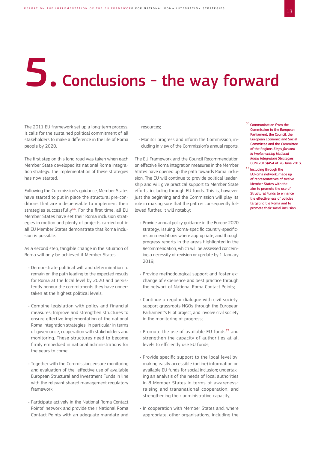# 5. Conclusions - the way forward

The 2011 EU framework set up a long-term process. It calls for the sustained political commitment of all stakeholders to make a difference in the life of Roma people by 2020.

The first step on this long road was taken when each Member State developed its national Roma integration strategy. The implementation of these strategies has now started.

Following the Commission's guidance, Member States have started to put in place the structural pre-conditions that are indispensable to implement their strategies successfully<sup>36</sup>. For the first time, all EU Member States have set their Roma inclusion strategies in motion and plenty of projects carried out in all EU Member States demonstrate that Roma inclusion is possible.

As a second step, tangible change in the situation of Roma will only be achieved if Member States:

- Demonstrate political will and determination to remain on the path leading to the expected results for Roma at the local level by 2020 and persistently honour the commitments they have undertaken at the highest political levels;
- Combine legislation with policy and financial measures; Improve and strengthen structures to ensure effective implementation of the national Roma integration strategies, in particular in terms of governance, cooperation with stakeholders and monitoring. These structures need to become firmly embedded in national administrations for the years to come;
- Together with the Commission, ensure monitoring and evaluation of the effective use of available European Structural and Investment Funds in line with the relevant shared management regulatory framework;
- Participate actively in the National Roma Contact Points' network and provide their National Roma Contact Points with an adequate mandate and

resources;

• Monitor progress and inform the Commission, including in view of the Commission's annual reports.

The EU Framework and the Council Recommendation on effective Roma integration measures in the Member States have opened up the path towards Roma inclusion. The EU will continue to provide political leadership and will give practical support to Member State efforts, including through EU funds. This is, however, just the beginning and the Commission will play its role in making sure that the path is consequently followed further. It will notably:

- Provide annual policy guidance in the Europe 2020 strategy, issuing Roma-specific country-specificrecommendations where appropriate, and through progress reports in the areas highlighted in the Recommendation, which will be assessed concerning a necessity of revision or up-date by 1 January 2019;
- Provide methodological support and foster exchange of experience and best practice through the network of National Roma Contact Points;
- Continue a regular dialogue with civil society, support grassroots NGOs through the European Parliament's Pilot project, and involve civil society in the monitoring of progress;
- Promote the use of available EU funds<sup>37</sup> and strengthen the capacity of authorities at all levels to efficiently use EU funds;
- Provide specific support to the local level by: making easily accessible (online) information on available EU funds for social inclusion; undertaking an analysis of the needs of local authorities in 8 Member States in terms of awarenessraising and transnational cooperation; and strengthening their administrative capacity;
- In cooperation with Member States and, where appropriate, other organisations, including the
- <sup>36</sup> Communication from the Commission to the European Parliament, the Council, the European Economic and Social Committee and the Committee of the Regions *Steps forward in implementing National Roma Integration Strategies*  COM(2013)454 of 26 June 2013.
- 37 Including through the EURoma network, made up of representatives of twelve Member States with the aim to promote the use of Structural Funds to enhance the effectiveness of policies targeting the Roma and to promote their social inclusion.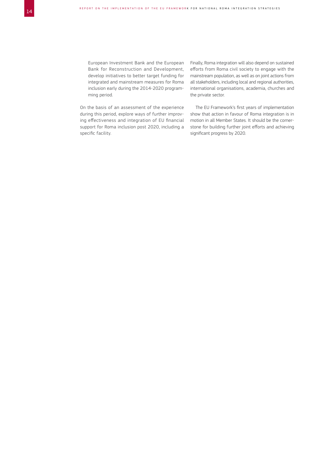European Investment Bank and the European Bank for Reconstruction and Development, develop initiatives to better target funding for integrated and mainstream measures for Roma inclusion early during the 2014-2020 programming period.

On the basis of an assessment of the experience during this period, explore ways of further improving effectiveness and integration of EU financial support for Roma inclusion post 2020, including a specific facility.

Finally, Roma integration will also depend on sustained efforts from Roma civil society to engage with the mainstream population, as well as on joint actions from all stakeholders, including local and regional authorities, international organisations, academia, churches and the private sector.

The EU Framework's first years of implementation show that action in favour of Roma integration is in motion in all Member States. It should be the cornerstone for building further joint efforts and achieving significant progress by 2020.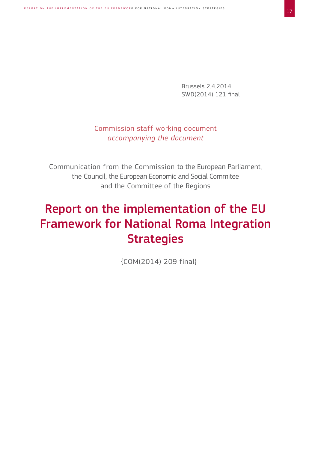Brussels 2.4.2014 SWD(2014) 121 final

#### Commission staff working document *accompanying the document*

Communication from the Commission to the European Parliament, the Council, the European Economic and Social Commitee and the Committee of the Regions

## Report on the implementation of the EU Framework for National Roma Integration **Strategies**

{COM(2014) 209 final}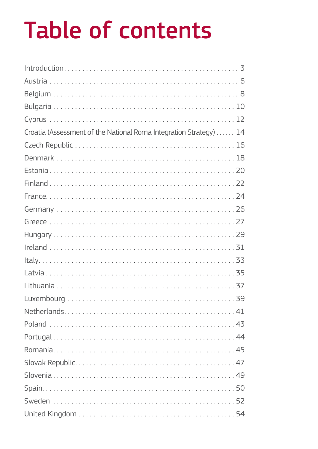# Table of contents

| Croatia (Assessment of the National Roma Integration Strategy)  14 |
|--------------------------------------------------------------------|
|                                                                    |
|                                                                    |
|                                                                    |
|                                                                    |
|                                                                    |
|                                                                    |
|                                                                    |
|                                                                    |
|                                                                    |
|                                                                    |
|                                                                    |
|                                                                    |
|                                                                    |
|                                                                    |
|                                                                    |
|                                                                    |
|                                                                    |
|                                                                    |
|                                                                    |
|                                                                    |
|                                                                    |
|                                                                    |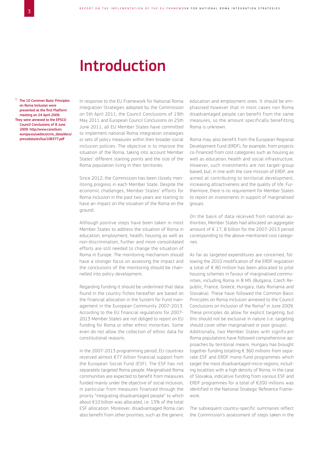## Introduction

<sup>1</sup> The 10 Common Basic Principles on Roma Inclusion were presented at the first Platform meeting on 24 April 2009. They were annexed to the EPSCO Council Conclusions of 8 June 2009. http://www.consilium. [europa.eu/uedocs/cms\\_data/docs/](http://www.consilium.europa.eu/uedocs/cms_data/docs/pressdata/en/lsa/108377.pdf) pressdata/en/lsa/108377.pdf

In response to the EU Framework for National Roma Integration Strategies adopted by the Commission on 5th April 2011, the Council Conclusions of 19th May 2011 and European Council Conclusions on 25th June 2011, all EU Member States have committed to implement national Roma integration strategies or sets of policy measures within their broader social inclusion policies. The objective is to improve the situation of the Roma, taking into account Member States' different starting points and the size of the Roma population living in their territories.

Since 2012, the Commission has been closely monitoring progress in each Member State. Despite the economic challenges, Member States' efforts for Roma inclusion in the past two years are starting to have an impact on the situation of the Roma on the ground.

Although positive steps have been taken in most Member States to address the situation of Roma in education, employment, health, housing as well as non-discrimination, further and more consolidated efforts are still needed to change the situation of Roma in Europe. The monitoring mechanism should have a stronger focus on assessing the impact and the conclusions of the monitoring should be channelled into policy development.

Regarding funding it should be underlined that data found in the country fiches hereafter are based on the financial allocation in the System for Fund management in the European Community 2007-2013. According to the EU financial regulations for 2007- 2013 Member States are not obliged to report on EU funding for Roma or other ethnic minorities. Some even do not allow the collection of ethnic data for constitutional reasons.

In the 2007-2013 programming period, EU countries received almost €77 billion financial support from the European Social Fund (ESF). The ESF has not separately targeted Roma people. Marginalised Roma communities are expected to benefit from measures funded mainly under the objective of social inclusion, in particular from measures financed through the priority "integrating disadvantaged people" to which about €10 billion was allocated, i.e. 13% of the total ESF allocation. Moreover, disadvantaged Roma can also benefit from other priorities, such as the generic

education and employment ones. It should be emphasised however that in most cases non Roma disadvantaged people can benefit from the same measures, so the amount specifically benefitting Roma is unknown.

Roma may also benefit from the European Regional Development Fund (ERDF), for example, from projects co-financed from cost categories such as housing as well as education, health and social infrastructure. However, such investments are not target-group based, but, in line with the core mission of ERDF, are aimed at contributing to territorial development, increasing attractiveness and the quality of life. Furthermore, there is no requirement for Member States to report on investments in support of marginalised groups.

On the basis of data received from national authorities, Member States had allocated an aggregate amount of  $\in$  17, 8 billion for the 2007-2013 period corresponding to the above-mentioned cost categories.

As far as targeted expenditures are concerned, following the 2010 modification of the ERDF regulation a total of € 80 million has been allocated to pilot housing schemes in favour of marginalised communities, including Roma in 8 MS (Bulgaria, Czech Republic, France, Greece, Hungary, Italy Romania and Slovakia). These have followed the Common Basic Principles on Roma Inclusion annexed to the Council Conclusions on Inclusion of the Roma<sup>1</sup> in June 2009. These principles do allow for explicit targeting, but this should not be exclusive in nature (i.e. targeting should cover other marginalised or poor groups). Additionally, two Member States with significant Roma populations have followed comprehensive approaches by territorial means. Hungary has brought together funding totalling € 360 millions from separate ESF and ERDF mono-fund programmes which target the most disadvantaged micro-regions, including localities with a high density of Roma. In the case of Slovakia, indicative funding from various ESF and ERDF programmes for a total of €200 millions was identified in the National Strategic Reference Framework.

The subsequent country-specific summaries reflect the Commission's assessment of steps taken in the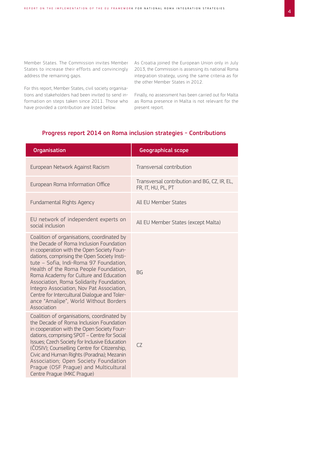Member States. The Commission invites Member States to increase their efforts and convincingly address the remaining gaps.

For this report, Member States, civil society organisations and stakeholders had been invited to send information on steps taken since 2011. Those who have provided a contribution are listed below.

As Croatia joined the European Union only in July 2013, the Commission is assessing its national Roma integration strategy, using the same criteria as for the other Member States in 2012.

Finally, no assessment has been carried out for Malta as Roma presence in Malta is not relevant for the present report.

#### Progress report 2014 on Roma inclusion strategies - Contributions

| <b>Organisation</b>                                                                                                                                                                                                                                                                                                                                                                                                                                                                                              | <b>Geographical scope</b>                                          |
|------------------------------------------------------------------------------------------------------------------------------------------------------------------------------------------------------------------------------------------------------------------------------------------------------------------------------------------------------------------------------------------------------------------------------------------------------------------------------------------------------------------|--------------------------------------------------------------------|
| European Network Against Racism                                                                                                                                                                                                                                                                                                                                                                                                                                                                                  | Transversal contribution                                           |
| European Roma Information Office                                                                                                                                                                                                                                                                                                                                                                                                                                                                                 | Transversal contribution and BG, CZ, IR, EL,<br>FR, IT, HU, PL, PT |
| <b>Fundamental Rights Agency</b>                                                                                                                                                                                                                                                                                                                                                                                                                                                                                 | <b>All EU Member States</b>                                        |
| EU network of independent experts on<br>social inclusion                                                                                                                                                                                                                                                                                                                                                                                                                                                         | All EU Member States (except Malta)                                |
| Coalition of organisations, coordinated by<br>the Decade of Roma Inclusion Foundation<br>in cooperation with the Open Society Foun-<br>dations, comprising the Open Society Insti-<br>tute - Sofia, Indi-Roma 97 Foundation,<br>Health of the Roma People Foundation,<br>Roma Academy for Culture and Education<br>Association, Roma Solidarity Foundation,<br>Integro Association, Nov Pat Association,<br>Centre for Intercultural Dialogue and Toler-<br>ance "Amalipe", World Without Borders<br>Association | <b>BG</b>                                                          |
| Coalition of organisations, coordinated by<br>the Decade of Roma Inclusion Foundation<br>in cooperation with the Open Society Foun-<br>dations, comprising SPOT - Centre for Social<br><b>Issues: Czech Society for Inclusive Education</b><br>(ČOSIV); Counselling Centre for Citizenship,<br>Civic and Human Rights (Poradna); Mezanin<br>Association; Open Society Foundation<br>Prague (OSF Prague) and Multicultural<br>Centre Prague (MKC Prague)                                                          | CZ                                                                 |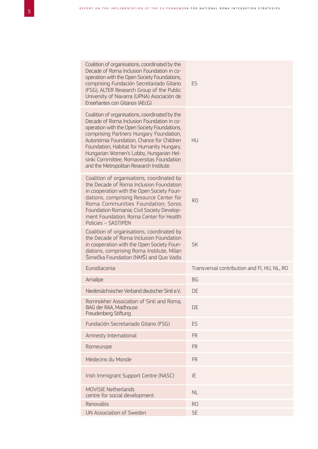| Coalition of organisations, coordinated by the<br>Decade of Roma Inclusion Foundation in co-<br>operation with the Open Society Foundations,<br>comprising Fundación Secretariado Gitano<br>(FSG), ALTER Research Group of the Public<br>University of Navarra (UPNA) Asociación de<br>Enseñantes con Gitanos (AEcG)                                                                                                 | ES                                          |
|----------------------------------------------------------------------------------------------------------------------------------------------------------------------------------------------------------------------------------------------------------------------------------------------------------------------------------------------------------------------------------------------------------------------|---------------------------------------------|
| Coalition of organisations, coordinated by the<br>Decade of Roma Inclusion Foundation in co-<br>operation with the Open Society Foundations,<br>comprising Partners Hungary Foundation,<br>Autonómia Foundation, Chance for Children<br>Foundation, Habitat for Humanity Hungary,<br>Hungarian Women's Lobby, Hungarian Hel-<br>sinki Committee, Romaversitas Foundation<br>and the Metropolitan Research Institute. | HU                                          |
| Coalition of organisations, coordinated by<br>the Decade of Roma Inclusion Foundation<br>in cooperation with the Open Society Foun-<br>dations, comprising Resource Center for<br>Roma Communities Foundation; Soros<br>Foundation Romania; Civil Society Develop-<br>ment Foundation; Roma Center for Health<br>Policies - SASTIPEN                                                                                 | R <sub>O</sub>                              |
| Coalition of organisations, coordinated by<br>the Decade of Roma Inclusion Foundation<br>in cooperation with the Open Society Foun-<br>dations, comprising Roma Institute, Milan<br>Šimečka Foundation (NMŠ) and Quo Vadis                                                                                                                                                                                           | <b>SK</b>                                   |
| Eurodiaconia                                                                                                                                                                                                                                                                                                                                                                                                         | Transversal contribution and FI, HU, NL, RO |
| Amalipe                                                                                                                                                                                                                                                                                                                                                                                                              | <b>BG</b>                                   |
| Niedersächsischer Verband deutscher Sinti e.V.                                                                                                                                                                                                                                                                                                                                                                       | DE                                          |
| Romnokher Association of Sinti and Roma.<br><b>BAG der RAA, Madhouse</b><br>Freudenberg Stiftung                                                                                                                                                                                                                                                                                                                     | DE                                          |
| Fundación Secretariado Gitano (FSG)                                                                                                                                                                                                                                                                                                                                                                                  | ES                                          |
| Amnesty International                                                                                                                                                                                                                                                                                                                                                                                                | <b>FR</b>                                   |
| Romeurope                                                                                                                                                                                                                                                                                                                                                                                                            | <b>FR</b>                                   |
| Médecins du Monde                                                                                                                                                                                                                                                                                                                                                                                                    | <b>FR</b>                                   |
| Irish Immigrant Support Centre (NASC)                                                                                                                                                                                                                                                                                                                                                                                | IE                                          |
| <b>MOVISIE Netherlands</b><br>centre for social development                                                                                                                                                                                                                                                                                                                                                          | <b>NL</b>                                   |
| Renovabis                                                                                                                                                                                                                                                                                                                                                                                                            | R <sub>O</sub>                              |
| UN Association of Sweden                                                                                                                                                                                                                                                                                                                                                                                             | <b>SE</b>                                   |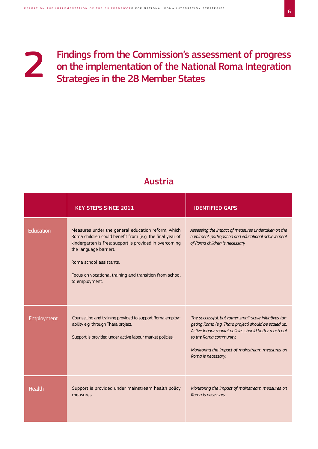#### Findings from the Commission's assessment of progress on the implementation of the National Roma Integration Strategies in the 28 Member States 2

#### Austria

|                   | <b>KEY STEPS SINCE 2011</b>                                                                                                                                                                                                                                                                                 | <b>IDENTIFIED GAPS</b>                                                                                                                                                                                                                                                       |
|-------------------|-------------------------------------------------------------------------------------------------------------------------------------------------------------------------------------------------------------------------------------------------------------------------------------------------------------|------------------------------------------------------------------------------------------------------------------------------------------------------------------------------------------------------------------------------------------------------------------------------|
| Education         | Measures under the general education reform, which<br>Roma children could benefit from (e.g. the final year of<br>kindergarten is free; support is provided in overcoming<br>the language barrier).<br>Roma school assistants.<br>Focus on vocational training and transition from school<br>to employment. | Assessing the impact of measures undertaken on the<br>enrolment, participation and educational achievement<br>of Roma children is necessary.                                                                                                                                 |
| <b>Employment</b> | Counselling and training provided to support Roma employ-<br>ability e.g. through Thara project.<br>Support is provided under active labour market policies.                                                                                                                                                | The successful, but rather small-scale initiatives tar-<br>geting Roma (e.g. Thara project) should be scaled up.<br>Active labour market policies should better reach out<br>to the Roma community.<br>Monitoring the impact of mainstream measures on<br>Roma is necessary. |
| Health            | Support is provided under mainstream health policy<br>measures.                                                                                                                                                                                                                                             | Monitoring the impact of mainstream measures on<br>Roma is necessary.                                                                                                                                                                                                        |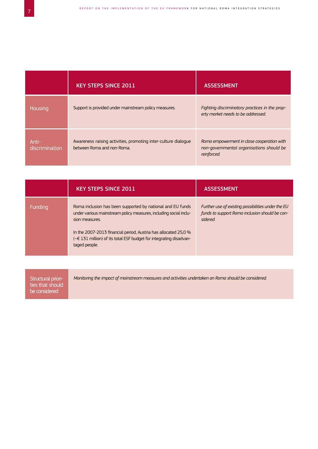|                         | <b>KEY STEPS SINCE 2011</b>                                                                  | <b>ASSESSMENT</b>                                                                                     |
|-------------------------|----------------------------------------------------------------------------------------------|-------------------------------------------------------------------------------------------------------|
| Housing                 | Support is provided under mainstream policy measures.                                        | Fighting discriminatory practices in the prop-<br>erty market needs to be addressed.                  |
| Anti-<br>discrimination | Awareness raising activities, promoting inter-culture dialogue<br>between Roma and non-Roma. | Roma empowerment in close cooperation with<br>non-governmental organisations should be<br>reinforced. |

|         | <b>KEY STEPS SINCE 2011</b>                                                                                                                                                                                                                                                                                 | <b>ASSESSMENT</b>                                                                                                |
|---------|-------------------------------------------------------------------------------------------------------------------------------------------------------------------------------------------------------------------------------------------------------------------------------------------------------------|------------------------------------------------------------------------------------------------------------------|
| Funding | Roma inclusion has been supported by national and EU funds<br>under various mainstream policy measures, including social inclu-<br>sion measures.<br>In the 2007-2013 financial period, Austria has allocated 25,0 %<br>(~€ 131 million) of its total ESF budget for integrating disadvan-<br>taged people. | Further use of existing possibilities under the EU<br>funds to support Roma inclusion should be con-<br>sidered. |

| ties that should<br>be considered |
|-----------------------------------|
|-----------------------------------|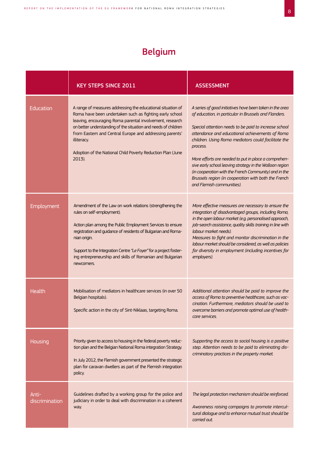### Belgium

|                         | <b>KEY STEPS SINCE 2011</b>                                                                                                                                                                                                                                                                                                                                                                             | <b>ASSESSMENT</b>                                                                                                                                                                                                                                                                                                                                                                                                                                                                                                                                                  |
|-------------------------|---------------------------------------------------------------------------------------------------------------------------------------------------------------------------------------------------------------------------------------------------------------------------------------------------------------------------------------------------------------------------------------------------------|--------------------------------------------------------------------------------------------------------------------------------------------------------------------------------------------------------------------------------------------------------------------------------------------------------------------------------------------------------------------------------------------------------------------------------------------------------------------------------------------------------------------------------------------------------------------|
| Education               | A range of measures addressing the educational situation of<br>Roma have been undertaken such as fighting early school<br>leaving, encouraging Roma parental involvement, research<br>on better understanding of the situation and needs of children<br>from Eastern and Central Europe and addressing parents'<br>illiteracy.<br>Adoption of the National Child Poverty Reduction Plan (June<br>2013). | A series of good initiatives have been taken in the area<br>of education, in particular in Brussels and Flanders.<br>Special attention needs to be paid to increase school<br>attendance and educational achievements of Roma<br>children. Using Roma mediators could facilitate the<br>process.<br>More efforts are needed to put in place a comprehen-<br>sive early school leaving strategy in the Walloon region<br>(in cooperation with the French Community) and in the<br>Brussels region (in cooperation with both the French<br>and Flemish communities). |
| Employment              | Amendment of the Law on work relations (strengthening the<br>rules on self-employment).<br>Action plan among the Public Employment Services to ensure<br>registration and guidance of residents of Bulgarian and Roma-<br>nian origin.<br>Support to the Integration Centre "Le Foyer" for a project foster-<br>ing entrepreneurship and skills of Romanian and Bulgarian<br>newcomers.                 | More effective measures are necessary to ensure the<br>integration of disadvantaged groups, including Roma,<br>in the open labour market (e.g. personalised approach,<br>job-search assistance, quality skills training in line with<br>labour market needs).<br>Measures to fight and monitor discrimination in the<br>labour market should be considered, as well as policies<br>for diversity in employment (including incentives for<br>employers).                                                                                                            |
| Health                  | Mobilisation of mediators in healthcare services (in over 50<br>Belgian hospitals).<br>Specific action in the city of Sint-Niklaas, targeting Roma                                                                                                                                                                                                                                                      | Additional attention should be paid to improve the<br>access of Roma to preventive healthcare, such as vac-<br>cination. Furthermore, mediators should be used to<br>overcome barriers and promote optimal use of health-<br>care services.                                                                                                                                                                                                                                                                                                                        |
| Housing                 | Priority given to access to housing in the federal poverty reduc-<br>tion plan and the Belgian National Roma integration Strategy.<br>In July 2012, the Flemish government presented the strategic<br>plan for caravan dwellers as part of the Flemish integration<br>policy.                                                                                                                           | Supporting the access to social housing is a positive<br>step. Attention needs to be paid to eliminating dis-<br>criminatory practices in the property market.                                                                                                                                                                                                                                                                                                                                                                                                     |
| Anti-<br>discrimination | Guidelines drafted by a working group for the police and<br>judiciary in order to deal with discrimination in a coherent<br>way.                                                                                                                                                                                                                                                                        | The legal protection mechanism should be reinforced.<br>Awareness raising campaigns to promote intercul-<br>tural dialogue and to enhance mutual trust should be<br>carried out.                                                                                                                                                                                                                                                                                                                                                                                   |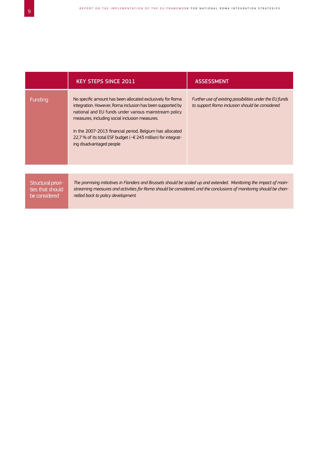|                                        | <b>KEY STEPS SINCE 2011</b>                                                                                                                                                                                                                                                                                                                                                                  | <b>ASSESSMENT</b>                                                                                           |
|----------------------------------------|----------------------------------------------------------------------------------------------------------------------------------------------------------------------------------------------------------------------------------------------------------------------------------------------------------------------------------------------------------------------------------------------|-------------------------------------------------------------------------------------------------------------|
| Funding                                | No specific amount has been allocated exclusively for Roma<br>integration. However, Roma inclusion has been supported by<br>national and EU funds under various mainstream policy<br>measures, including social inclusion measures.<br>In the 2007-2013 financial period, Belgium has allocated<br>22,7 % of its total ESF budget (~€ 243 million) for integrat-<br>ing disadvantaged people | Further use of existing possibilities under the EU funds<br>to support Roma inclusion should be considered. |
|                                        |                                                                                                                                                                                                                                                                                                                                                                                              |                                                                                                             |
| Structural priori-<br>tige that chould | The promising initiatives in Flanders and Brussels should be scaled up and extended. Monitoring the impact of main-<br>streaming measures and activities for Roma should be considered, and the conclusions of monitoring should be chan-                                                                                                                                                    |                                                                                                             |

ties that should be considered

*streaming measures and activities for Roma should be considered, and the conclusions of monitoring should be channelled back to policy development.*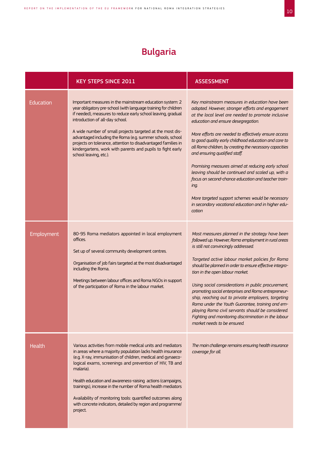### Bulgaria

|                  | <b>KEY STEPS SINCE 2011</b>                                                                                                                                                                                                                                                                                                                                                                                                                                                                                                             | <b>ASSESSMENT</b>                                                                                                                                                                                                                                                                                                                                                                                                                                                                                                                                                                                                                                                                                            |
|------------------|-----------------------------------------------------------------------------------------------------------------------------------------------------------------------------------------------------------------------------------------------------------------------------------------------------------------------------------------------------------------------------------------------------------------------------------------------------------------------------------------------------------------------------------------|--------------------------------------------------------------------------------------------------------------------------------------------------------------------------------------------------------------------------------------------------------------------------------------------------------------------------------------------------------------------------------------------------------------------------------------------------------------------------------------------------------------------------------------------------------------------------------------------------------------------------------------------------------------------------------------------------------------|
| <b>Education</b> | Important measures in the mainstream education system: 2<br>year obligatory pre-school (with language training for children<br>if needed), measures to reduce early school leaving, gradual<br>introduction of all-day school.<br>A wide number of small projects targeted at the most dis-<br>advantaged including the Roma (e.g. summer schools, school<br>projects on tolerance, attention to disadvantaged families in<br>kindergartens, work with parents and pupils to fight early<br>school leaving, etc.).                      | Key mainstream measures in education have been<br>adopted. However, stronger efforts and engagement<br>at the local level are needed to promote inclusive<br>education and ensure desegregation.<br>More efforts are needed to effectively ensure access<br>to good quality early childhood education and care to<br>all Roma children, by creating the necessary capacities<br>and ensuring qualified staff.<br>Promising measures aimed at reducing early school<br>leaving should be continued and scaled up, with a<br>focus on second-chance education and teacher train-<br>ing.<br>More targeted support schemes would be necessary<br>in secondary vocational education and in higher edu-<br>cation |
| Employment       | 80-95 Roma mediators appointed in local employment<br>offices.<br>Set up of several community development centres.<br>Organisation of job fairs targeted at the most disadvantaged<br>including the Roma.<br>Meetings between labour offices and Roma NGOs in support<br>of the participation of Roma in the labour market.                                                                                                                                                                                                             | Most measures planned in the strategy have been<br>followed up. However, Roma employment in rural areas<br>is still not convincingly addressed.<br>Targeted active labour market policies for Roma<br>should be planned in order to ensure effective integra-<br>tion in the open labour market.<br>Using social considerations in public procurement,<br>promoting social enterprises and Roma entrepreneur-<br>ship, reaching out to private employers, targeting<br>Roma under the Youth Guarantee, training and em-<br>ploying Roma civil servants should be considered.<br>Fighting and monitoring discrimination in the labour<br>market needs to be ensured.                                          |
| Health           | Various activities from mobile medical units and mediators<br>in areas where a majority population lacks health insurance<br>(e.g. X-ray, immunisation of children, medical and gynaeco-<br>logical exams, screenings and prevention of HIV, TB and<br>malaria).<br>Health education and awareness-raising actions (campaigns,<br>trainings), increase in the number of Roma health mediators<br>Availability of monitoring tools: quantified outcomes along<br>with concrete indicators, detailed by region and programme/<br>project. | The main challenge remains ensuring health insurance<br>coverage for all.                                                                                                                                                                                                                                                                                                                                                                                                                                                                                                                                                                                                                                    |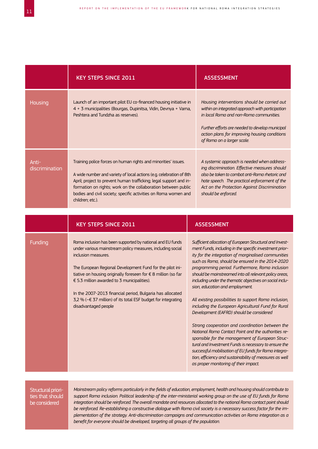|                         | <b>KEY STEPS SINCE 2011</b>                                                                                                                                                                                                                                                                                                                                                                                                                                                         | <b>ASSESSMENT</b>                                                                                                                                                                                                                                                                                                                                                                                                                                                                                                                                                                                                                                                                                                                                                                                                                                                                                                                                                                        |
|-------------------------|-------------------------------------------------------------------------------------------------------------------------------------------------------------------------------------------------------------------------------------------------------------------------------------------------------------------------------------------------------------------------------------------------------------------------------------------------------------------------------------|------------------------------------------------------------------------------------------------------------------------------------------------------------------------------------------------------------------------------------------------------------------------------------------------------------------------------------------------------------------------------------------------------------------------------------------------------------------------------------------------------------------------------------------------------------------------------------------------------------------------------------------------------------------------------------------------------------------------------------------------------------------------------------------------------------------------------------------------------------------------------------------------------------------------------------------------------------------------------------------|
| Housing                 | Launch of an important pilot EU co-financed housing initiative in<br>4 + 3 municipalities (Bourgas, Dupinitsa, Vidin, Devnya + Varna,<br>Peshtera and Tundzha as reserves).                                                                                                                                                                                                                                                                                                         | Housing interventions should be carried out<br>within an integrated approach with participation<br>in local Roma and non-Roma communities.<br>Further efforts are needed to develop municipal<br>action plans for improving housing conditions<br>of Roma on a larger scale.                                                                                                                                                                                                                                                                                                                                                                                                                                                                                                                                                                                                                                                                                                             |
| Anti-<br>discrimination | Training police forces on human rights and minorities' issues.<br>A wide number and variety of local actions (e.g. celebration of 8th<br>April; project to prevent human trafficking; legal support and in-<br>formation on rights; work on the collaboration between public<br>bodies and civil society; specific activities on Roma women and<br>children; etc.).                                                                                                                 | A systemic approach is needed when address-<br>ing discrimination. Effective measures should<br>also be taken to combat anti-Roma rhetoric and<br>hate speech. The practical enforcement of the<br>Act on the Protection Against Discrimination<br>should be enforced.                                                                                                                                                                                                                                                                                                                                                                                                                                                                                                                                                                                                                                                                                                                   |
|                         | <b>KEY STEPS SINCE 2011</b>                                                                                                                                                                                                                                                                                                                                                                                                                                                         | <b>ASSESSMENT</b>                                                                                                                                                                                                                                                                                                                                                                                                                                                                                                                                                                                                                                                                                                                                                                                                                                                                                                                                                                        |
| Funding                 | Roma inclusion has been supported by national and EU funds<br>under various mainstream policy measures, including social<br>inclusion measures.<br>The European Regional Development Fund for the pilot ini-<br>tiative on housing originally foreseen for € 8 million (so far<br>€ 5.3 million awarded to 3 municipalities).<br>In the 2007-2013 financial period, Bulgaria has allocated<br>3,2 % (~€ 37 million) of its total ESF budget for integrating<br>disadvantaged people | Sufficient allocation of European Structural and Invest-<br>ment Funds, including in the specific investment prior-<br>ity for the integration of marginalised communities<br>such as Roma, should be ensured in the 2014-2020<br>programming period. Furthermore, Roma inclusion<br>should be mainstreamed into all relevant policy areas,<br>including under the thematic objectives on social inclu-<br>sion, education and employment.<br>All existing possibilities to support Roma inclusion,<br>including the European Agricultural Fund for Rural<br>Development (EAFRD) should be considered<br>Strong cooperation and coordination between the<br>National Roma Contact Point and the authorities re-<br>sponsible for the management of European Struc-<br>tural and Investment Funds is necessary to ensure the<br>successful mobilisation of EU funds for Roma integra-<br>tion, efficiency and sustainability of measures as well<br>as proper monitoring of their impact. |

Structural priorities that should be considered

*Mainstream policy reforms particularly in the fields of education, employment, health and housing should contribute to support Roma inclusion. Political leadership of the inter-ministerial working group on the use of EU funds for Roma integration should be reinforced. The overall mandate and resources allocated to the national Roma contact point should be reinforced. Re-establishing a constructive dialogue with Roma civil society is a necessary success factor for the implementation of the strategy. Anti-discrimination campaigns and communication activities on Roma integration as a benefit for everyone should be developed, targeting all groups of the population.*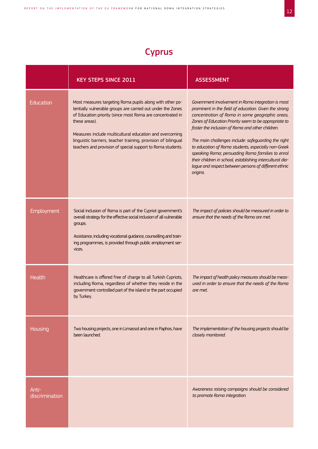### **Cyprus**

|                         | <b>KEY STEPS SINCE 2011</b>                                                                                                                                                                                                                                                                                                                                                                       | <b>ASSESSMENT</b>                                                                                                                                                                                                                                                                                                                                                                                                                                                                                                                                                               |
|-------------------------|---------------------------------------------------------------------------------------------------------------------------------------------------------------------------------------------------------------------------------------------------------------------------------------------------------------------------------------------------------------------------------------------------|---------------------------------------------------------------------------------------------------------------------------------------------------------------------------------------------------------------------------------------------------------------------------------------------------------------------------------------------------------------------------------------------------------------------------------------------------------------------------------------------------------------------------------------------------------------------------------|
| Education               | Most measures targeting Roma pupils along with other po-<br>tentially vulnerable groups are carried out under the Zones<br>of Education priority (since most Roma are concentrated in<br>these areas).<br>Measures include multicultural education and overcoming<br>linguistic barriers, teacher training, provision of bilingual<br>teachers and provision of special support to Roma students. | Government involvement in Roma integration is most<br>prominent in the field of education. Given the strong<br>concentration of Roma in some geographic areas,<br>Zones of Education Priority seem to be appropriate to<br>foster the inclusion of Roma and other children.<br>The main challenges include: safeguarding the right<br>to education of Roma students, especially non-Greek<br>speaking Roma; persuading Roma families to enrol<br>their children in school, establishing intercultural dia-<br>logue and respect between persons of different ethnic<br>origins. |
| Employment              | Social inclusion of Roma is part of the Cypriot government's<br>overall strategy for the effective social inclusion of all vulnerable<br>groups.<br>Assistance, including vocational guidance, counselling and train-<br>ing programmes, is provided through public employment ser-<br>vices.                                                                                                     | The impact of policies should be measured in order to<br>ensure that the needs of the Roma are met.                                                                                                                                                                                                                                                                                                                                                                                                                                                                             |
| <b>Health</b>           | Healthcare is offered free of charge to all Turkish Cypriots,<br>including Roma, regardless of whether they reside in the<br>government-controlled part of the island or the part occupied<br>by Turkey.                                                                                                                                                                                          | The impact of health policy measures should be meas-<br>ured in order to ensure that the needs of the Roma<br>are met.                                                                                                                                                                                                                                                                                                                                                                                                                                                          |
| Housing                 | Two housing projects, one in Limassol and one in Paphos, have<br>been launched.                                                                                                                                                                                                                                                                                                                   | The implementation of the housing projects should be<br>closely monitored.                                                                                                                                                                                                                                                                                                                                                                                                                                                                                                      |
| Anti-<br>discrimination |                                                                                                                                                                                                                                                                                                                                                                                                   | Awareness raising campaigns should be considered<br>to promote Roma integration.                                                                                                                                                                                                                                                                                                                                                                                                                                                                                                |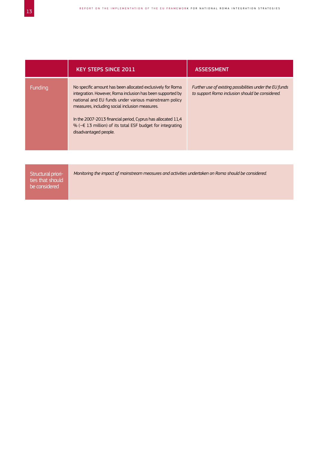|         | <b>KEY STEPS SINCE 2011</b>                                                                                                                                                                                                                                                                                                                                                                             | <b>ASSESSMENT</b>                                                                                           |
|---------|---------------------------------------------------------------------------------------------------------------------------------------------------------------------------------------------------------------------------------------------------------------------------------------------------------------------------------------------------------------------------------------------------------|-------------------------------------------------------------------------------------------------------------|
| Funding | No specific amount has been allocated exclusively for Roma<br>integration. However, Roma inclusion has been supported by<br>national and EU funds under various mainstream policy<br>measures, including social inclusion measures.<br>In the 2007-2013 financial period, Cyprus has allocated 11,4<br>% ( $\sim \epsilon$ 13 million) of its total ESF budget for integrating<br>disadvantaged people. | Further use of existing possibilities under the EU funds<br>to support Roma inclusion should be considered. |
|         |                                                                                                                                                                                                                                                                                                                                                                                                         |                                                                                                             |
|         |                                                                                                                                                                                                                                                                                                                                                                                                         |                                                                                                             |

Structural priorities that should be considered

*Monitoring the impact of mainstream measures and activities undertaken on Roma should be considered.*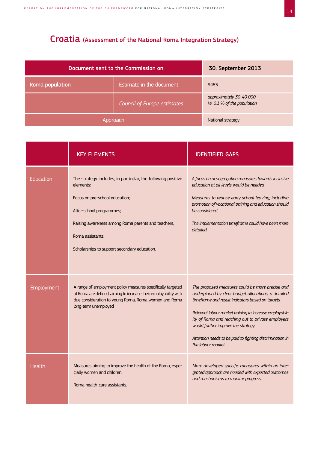# Croatia (Assessment of the National Roma Integration Strategy)

| Document sent to the Commission on: |                             | 30. September 2013                                      |
|-------------------------------------|-----------------------------|---------------------------------------------------------|
| Roma population                     | Estimate in the document    | 9463                                                    |
|                                     | Council of Europe estimates | approximately 30-40 000<br>i.e. 0.1 % of the population |
| Approach                            |                             | National strategy                                       |

|            | <b>KEY ELEMENTS</b>                                                                                                                                                                                                                                               | <b>IDENTIFIED GAPS</b>                                                                                                                                                                                                                                                                                                                                                                               |
|------------|-------------------------------------------------------------------------------------------------------------------------------------------------------------------------------------------------------------------------------------------------------------------|------------------------------------------------------------------------------------------------------------------------------------------------------------------------------------------------------------------------------------------------------------------------------------------------------------------------------------------------------------------------------------------------------|
| Education  | The strategy includes, in particular, the following positive<br>elements:<br>Focus on pre-school education;<br>After-school programmes;<br>Raising awareness among Roma parents and teachers;<br>Roma assistants;<br>Scholarships to support secondary education. | A focus on desegregation measures towards inclusive<br>education at all levels would be needed.<br>Measures to reduce early school leaving, including<br>promotion of vocational training and education should<br>be considered.<br>The implementation timeframe could have been more<br>detailed.                                                                                                   |
| Employment | A range of employment policy measures specifically targeted<br>at Roma are defined, aiming to increase their employability with<br>due consideration to young Roma, Roma women and Roma<br>long-term unemployed                                                   | The proposed measures could be more precise and<br>underpinned by clear budget allocations, a detailed<br>timeframe and result indicators based on targets.<br>Relevant labour market training to increase employabil-<br>ity of Roma and reaching out to private employers<br>would further improve the strategy.<br>Attention needs to be paid to fighting discrimination in<br>the labour market. |
| Health     | Measures aiming to improve the health of the Roma, espe-<br>cially women and children.<br>Roma health-care assistants.                                                                                                                                            | More developed specific measures within an inte-<br>grated approach are needed with expected outcomes<br>and mechanisms to monitor progress.                                                                                                                                                                                                                                                         |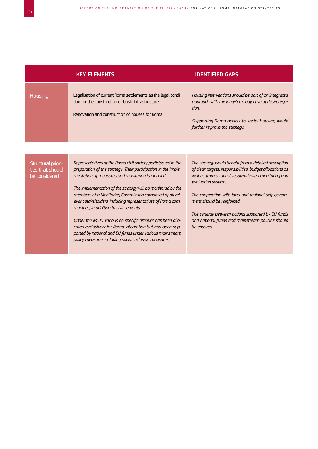|                                                         | <b>KEY ELEMENTS</b>                                                                                                                                                                                                                                                                                                                                                                                                                                                                                                                                                                                                                                                   | <b>IDENTIFIED GAPS</b>                                                                                                                                                                                                                                                                                                                                                                                           |
|---------------------------------------------------------|-----------------------------------------------------------------------------------------------------------------------------------------------------------------------------------------------------------------------------------------------------------------------------------------------------------------------------------------------------------------------------------------------------------------------------------------------------------------------------------------------------------------------------------------------------------------------------------------------------------------------------------------------------------------------|------------------------------------------------------------------------------------------------------------------------------------------------------------------------------------------------------------------------------------------------------------------------------------------------------------------------------------------------------------------------------------------------------------------|
| Housing                                                 | Legalisation of current Roma settlements as the legal condi-<br>tion for the construction of basic infrastructure.<br>Renovation and construction of houses for Roma.                                                                                                                                                                                                                                                                                                                                                                                                                                                                                                 | Housing interventions should be part of an integrated<br>approach with the long-term objective of desegrega-<br>tion.<br>Supporting Roma access to social housing would<br>further improve the strategy.                                                                                                                                                                                                         |
|                                                         |                                                                                                                                                                                                                                                                                                                                                                                                                                                                                                                                                                                                                                                                       |                                                                                                                                                                                                                                                                                                                                                                                                                  |
| Structural priori-<br>ties that should<br>be considered | Representatives of the Roma civil society participated in the<br>preparation of the strategy. Their participation in the imple-<br>mentation of measures and monitoring is planned.<br>The implementation of the strategy will be monitored by the<br>members of a Monitoring Commission composed of all rel-<br>evant stakeholders, including representatives of Roma com-<br>munities, in addition to civil servants.<br>Under the IPA IV various no specific amount has been allo-<br>cated exclusively for Roma integration but has been sup-<br>ported by national and EU funds under various mainstream<br>policy measures including social inclusion measures. | The strategy would benefit from a detailed description<br>of clear targets, responsibilities, budget allocations as<br>well as from a robust result-oriented monitoring and<br>evaluation system.<br>The cooperation with local and regional self-govern-<br>ment should be reinforced.<br>The synergy between actions supported by EU funds<br>and national funds and mainstream policies should<br>be ensured. |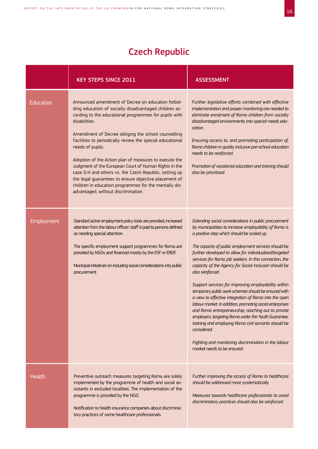# Czech Republic

|            | <b>KEY STEPS SINCE 2011</b>                                                                                                                                                                                                                                                                                                                                                                                                                                                                                                                                                                                                                                          | <b>ASSESSMENT</b>                                                                                                                                                                                                                                                                                                                                                                                                                                                                                                                                                                                                                                                                                                                                                                                                                                                                                                                      |
|------------|----------------------------------------------------------------------------------------------------------------------------------------------------------------------------------------------------------------------------------------------------------------------------------------------------------------------------------------------------------------------------------------------------------------------------------------------------------------------------------------------------------------------------------------------------------------------------------------------------------------------------------------------------------------------|----------------------------------------------------------------------------------------------------------------------------------------------------------------------------------------------------------------------------------------------------------------------------------------------------------------------------------------------------------------------------------------------------------------------------------------------------------------------------------------------------------------------------------------------------------------------------------------------------------------------------------------------------------------------------------------------------------------------------------------------------------------------------------------------------------------------------------------------------------------------------------------------------------------------------------------|
| Education  | Announced amendment of Decree on education forbid-<br>ding education of socially disadvantaged children ac-<br>cording to the educational programmes for pupils with<br>disabilities.<br>Amendment of Decree obliging the school counselling<br>facilities to periodically review the special educational<br>needs of pupils.<br>Adoption of the Action plan of measures to execute the<br>Judgment of the European Court of Human Rights in the<br>case D.H and others vs. the Czech Republic, setting up<br>the legal guarantees to ensure objective placement of<br>children in education programmes for the mentally dis-<br>advantaged, without discrimination. | Further legislative efforts combined with effective<br>implementation and proper monitoring are needed to<br>eliminate enrolment of Roma children from socially<br>disadvantaged environments into special-needs edu-<br>cation.<br>Ensuring access to, and promoting participation of,<br>Roma children in quality inclusive pre-school education<br>needs to be reinforced.<br>Promotion of vocational education and training should<br>also be prioritised.                                                                                                                                                                                                                                                                                                                                                                                                                                                                         |
| Employment | Standard active employment policy tools are provided, increased<br>attention from the labour offices' staff is paid to persons defined<br>as needing special attention.<br>The specific employment support programmes for Roma are<br>provided by NGOs and financed mostly by the ESF or ERDF.<br>Municipal initiatives on including social considerations into public<br>procurement.                                                                                                                                                                                                                                                                               | Extending social considerations in public procurement<br>by municipalities to increase employability of Roma is<br>a positive step which should be scaled up.<br>The capacity of public employment services should be<br>further developed to allow for individualised/targeted<br>services for Roma job seekers. In this connection, the<br>capacity of the Agency for Social Inclusion should be<br>also reinforced.<br>Support services for improving employability within<br>temporary public work schemes should be ensured with<br>a view to effective integration of Roma into the open<br>labour market. In addition, promoting social enterprises<br>and Roma entrepreneurship, reaching out to private<br>employers, targeting Roma under the Youth Guarantee,<br>training and employing Roma civil servants should be<br>considered.<br>Fighting and monitoring discrimination in the labour<br>market needs to be ensured. |
| Health     | Preventive outreach measures targeting Roma are solely<br>implemented by the programme of health and social as-<br>sistants in excluded localities. The implementation of the<br>programme is provided by the NGO.<br>Notification to health insurance companies about discrimina-<br>tory practices of some healthcare professionals.                                                                                                                                                                                                                                                                                                                               | Further improving the access of Roma to healthcare<br>should be addressed more systematically.<br>Measures towards healthcare professionals to avoid<br>discriminatory practices should also be reinforced.                                                                                                                                                                                                                                                                                                                                                                                                                                                                                                                                                                                                                                                                                                                            |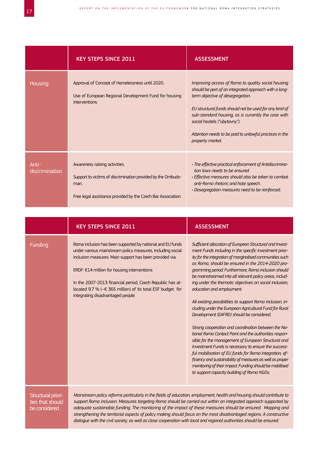|                         | <b>KEY STEPS SINCE 2011</b>                                                                                                                                           | <b>ASSESSMENT</b>                                                                                                                                                                                                                                                                                                                                                               |
|-------------------------|-----------------------------------------------------------------------------------------------------------------------------------------------------------------------|---------------------------------------------------------------------------------------------------------------------------------------------------------------------------------------------------------------------------------------------------------------------------------------------------------------------------------------------------------------------------------|
| Housing                 | Approval of Concept of Homelessness until 2020.<br>Use of European Regional Development Fund for housing<br>interventions.                                            | Improving access of Roma to quality social housing<br>should be part of an integrated approach with a long-<br>term objective of desegregation.<br>EU structural funds should not be used for any kind of<br>sub-standard housing, as is currently the case with<br>social hostels ("ubytovny").<br>Attention needs to be paid to unlawful practices in the<br>property market. |
| Anti-<br>discrimination | Awareness raising activities.<br>Support to victims of discrimination provided by the Ombuds-<br>man.<br>Free legal assistance provided by the Czech Bar Association. | • The effective practical enforcement of Antidiscrimina-<br>tion laws needs to be ensured<br>• Effective measures should also be taken to combat<br>anti-Roma rhetoric and hate speech.<br>• Desegregation measures need to be reinforced.                                                                                                                                      |

|                                                         | <b>KEY STEPS SINCE 2011</b>                                                                                                                                                                                                                                                                                                                                                                                                                                                                                                                                                                                | <b>ASSESSMENT</b>                                                                                                                                                                                                                                                                                                                                                                                                                                                                                                                                                                                                                                                                                                                                                                                                                                                                                                                                                                                                                                                              |
|---------------------------------------------------------|------------------------------------------------------------------------------------------------------------------------------------------------------------------------------------------------------------------------------------------------------------------------------------------------------------------------------------------------------------------------------------------------------------------------------------------------------------------------------------------------------------------------------------------------------------------------------------------------------------|--------------------------------------------------------------------------------------------------------------------------------------------------------------------------------------------------------------------------------------------------------------------------------------------------------------------------------------------------------------------------------------------------------------------------------------------------------------------------------------------------------------------------------------------------------------------------------------------------------------------------------------------------------------------------------------------------------------------------------------------------------------------------------------------------------------------------------------------------------------------------------------------------------------------------------------------------------------------------------------------------------------------------------------------------------------------------------|
| <b>Funding</b>                                          | Roma inclusion has been supported by national and EU funds<br>under various mainstream policy measures, including social<br>inclusion measures. Main support has been provided via:<br>ERDF: €14 million for housing interventions<br>In the 2007-2013 financial period, Czech Republic has al-<br>located 9,7 % (~€ 365 million) of its total ESF budget for<br>integrating disadvantaged people.                                                                                                                                                                                                         | Sufficient allocation of European Structural and Invest-<br>ment Funds including in the specific investment prior-<br>ity for the integration of marginalised communities such<br>as Roma, should be ensured in the 2014-2020 pro-<br>gramming period. Furthermore, Roma inclusion should<br>be mainstreamed into all relevant policy areas, includ-<br>ing under the thematic objectives on social inclusion,<br>education and employment.<br>All existing possibilities to support Roma inclusion, in-<br>cluding under the European Agricultural Fund for Rural<br>Development (EAFRD) should be considered.<br>Strong cooperation and coordination between the Na-<br>tional Roma Contact Point and the authorities respon-<br>sible for the management of European Structural and<br>Investment Funds is necessary to ensure the success-<br>ful mobilisation of EU funds for Roma integration, ef-<br>ficiency and sustainability of measures as well as proper<br>monitoring of their impact. Funding should be mobilised<br>to support capacity building of Roma NGOs. |
| Structural priori-<br>ties that should<br>be considered | Mainstream policy reforms particularly in the fields of education, employment, health and housing should contribute to<br>support Roma inclusion. Measures targeting Roma should be carried out within an integrated approach supported by<br>adequate sustainable funding. The monitoring of the impact of these measures should be ensured. Mapping and<br>strengthening the territorial aspects of policy making should focus on the most disadvantaged regions. A constructive<br>dialogue with the civil society, as well as close cooperation with local and regional authorities should be ensured. |                                                                                                                                                                                                                                                                                                                                                                                                                                                                                                                                                                                                                                                                                                                                                                                                                                                                                                                                                                                                                                                                                |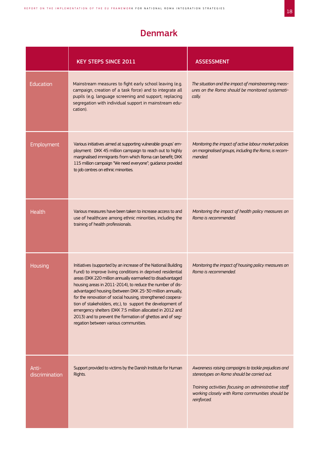## Denmark

|                         | <b>KEY STEPS SINCE 2011</b>                                                                                                                                                                                                                                                                                                                                                                                                                                                                                                                                                                                        | <b>ASSESSMENT</b>                                                                                                                                                                                                            |
|-------------------------|--------------------------------------------------------------------------------------------------------------------------------------------------------------------------------------------------------------------------------------------------------------------------------------------------------------------------------------------------------------------------------------------------------------------------------------------------------------------------------------------------------------------------------------------------------------------------------------------------------------------|------------------------------------------------------------------------------------------------------------------------------------------------------------------------------------------------------------------------------|
| Education               | Mainstream measures to fight early school leaving (e.g.<br>campaign, creation of a task force) and to integrate all<br>pupils (e.g. language screening and support; replacing<br>segregation with individual support in mainstream edu-<br>cation).                                                                                                                                                                                                                                                                                                                                                                | The situation and the impact of mainstreaming meas-<br>ures on the Roma should be monitored systemati-<br>cally.                                                                                                             |
| Employment              | Various initiatives aimed at supporting vulnerable groups' em-<br>ployment: DKK 45 million campaign to reach out to highly<br>marginalised immigrants from which Roma can benefit; DKK<br>115 million campaign "We need everyone"; guidance provided<br>to job centres on ethnic minorities.                                                                                                                                                                                                                                                                                                                       | Monitoring the impact of active labour market policies<br>on marginalised groups, including the Roma, is recom-<br>mended.                                                                                                   |
| Health                  | Various measures have been taken to increase access to and<br>use of healthcare among ethnic minorities, including the<br>training of health professionals.                                                                                                                                                                                                                                                                                                                                                                                                                                                        | Monitoring the impact of health policy measures on<br>Roma is recommended.                                                                                                                                                   |
| Housing                 | Initiatives (supported by an increase of the National Building<br>Fund) to improve living conditions in deprived residential<br>areas (DKK 220 million annually earmarked to disadvantaged<br>housing areas in 2011-2014), to reduce the number of dis-<br>advantaged housing (between DKK 25-30 million annually,<br>for the renovation of social housing, strengthened coopera-<br>tion of stakeholders, etc.), to support the development of<br>emergency shelters (DKK 7.5 million allocated in 2012 and<br>2013) and to prevent the formation of ghettos and of seg-<br>regation between various communities. | Monitoring the impact of housing policy measures on<br>Roma is recommended.                                                                                                                                                  |
| Anti-<br>discrimination | Support provided to victims by the Danish Institute for Human<br>Rights.                                                                                                                                                                                                                                                                                                                                                                                                                                                                                                                                           | Awareness raising campaigns to tackle prejudices and<br>stereotypes on Roma should be carried out.<br>Training activities focusing on administrative staff<br>working closely with Roma communities should be<br>reinforced. |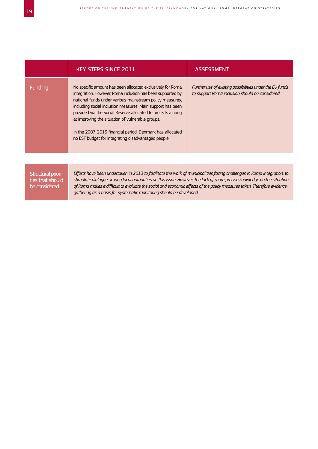|         | <b>KEY STEPS SINCE 2011</b>                                                                                                                                                                                                                                                                                                                                                                                                                                                               | <b>ASSESSMENT</b>                                                                                           |
|---------|-------------------------------------------------------------------------------------------------------------------------------------------------------------------------------------------------------------------------------------------------------------------------------------------------------------------------------------------------------------------------------------------------------------------------------------------------------------------------------------------|-------------------------------------------------------------------------------------------------------------|
| Funding | No specific amount has been allocated exclusively for Roma<br>integration. However, Roma inclusion has been supported by<br>national funds under various mainstream policy measures.<br>including social inclusion measures. Main support has been<br>provided via the Social Reserve allocated to projects aiming<br>at improving the situation of vulnerable groups.<br>In the 2007-2013 financial period, Denmark has allocated<br>no ESF budget for integrating disadvantaged people. | Further use of existing possibilities under the EU funds<br>to support Roma inclusion should be considered. |
|         |                                                                                                                                                                                                                                                                                                                                                                                                                                                                                           |                                                                                                             |

*Efforts have been undertaken in 2013 to facilitate the work of municipalities facing challenges in Roma integration, to stimulate dialogue among local authorities on this issue. However, the lack of more precise knowledge on the situation of Roma makes it difficult to evaluate the social and economic effects of the policy measures taken. Therefore evidencegathering as a basis for systematic monitoring should be developed.*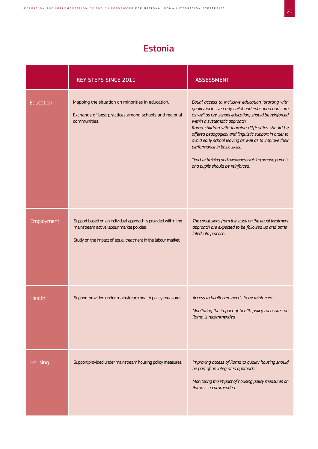## Estonia

|            | <b>KEY STEPS SINCE 2011</b>                                                                                                                                                 | <b>ASSESSMENT</b>                                                                                                                                                                                                                                                                                                                                                                                                                                                                                          |
|------------|-----------------------------------------------------------------------------------------------------------------------------------------------------------------------------|------------------------------------------------------------------------------------------------------------------------------------------------------------------------------------------------------------------------------------------------------------------------------------------------------------------------------------------------------------------------------------------------------------------------------------------------------------------------------------------------------------|
| Education  | Mapping the situation on minorities in education.<br>Exchange of best practices among schools and regional<br>communities.                                                  | Equal access to inclusive education (starting with<br>quality inclusive early childhood education and care<br>as well as pre-school education) should be reinforced<br>within a systematic approach.<br>Roma children with learning difficulties should be<br>offered pedagogical and linguistic support in order to<br>avoid early school leaving as well as to improve their<br>performance in basic skills.<br>Teacher training and awareness-raising among parents<br>and pupils should be reinforced. |
| Employment | Support based on an individual approach is provided within the<br>mainstream active labour market policies.<br>Study on the impact of equal treatment in the labour market. | The conclusions from the study on the equal treatment<br>approach are expected to be followed up and trans-<br>lated into practice.                                                                                                                                                                                                                                                                                                                                                                        |
| Health     | Support provided under mainstream health policy measures.                                                                                                                   | Access to healthcare needs to be reinforced.<br>Monitoring the impact of health policy measures on<br>Roma is recommended                                                                                                                                                                                                                                                                                                                                                                                  |
| Housing    | Support provided under mainstream housing policy measures.                                                                                                                  | Improving access of Roma to quality housing should<br>be part of an integrated approach.<br>Monitoring the impact of housing policy measures on<br>Roma is recommended.                                                                                                                                                                                                                                                                                                                                    |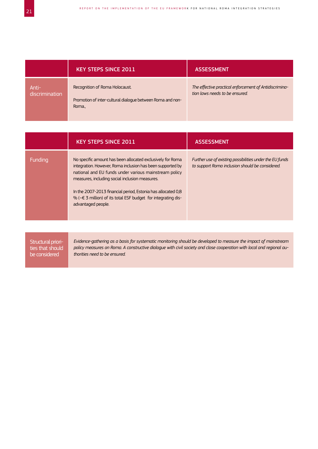|       |                | <b>KEY STEPS SINCE 2011</b>                                                                           | <b>ASSESSMENT</b>                                                                        |
|-------|----------------|-------------------------------------------------------------------------------------------------------|------------------------------------------------------------------------------------------|
| Anti- | discrimination | Recognition of Roma Holocaust.<br>Promotion of inter-cultural dialogue between Roma and non-<br>Roma. | The effective practical enforcement of Antidiscrimina-<br>tion laws needs to be ensured. |

|                                                         | <b>KEY STEPS SINCE 2011</b>                                                                                                                                                                                                                                                                                                                                                                       | <b>ASSESSMENT</b>                                                                                           |
|---------------------------------------------------------|---------------------------------------------------------------------------------------------------------------------------------------------------------------------------------------------------------------------------------------------------------------------------------------------------------------------------------------------------------------------------------------------------|-------------------------------------------------------------------------------------------------------------|
| Funding                                                 | No specific amount has been allocated exclusively for Roma<br>integration. However, Roma inclusion has been supported by<br>national and EU funds under various mainstream policy<br>measures, including social inclusion measures.<br>In the 2007-2013 financial period, Estonia has allocated 0,8<br>% ( $\sim$ € 3 million) of its total ESF budget for integrating dis-<br>advantaged people. | Further use of existing possibilities under the EU funds<br>to support Roma inclusion should be considered. |
|                                                         |                                                                                                                                                                                                                                                                                                                                                                                                   |                                                                                                             |
| Structural priori-<br>ties that should<br>be considered | Evidence-gathering as a basis for systematic monitoring should be developed to measure the impact of mainstream<br>policy measures on Roma. A constructive dialogue with civil society and close cooperation with local and regional au-<br>thorities need to be ensured.                                                                                                                         |                                                                                                             |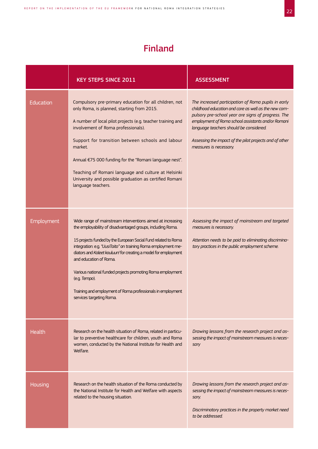# Finland

|            | <b>KEY STEPS SINCE 2011</b>                                                                                                                                                                                                                                                                                                                                                                                                                                                                                                        | <b>ASSESSMENT</b>                                                                                                                                                                                                                                                                                                                                       |
|------------|------------------------------------------------------------------------------------------------------------------------------------------------------------------------------------------------------------------------------------------------------------------------------------------------------------------------------------------------------------------------------------------------------------------------------------------------------------------------------------------------------------------------------------|---------------------------------------------------------------------------------------------------------------------------------------------------------------------------------------------------------------------------------------------------------------------------------------------------------------------------------------------------------|
| Education  | Compulsory pre-primary education for all children, not<br>only Roma, is planned, starting from 2015.<br>A number of local pilot projects (e.g. teacher training and<br>involvement of Roma professionals).<br>Support for transition between schools and labour<br>market.<br>Annual €75 000 funding for the "Romani language nest".<br>Teaching of Romani language and culture at Helsinki<br>University and possible graduation as certified Romani<br>language teachers.                                                        | The increased participation of Roma pupils in early<br>childhood education and care as well as the new com-<br>pulsory pre-school year are signs of progress. The<br>employment of Roma school assistants and/or Romani<br>language teachers should be considered.<br>Assessing the impact of the pilot projects and of other<br>measures is necessary. |
| Employment | Wide range of mainstream interventions aimed at increasing<br>the employability of disadvantaged groups, including Roma.<br>15 projects funded by the European Social Fund related to Roma<br>integration: e.g. "UusiTaito" on training Roma employment me-<br>diators and Kaleet kouluun! for creating a model for employment<br>and education of Roma.<br>Various national funded projects promoting Roma employment<br>(e.g. Tempo).<br>Training and employment of Roma professionals in employment<br>services targeting Roma. | Assessing the impact of mainstream and targeted<br>measures is necessary.<br>Attention needs to be paid to eliminating discrimina-<br>tory practices in the public employment scheme.                                                                                                                                                                   |
| Health     | Research on the health situation of Roma, related in particu-<br>lar to preventive healthcare for children, youth and Roma<br>women, conducted by the National Institute for Health and<br>Welfare.                                                                                                                                                                                                                                                                                                                                | Drawing lessons from the research project and as-<br>sessing the impact of mainstream measures is neces-<br>sary                                                                                                                                                                                                                                        |
| Housing    | Research on the health situation of the Roma conducted by<br>the National Institute for Health and Welfare with aspects<br>related to the housing situation.                                                                                                                                                                                                                                                                                                                                                                       | Drawing lessons from the research project and as-<br>sessing the impact of mainstream measures is neces-<br>sary.<br>Discriminatory practices in the property market need<br>to be addressed.                                                                                                                                                           |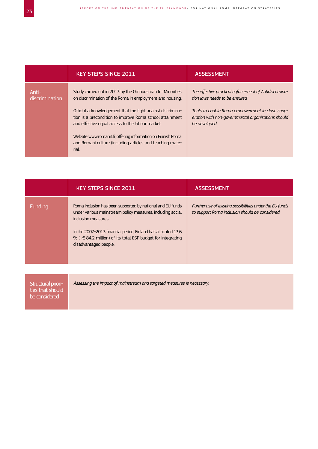|                         | <b>KEY STEPS SINCE 2011</b>                                                                                                                                                 | <b>ASSESSMENT</b>                                                                                                     |
|-------------------------|-----------------------------------------------------------------------------------------------------------------------------------------------------------------------------|-----------------------------------------------------------------------------------------------------------------------|
| Anti-<br>discrimination | Study carried out in 2013 by the Ombudsman for Minorities<br>on discrimination of the Roma in employment and housing.                                                       | The effective practical enforcement of Antidiscrimina-<br>tion laws needs to be ensured.                              |
|                         | Official acknowledgement that the fight against discrimina-<br>tion is a precondition to improve Roma school attainment<br>and effective equal access to the labour market. | Tools to enable Roma empowerment in close coop-<br>eration with non-governmental organisations should<br>be developed |
|                         | Website www.romanit.fi, offering information on Finnish Roma<br>and Romani culture (including articles and teaching mate-<br>rial.                                          |                                                                                                                       |

|                                                         | <b>KEY STEPS SINCE 2011</b>                                                                                                                                                                                                                                                                                   | <b>ASSESSMENT</b>                                                                                           |
|---------------------------------------------------------|---------------------------------------------------------------------------------------------------------------------------------------------------------------------------------------------------------------------------------------------------------------------------------------------------------------|-------------------------------------------------------------------------------------------------------------|
| Funding                                                 | Roma inclusion has been supported by national and EU funds<br>under various mainstream policy measures, including social<br>inclusion measures.<br>In the 2007-2013 financial period, Finland has allocated 13,6<br>% ( $\leq$ 84.2 million) of its total ESF budget for integrating<br>disadvantaged people. | Further use of existing possibilities under the EU funds<br>to support Roma inclusion should be considered. |
|                                                         |                                                                                                                                                                                                                                                                                                               |                                                                                                             |
| Structural priori-<br>ties that should<br>be considered | Assessing the impact of mainstream and targeted measures is necessary.                                                                                                                                                                                                                                        |                                                                                                             |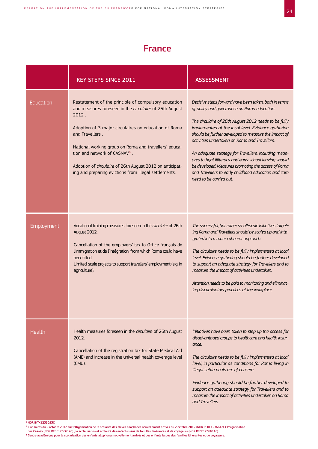## France

|                  | <b>KEY STEPS SINCE 2011</b>                                                                                                                                                                                                                                                                                                                                                                                                   | <b>ASSESSMENT</b>                                                                                                                                                                                                                                                                                                                                                                                                                                                                                                                                                                         |
|------------------|-------------------------------------------------------------------------------------------------------------------------------------------------------------------------------------------------------------------------------------------------------------------------------------------------------------------------------------------------------------------------------------------------------------------------------|-------------------------------------------------------------------------------------------------------------------------------------------------------------------------------------------------------------------------------------------------------------------------------------------------------------------------------------------------------------------------------------------------------------------------------------------------------------------------------------------------------------------------------------------------------------------------------------------|
| <b>Education</b> | Restatement of the principle of compulsory education<br>and measures foreseen in the circulaire of 26th August<br>2012.<br>Adoption of 3 major circulaires on education of Roma<br>and Travellers.<br>National working group on Roma and travellers' educa-<br>tion and network of CASNAV <sup>4</sup> .<br>Adoption of circulaire of 26th August 2012 on anticipat-<br>ing and preparing evictions from illegal settlements. | Decisive steps forward have been taken, both in terms<br>of policy and governance on Roma education.<br>The circulaire of 26th August 2012 needs to be fully<br>implemented at the local level. Evidence gathering<br>should be further developed to measure the impact of<br>activities undertaken on Roma and Travellers.<br>An adequate strategy for Travellers, including meas-<br>ures to fight illiteracy and early school leaving should<br>be developed. Measures promoting the access of Roma<br>and Travellers to early childhood education and care<br>need to be carried out. |
| Employment       | Vocational training measures foreseen in the circulaire of 26th<br>August 2012.<br>Cancellation of the employers' tax to Office français de<br>l'Immigration et de l'Intégration, from which Roma could have<br>benefitted.<br>Limited-scale projects to support travellers' employment (e.g. in<br>agriculture).                                                                                                             | The successful, but rather small-scale initiatives target-<br>ing Roma and Travellers should be scaled up and inte-<br>grated into a more coherent approach.<br>The circulaire needs to be fully implemented at local<br>level. Evidence gathering should be further developed<br>to support an adequate strategy for Travellers and to<br>measure the impact of activities undertaken.<br>Attention needs to be paid to monitoring and eliminat-<br>ing discriminatory practices at the workplace.                                                                                       |
| Health           | Health measures foreseen in the circulaire of 26th August<br>2012.<br>Cancellation of the registration tax for State Medical Aid<br>(AME) and increase in the universal health coverage level<br>(CMU).                                                                                                                                                                                                                       | Initiatives have been taken to step up the access for<br>disadvantaged groups to healthcare and health insur-<br>ance.<br>The circulaire needs to be fully implemented at local<br>level, in particular as conditions for Roma living in<br>illegal settlements are of concern.<br>Evidence gathering should be further developed to<br>support an adequate strategy for Travellers and to<br>measure the impact of activities undertaken on Roma<br>and Travellers.                                                                                                                      |

2 NOR INTK1233053C

<sup>3</sup> Circulaires du 2 octobre 2012 sur: l'Organisation de la scolarité des élèves allophones nouvellement arrivés du 2 octobre 2012 (NOR REDE1236612C); l'organisation<br>des Casnav (NOR REDE1236614C) ; la scolarisation et scol

4 Centre académique pour la scolarisation des enfants allophones nouvellement arrivés et des enfants issues des familles itinérantes et de voyageurs.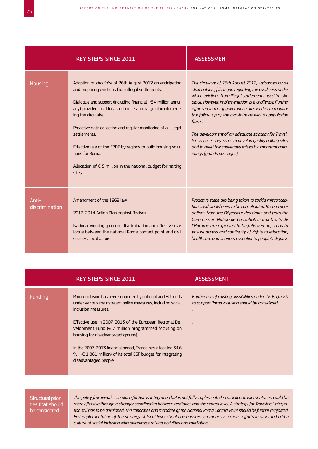|                         | <b>KEY STEPS SINCE 2011</b>                                                                                                                                                                                                                                                                                                                                                                                                                                                                                                     | <b>ASSESSMENT</b>                                                                                                                                                                                                                                                                                                                                                                                                                                                                                                                                                       |
|-------------------------|---------------------------------------------------------------------------------------------------------------------------------------------------------------------------------------------------------------------------------------------------------------------------------------------------------------------------------------------------------------------------------------------------------------------------------------------------------------------------------------------------------------------------------|-------------------------------------------------------------------------------------------------------------------------------------------------------------------------------------------------------------------------------------------------------------------------------------------------------------------------------------------------------------------------------------------------------------------------------------------------------------------------------------------------------------------------------------------------------------------------|
| Housing                 | Adoption of circulaire of 26th August 2012 on anticipating<br>and preparing evictions from illegal settlements.<br>Dialogue and support (including financial - €4 million annu-<br>ally) provided to all local authorities in charge of implement-<br>ing the circulaire.<br>Proactive data collection and regular monitoring of all illegal<br>settlements<br>Effective use of the ERDF by regions to build housing solu-<br>tions for Roma<br>Allocation of $\epsilon$ 5 million in the national budget for halting<br>sites. | The circulaire of 26th August 2012, welcomed by all<br>stakeholders, fills a gap regarding the conditions under<br>which evictions from illegal settlements used to take<br>place. However, implementation is a challenge. Further<br>efforts in terms of governance are needed to monitor<br>the follow-up of the circulaire as well as population<br>fluxes.<br>The development of an adequate strategy for Travel-<br>lers is necessary, so as to develop quality halting sites<br>and to meet the challenges raised by important gath-<br>erings (grands passages). |
| Anti-<br>discrimination | Amendment of the 1969 law.<br>2012-2014 Action Plan against Racism.<br>National working group on discrimination and effective dia-<br>logue between the national Roma contact point and civil<br>society / local actors.                                                                                                                                                                                                                                                                                                        | Proactive steps are being taken to tackle misconcep-<br>tions and would need to be consolidated. Recommen-<br>dations from the Défenseur des droits and from the<br>Commission Nationale Consultative aux Droits de<br>l'Homme are expected to be followed up, so as to<br>ensure access and continuity of rights to education,<br>healthcare and services essential to people's dignity.                                                                                                                                                                               |

|         | <b>KEY STEPS SINCE 2011</b>                                                                                                                                                                                                                                                                                                                                                                                                                                                        | <b>ASSESSMENT</b>                                                                                           |
|---------|------------------------------------------------------------------------------------------------------------------------------------------------------------------------------------------------------------------------------------------------------------------------------------------------------------------------------------------------------------------------------------------------------------------------------------------------------------------------------------|-------------------------------------------------------------------------------------------------------------|
| Funding | Roma inclusion has been supported by national and EU funds<br>under various mainstream policy measures, including social<br>inclusion measures.<br>Effective use in 2007-2013 of the European Regional De-<br>velopment Fund ( $\in$ 7 million programmed focusing on<br>housing for disadvantaged groups).<br>In the 2007-2013 financial period, France has allocated 34,6<br>% ( $\sim \epsilon$ 1 861 million) of its total ESF budget for integrating<br>disadvantaged people. | Further use of existing possibilities under the EU funds<br>to support Roma inclusion should be considered. |

*The policy framework is in place for Roma integration but is not fully implemented in practice. Implementation could be more effective through a stronger coordination between territories and the central level. A strategy for Travellers' integra*tion still has to be developed. The capacities and mandate of the National Roma Contact Point should be further reinforced. *Full implementation of the strategy at local level should be ensured via more systematic efforts in order to build a culture of social inclusion with awareness raising activities and mediation.*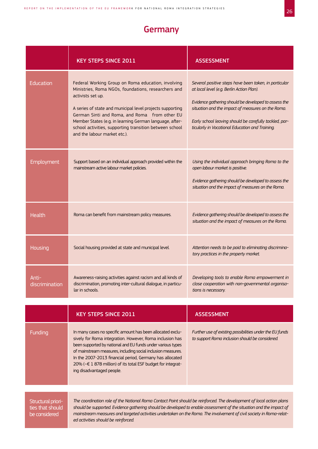## **Germany**

|                         | <b>KEY STEPS SINCE 2011</b>                                                                                                                                                                                                                                                                                                                                                                        | <b>ASSESSMENT</b>                                                                                                                                                                                                                                                                                                            |
|-------------------------|----------------------------------------------------------------------------------------------------------------------------------------------------------------------------------------------------------------------------------------------------------------------------------------------------------------------------------------------------------------------------------------------------|------------------------------------------------------------------------------------------------------------------------------------------------------------------------------------------------------------------------------------------------------------------------------------------------------------------------------|
| Education               | Federal Working Group on Roma education, involving<br>Ministries, Roma NGOs, foundations, researchers and<br>activists set up.<br>A series of state and municipal level projects supporting<br>German Sinti and Roma, and Roma from other EU<br>Member States (e.g. in learning German language, after-<br>school activities, supporting transition between school<br>and the labour market etc.). | Several positive steps have been taken, in particular<br>at local level (e.g. Berlin Action Plan).<br>Evidence gathering should be developed to assess the<br>situation and the impact of measures on the Roma.<br>Early school leaving should be carefully tackled, par-<br>ticularly in Vocational Education and Training. |
| <b>Employment</b>       | Support based on an individual approach provided within the<br>mainstream active labour market policies.                                                                                                                                                                                                                                                                                           | Using the individual approach bringing Roma to the<br>open labour market is positive.<br>Evidence gathering should be developed to assess the<br>situation and the impact of measures on the Roma.                                                                                                                           |
| <b>Health</b>           | Roma can benefit from mainstream policy measures.                                                                                                                                                                                                                                                                                                                                                  | Evidence gathering should be developed to assess the<br>situation and the impact of measures on the Roma.                                                                                                                                                                                                                    |
| Housing                 | Social housing provided at state and municipal level.                                                                                                                                                                                                                                                                                                                                              | Attention needs to be paid to eliminating discrimina-<br>tory practices in the property market.                                                                                                                                                                                                                              |
| Anti-<br>discrimination | Awareness-raising activities against racism and all kinds of<br>discrimination, promoting inter-cultural dialogue, in particu-<br>lar in schools.                                                                                                                                                                                                                                                  | Developing tools to enable Roma empowerment in<br>close cooperation with non-governmental organisa-<br>tions is necessary.                                                                                                                                                                                                   |
|                         |                                                                                                                                                                                                                                                                                                                                                                                                    |                                                                                                                                                                                                                                                                                                                              |

|                                                         | <b>KEY STEPS SINCE 2011</b>                                                                                                                                                                                                                                                                                                                                                                                    | <b>ASSESSMENT</b>                                                                                           |
|---------------------------------------------------------|----------------------------------------------------------------------------------------------------------------------------------------------------------------------------------------------------------------------------------------------------------------------------------------------------------------------------------------------------------------------------------------------------------------|-------------------------------------------------------------------------------------------------------------|
| Funding                                                 | In many cases no specific amount has been allocated exclu-<br>sively for Roma integration. However, Roma inclusion has<br>been supported by national and EU funds under various types<br>of mainstream measures, including social inclusion measures.<br>In the 2007-2013 financial period, Germany has allocated<br>20% (~€ 1 878 million) of its total ESF budget for integrat-<br>ing disadvantaged people. | Further use of existing possibilities under the EU funds<br>to support Roma inclusion should be considered. |
|                                                         |                                                                                                                                                                                                                                                                                                                                                                                                                |                                                                                                             |
| Structural priori-<br>ties that should<br>be considered | The coordination role of the National Roma Contact Point should be reinforced. The development of local action plans<br>should be supported. Evidence gathering should be developed to enable assessment of the situation and the impact of<br>mainstream measures and targeted activities undertaken on the Roma. The involvement of civil society in Roma-relat-<br>ed activities should be reinforced.      |                                                                                                             |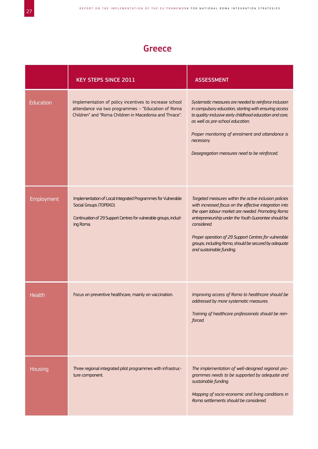## Greece

|                   | <b>KEY STEPS SINCE 2011</b>                                                                                                                                               | <b>ASSESSMENT</b>                                                                                                                                                                                                                                                                                                                                                                          |
|-------------------|---------------------------------------------------------------------------------------------------------------------------------------------------------------------------|--------------------------------------------------------------------------------------------------------------------------------------------------------------------------------------------------------------------------------------------------------------------------------------------------------------------------------------------------------------------------------------------|
| Education         | Implementation of policy incentives to increase school<br>attendance via two programmes - "Education of Roma<br>Children" and "Roma Children in Macedonia and Thrace".    | Systematic measures are needed to reinforce inclusion<br>in compulsory education, starting with ensuring access<br>to quality-inclusive early childhood education and care,<br>as well as pre-school education.<br>Proper monitoring of enrolment and attendance is<br>necessary.<br>Desegregation measures need to be reinforced.                                                         |
| <b>Employment</b> | Implementation of Local Integrated Programmes for Vulnerable<br>Social Groups (TOPEKO).<br>Continuation of 29 Support Centres for vulnerable groups, includ-<br>ing Roma. | Targeted measures within the active inclusion policies<br>with increased focus on the effective integration into<br>the open labour market are needed. Promoting Roma<br>entrepreneurship under the Youth Guarantee should be<br>considered.<br>Proper operation of 29 Support Centres for vulnerable<br>groups, including Roma, should be secured by adequate<br>and sustainable funding. |
| Health            | Focus on preventive healthcare, mainly on vaccination.                                                                                                                    | Improving access of Roma to healthcare should be<br>addressed by more systematic measures.<br>Training of healthcare professionals should be rein-<br>forced.                                                                                                                                                                                                                              |
| Housing           | Three regional integrated pilot programmes with infrastruc-<br>ture component.                                                                                            | The implementation of well-designed regional pro-<br>grammes needs to be supported by adequate and<br>sustainable funding.<br>Mapping of socio-economic and living conditions in<br>Roma settlements should be considered.                                                                                                                                                                 |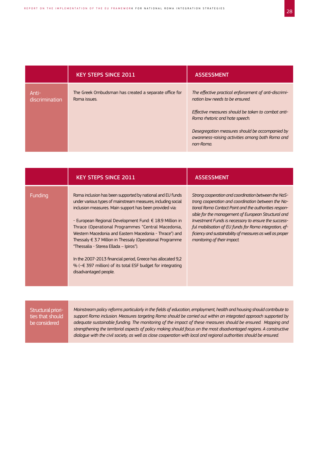|                         | <b>KEY STEPS SINCE 2011</b>                                           | <b>ASSESSMENT</b>                                                                                                                                                                                                                                                                                    |
|-------------------------|-----------------------------------------------------------------------|------------------------------------------------------------------------------------------------------------------------------------------------------------------------------------------------------------------------------------------------------------------------------------------------------|
| Anti-<br>discrimination | The Greek Ombudsman has created a separate office for<br>Roma issues. | The effective practical enforcement of anti-discrimi-<br>nation law needs to be ensured.<br>Effective measures should be taken to combat anti-<br>Roma rhetoric and hate speech.<br>Desegregation measures should be accompanied by<br>awareness-raising activities among both Roma and<br>non-Roma. |

|         | <b>KEY STEPS SINCE 2011</b>                                                                                                                                                                                                                                                                                                                                                                                                                                                                                                                                                                                                                      | <b>ASSESSMENT</b>                                                                                                                                                                                                                                                                                                                                                                                                                        |
|---------|--------------------------------------------------------------------------------------------------------------------------------------------------------------------------------------------------------------------------------------------------------------------------------------------------------------------------------------------------------------------------------------------------------------------------------------------------------------------------------------------------------------------------------------------------------------------------------------------------------------------------------------------------|------------------------------------------------------------------------------------------------------------------------------------------------------------------------------------------------------------------------------------------------------------------------------------------------------------------------------------------------------------------------------------------------------------------------------------------|
| Funding | Roma inclusion has been supported by national and EU funds<br>under various types of mainstream measures, including social<br>inclusion measures. Main support has been provided via:<br>- European Regional Development Fund: € 18.9 Million in<br>Thrace (Operational Programmes "Central Macedonia,<br>Western Macedonia and Eastern Macedonia - Thrace") and<br>Thessaly $\epsilon$ 3.7 Million in Thessaly (Operational Programme<br>"Thessalia - Sterea Ellada – Ipiros").<br>In the 2007-2013 financial period, Greece has allocated 9,2<br>% ( $\textless$ 397 million) of its total ESF budget for integrating<br>disadvantaged people. | Strong cooperation and coordination between the NaS-<br>trong cooperation and coordination between the Na-<br>tional Roma Contact Point and the authorities respon-<br>sible for the management of European Structural and<br>Investment Funds is necessary to ensure the success-<br>ful mobilisation of EU funds for Roma integration, ef-<br>ficiency and sustainability of measures as well as proper<br>monitoring of their impact. |

*Mainstream policy reforms particularly in the fields of education, employment, health and housing should contribute to support Roma inclusion. Measures targeting Roma should be carried out within an integrated approach supported by adequate sustainable funding. The monitoring of the impact of these measures should be ensured. Mapping and strengthening the territorial aspects of policy making should focus on the most disadvantaged regions. A constructive dialogue with the civil society, as well as close cooperation with local and regional authorities should be ensured.*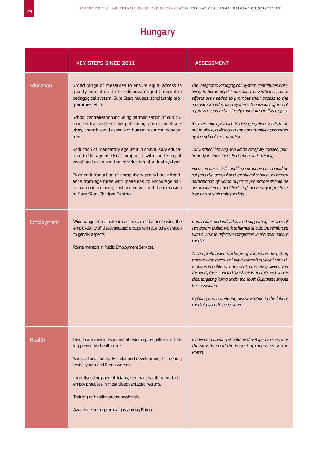## Hungary

|                         | <b>KEY STEPS SINCE 2011</b>                                                                                                                                                                                                                                                                                                                                                                                                                                                                                                                                                                                                                                                                                                                                                                                                                                                                                                                                                      | <b>ASSESSMENT</b>                                                                                                                                                                                                                                                                                                                                                                                                                                                                                                                                                                                                                                                                                                                                                                                                                                                                                                                                                                                                                                                                                                                                                                                                                                                                                                                                                                                   |
|-------------------------|----------------------------------------------------------------------------------------------------------------------------------------------------------------------------------------------------------------------------------------------------------------------------------------------------------------------------------------------------------------------------------------------------------------------------------------------------------------------------------------------------------------------------------------------------------------------------------------------------------------------------------------------------------------------------------------------------------------------------------------------------------------------------------------------------------------------------------------------------------------------------------------------------------------------------------------------------------------------------------|-----------------------------------------------------------------------------------------------------------------------------------------------------------------------------------------------------------------------------------------------------------------------------------------------------------------------------------------------------------------------------------------------------------------------------------------------------------------------------------------------------------------------------------------------------------------------------------------------------------------------------------------------------------------------------------------------------------------------------------------------------------------------------------------------------------------------------------------------------------------------------------------------------------------------------------------------------------------------------------------------------------------------------------------------------------------------------------------------------------------------------------------------------------------------------------------------------------------------------------------------------------------------------------------------------------------------------------------------------------------------------------------------------|
| Education<br>Employment | Broad range of measures to ensure equal access to<br>quality education for the disadvantaged (integrated<br>pedagogical system, Sure Start houses, scholarship pro-<br>grammes, etc.).<br>School centralisation including harmonisation of curricu-<br>lum, centralised textbook publishing, professional ser-<br>vices, financing and aspects of human resource manage-<br>ment<br>Reduction of mandatory age limit in compulsory educa-<br>tion (to the age of 16) accompanied with shortening of<br>vocational cycle and the introduction of a dual system.<br>Planned introduction of compulsory pre-school attend-<br>ance from age three with measures .to encourage par-<br>ticipation in including cash incentives and the extension<br>of Sure Start Children Centres.<br>Wide range of mainstream actions aimed at increasing the<br>employability of disadvantaged groups with due consideration<br>to gender aspects.<br>Roma mentors in Public Employment Services. | The integrated Pedagogical System contributes posi-<br>tively to Roma pupils' education, nevertheless, more<br>efforts are needed to promote their access to the<br>mainstream education system The impact of recent<br>reforms needs to be closely monitored in this regard.<br>A systematic approach to desegregation needs to be<br>put in place, building on the opportunities presented<br>by the school centralisation.<br>Early school leaving should be carefully tackled, par-<br>ticularly in Vocational Education and Training.<br>Focus on basic skills and key competences should be<br>reinforced in general and vocational schools. Increased<br>participation of Roma pupils in pre-school should be<br>accompanied by qualified staff, necessary infrastruc-<br>ture and sustainable funding.<br>Continuous and individualised supporting services of<br>temporary public work schemes should be reinforced<br>with a view to effective integration in the open labour<br>market.<br>A comprehensive package of measures targeting<br>private employers including extending social consid-<br>erations in public procurement, promoting diversity in<br>the workplace, coupled by job trials, recruitment subsi-<br>dies, targeting Roma under the Youth Guarantee should<br>be considered.<br>Fighting and monitoring discrimination in the labour<br>market needs to be ensured. |
| Health                  | Healthcare measures aimed at reducing inequalities, includ-<br>ing preventive health care.<br>Special focus on early childhood development (screening<br>tests), youth and Roma women.<br>Incentives for paediatricians, general practitioners to fill<br>empty practices in most disadvantaged regions.<br>Training of healthcare professionals.<br>Awareness-rising campaigns among Roma.                                                                                                                                                                                                                                                                                                                                                                                                                                                                                                                                                                                      | Evidence gathering should be developed to measure<br>the situation and the impact of measures on the<br>Roma.                                                                                                                                                                                                                                                                                                                                                                                                                                                                                                                                                                                                                                                                                                                                                                                                                                                                                                                                                                                                                                                                                                                                                                                                                                                                                       |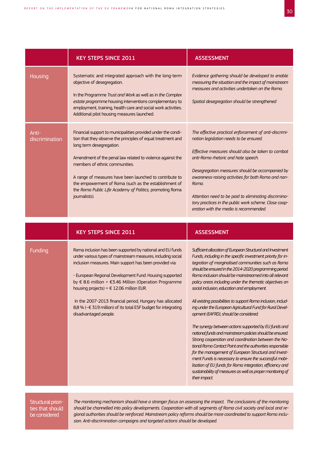|                         | <b>KEY STEPS SINCE 2011</b>                                                                                                                                                                                                                                                                                                                                                                                                                                                                                           | <b>ASSESSMENT</b>                                                                                                                                                                                                                                                                                                                                                                                                                                                                                                                                                                                                                                                                                                                                                                                                                                                                                                                                                                                                                                                                                |
|-------------------------|-----------------------------------------------------------------------------------------------------------------------------------------------------------------------------------------------------------------------------------------------------------------------------------------------------------------------------------------------------------------------------------------------------------------------------------------------------------------------------------------------------------------------|--------------------------------------------------------------------------------------------------------------------------------------------------------------------------------------------------------------------------------------------------------------------------------------------------------------------------------------------------------------------------------------------------------------------------------------------------------------------------------------------------------------------------------------------------------------------------------------------------------------------------------------------------------------------------------------------------------------------------------------------------------------------------------------------------------------------------------------------------------------------------------------------------------------------------------------------------------------------------------------------------------------------------------------------------------------------------------------------------|
| <b>Housing</b>          | Systematic and integrated approach with the long-term<br>objective of desegregation.<br>In the Programme Trust and Work as well as in the Complex<br>estate programme housing interventions complementary to<br>employment, training, health care and social work activities.<br>Additional pilot housing measures launched.                                                                                                                                                                                          | Evidence gathering should be developed to enable<br>measuring the situation and the impact of mainstream<br>measures and activities undertaken on the Roma.<br>Spatial desegregation should be strengthened                                                                                                                                                                                                                                                                                                                                                                                                                                                                                                                                                                                                                                                                                                                                                                                                                                                                                      |
| Anti-<br>discrimination | Financial support to municipalities provided under the condi-<br>tion that they observe the principles of equal treatment and<br>long term desegregation.<br>Amendment of the penal law related to violence against the<br>members of ethnic communities.<br>A range of measures have been launched to contribute to<br>the empowerment of Roma (such as the establishment of<br>the Roma Public Life Academy of Politics, promoting Roma<br>journalists).                                                            | The effective practical enforcement of anti-discrimi-<br>nation legislation needs to be ensured.<br>Effective measures should also be taken to combat<br>anti-Roma rhetoric and hate speech.<br>Desegregation measures should be accompanied by<br>awareness-raising activities for both Roma and non-<br>Roma.<br>Attention need to be paid to eliminating discrimina-<br>tory practices in the public work scheme. Close coop-<br>eration with the media is recommended.                                                                                                                                                                                                                                                                                                                                                                                                                                                                                                                                                                                                                       |
|                         |                                                                                                                                                                                                                                                                                                                                                                                                                                                                                                                       |                                                                                                                                                                                                                                                                                                                                                                                                                                                                                                                                                                                                                                                                                                                                                                                                                                                                                                                                                                                                                                                                                                  |
|                         | <b>KEY STEPS SINCE 2011</b>                                                                                                                                                                                                                                                                                                                                                                                                                                                                                           | <b>ASSESSMENT</b>                                                                                                                                                                                                                                                                                                                                                                                                                                                                                                                                                                                                                                                                                                                                                                                                                                                                                                                                                                                                                                                                                |
| <b>Funding</b>          | Roma inclusion has been supported by national and EU funds<br>under various types of mainstream measures, including social<br>inclusion measures. Main support has been provided via:<br>- European Regional Development Fund: Housing supported<br>by € 8.6 million + €3.46 Million (Operation Programme<br>housing projects) = $\epsilon$ 12.06 million EUR.<br>In the 2007-2013 financial period, Hungary has allocated<br>8,8 % (~€ 319 million) of its total ESF budget for integrating<br>disadvantaged people. | Sufficient allocation of European Structural and Investment<br>Funds, including in the specific investment priority for in-<br>tegration of marginalised communities such as Roma<br>should be ensured in the 2014-2020 programming period.<br>Roma inclusion should be mainstreamed into all relevant<br>policy areas including under the thematic objectives on<br>social inclusion, education and employment.<br>All existing possibilities to support Roma inclusion, includ-<br>ing under the European Agricultural Fund for Rural Devel-<br>opment (EAFRD), should be considered.<br>The synergy between actions supported by EU funds and<br>national funds and mainstream policies should be ensured.<br>Strong cooperation and coordination between the Na-<br>tional Roma Contact Point and the authorities responsible<br>for the management of European Structural and Invest-<br>ment Funds is necessary to ensure the successful mobi-<br>lisation of EU funds for Roma integration, efficiency and<br>sustainability of measures as well as proper monitoring of<br>their impact. |

*The monitoring mechanism should have a stronger focus on assessing the impact. The conclusions of the monitoring should be channelled into policy developments. Cooperation with all segments of Roma civil society and local and regional authorities should be reinforced. Mainstream policy reforms should be more coordinated to support Roma inclusion. Anti-discrimination campaigns and targeted actions should be developed.*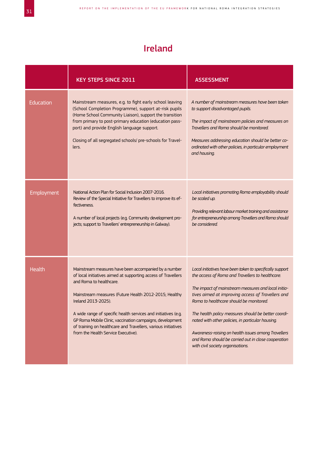# Ireland

|            | <b>KEY STEPS SINCE 2011</b>                                                                                                                                                                                                                                                                                                                                                                                                                                              | <b>ASSESSMENT</b>                                                                                                                                                                                                                                                                                                                                                                                                                                                                                                                   |
|------------|--------------------------------------------------------------------------------------------------------------------------------------------------------------------------------------------------------------------------------------------------------------------------------------------------------------------------------------------------------------------------------------------------------------------------------------------------------------------------|-------------------------------------------------------------------------------------------------------------------------------------------------------------------------------------------------------------------------------------------------------------------------------------------------------------------------------------------------------------------------------------------------------------------------------------------------------------------------------------------------------------------------------------|
| Education  | Mainstream measures, e.g. to fight early school leaving<br>(School Completion Programme), support at-risk pupils<br>(Home School Community Liaison), support the transition<br>from primary to post-primary education (education pass-<br>port) and provide English language support.<br>Closing of all segregated schools/ pre-schools for Travel-<br>lers.                                                                                                             | A number of mainstream measures have been taken<br>to support disadvantaged pupils.<br>The impact of mainstream policies and measures on<br>Travellers and Roma should be monitored.<br>Measures addressing education should be better co-<br>ordinated with other policies, in particular employment<br>and housing.                                                                                                                                                                                                               |
| Employment | National Action Plan for Social Inclusion 2007-2016.<br>Review of the Special Initiative for Travellers to improve its ef-<br>fectiveness.<br>A number of local projects (e.g. Community development pro-<br>jects; support to Travellers' entrepreneurship in Galway).                                                                                                                                                                                                  | Local initiatives promoting Roma employability should<br>be scaled up.<br>Providing relevant labour market training and assistance<br>for entrepreneurship among Travellers and Roma should<br>be considered.                                                                                                                                                                                                                                                                                                                       |
| Health     | Mainstream measures have been accompanied by a number<br>of local initiatives aimed at supporting access of Travellers<br>and Roma to healthcare.<br>Mainstream measures (Future Health 2012-2015; Healthy<br>Ireland 2013-2025).<br>A wide range of specific health services and initiatives (e.g.<br>GP Roma Mobile Clinic, vaccination campaigns, development<br>of training on healthcare and Travellers, various initiatives<br>from the Health Service Executive). | Local initiatives have been taken to specifically support<br>the access of Roma and Travellers to healthcare.<br>The impact of mainstream measures and local initia-<br>tives aimed at improving access of Travellers and<br>Roma to healthcare should be monitored.<br>The health policy measures should be better coordi-<br>nated with other policies, in particular housing.<br>Awareness-raising on health issues among Travellers<br>and Roma should be carried out in close cooperation<br>with civil society organisations. |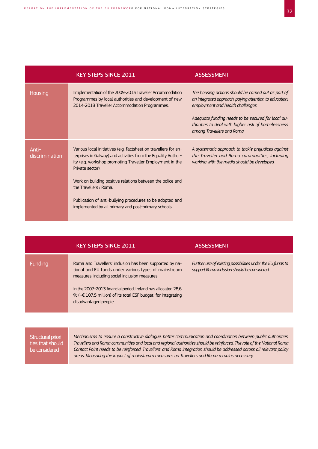|                         | <b>KEY STEPS SINCE 2011</b>                                                                                                                                                                                                                                                                                                                                                                                                   | <b>ASSESSMENT</b>                                                                                                                                                                                                                                                                            |
|-------------------------|-------------------------------------------------------------------------------------------------------------------------------------------------------------------------------------------------------------------------------------------------------------------------------------------------------------------------------------------------------------------------------------------------------------------------------|----------------------------------------------------------------------------------------------------------------------------------------------------------------------------------------------------------------------------------------------------------------------------------------------|
| Housing                 | Ilmplementation of the 2009-2013 Traveller Accommodation<br>Programmes by local authorities and development of new<br>2014-2018 Traveller Accommodation Programmes.                                                                                                                                                                                                                                                           | The housing actions should be carried out as part of<br>an integrated approach, paying attention to education,<br>employment and health challenges.<br>Adequate funding needs to be secured for local au-<br>thorities to deal with higher risk of homelessness<br>among Travellers and Roma |
| Anti-<br>discrimination | Various local initiatives (e.g. factsheet on travellers for en-<br>terprises in Galway) and activities from the Equality Author-<br>ity (e.g. workshop promoting Traveller Employment in the<br>Private sector).<br>Work on building positive relations between the police and<br>the Travellers / Roma.<br>Publication of anti-bullying procedures to be adopted and<br>implemented by all primary and post-primary schools. | A systematic approach to tackle prejudices against<br>the Traveller and Roma communities, including<br>working with the media should be developed.                                                                                                                                           |

|         | <b>KEY STEPS SINCE 2011</b>                                                                                                                                                                                                                                                                                                              | <b>ASSESSMENT</b>                                                                                           |
|---------|------------------------------------------------------------------------------------------------------------------------------------------------------------------------------------------------------------------------------------------------------------------------------------------------------------------------------------------|-------------------------------------------------------------------------------------------------------------|
| Funding | Roma and Travellers' inclusion has been supported by na-<br>tional and EU funds under various types of mainstream<br>measures, including social inclusion measures.<br>In the 2007-2013 financial period, Ireland has allocated 28,6<br>% ( $\text{~€ } 107,5$ million) of its total ESF budget for integrating<br>disadvantaged people. | Further use of existing possibilities under the EU funds to<br>support Roma inclusion should be considered. |

| Structural priori- | Mechanisms to ensure a constructive dialogue, better communication and coordination between public authorities,        |
|--------------------|------------------------------------------------------------------------------------------------------------------------|
| ties that should   | Travellers and Roma communities and local and regional authorities should be reinforced. The role of the National Roma |
| be considered      | Contact Point needs to be reinforced. Travellers' and Roma integration should be addressed across all relevant policy  |
|                    | areas. Measuring the impact of mainstream measures on Travellers and Roma remains necessary.                           |
|                    |                                                                                                                        |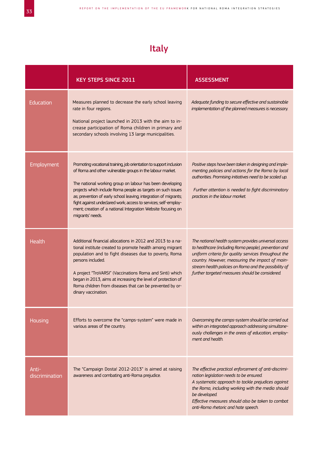# Italy

|                         | <b>KEY STEPS SINCE 2011</b>                                                                                                                                                                                                                                                                                                                                                                                                                                                             | <b>ASSESSMENT</b>                                                                                                                                                                                                                                                                                                                    |
|-------------------------|-----------------------------------------------------------------------------------------------------------------------------------------------------------------------------------------------------------------------------------------------------------------------------------------------------------------------------------------------------------------------------------------------------------------------------------------------------------------------------------------|--------------------------------------------------------------------------------------------------------------------------------------------------------------------------------------------------------------------------------------------------------------------------------------------------------------------------------------|
| <b>Education</b>        | Measures planned to decrease the early school leaving<br>rate in four regions.<br>National project launched in 2013 with the aim to in-<br>crease participation of Roma children in primary and<br>secondary schools involving 13 large municipalities.                                                                                                                                                                                                                                 | Adequate funding to secure effective and sustainable<br>implementation of the planned measures is necessary.                                                                                                                                                                                                                         |
| Employment              | Promoting vocational training, job orientation to support inclusion<br>of Roma and other vulnerable groups in the labour market.<br>The national working group on labour has been developing<br>projects which include Roma people as targets on such issues<br>as; prevention of early school leaving; integration of migrants;<br>fight against undeclared work; access to services; self-employ-<br>ment; creation of a national Integration Website focusing on<br>migrants' needs. | Positive steps have been taken in designing and imple-<br>menting policies and actions for the Roma by local<br>authorities. Promising initiatives need to be scaled up.<br>Further attention is needed to fight discriminatory<br>practices in the labour market.                                                                   |
| Health                  | Additional financial allocations in 2012 and 2013 to a na-<br>tional institute created to promote health among migrant<br>population and to fight diseases due to poverty, Roma<br>persons included.<br>A project "TroVARSI" (Vaccinations Roma and Sinti) which<br>began in 2013, aims at increasing the level of protection of<br>Roma children from diseases that can be prevented by or-<br>dinary vaccination.                                                                     | The national health system provides universal access<br>to healthcare (including Roma people), prevention and<br>uniform criteria for quality services throughout the<br>country. However, measuring the impact of main-<br>stream health policies on Roma and the possibility of<br>further targeted measures should be considered. |
| <b>Housing</b>          | Efforts to overcome the "camps-system" were made in<br>various areas of the country.                                                                                                                                                                                                                                                                                                                                                                                                    | Overcoming the camps-system should be carried out<br>within an integrated approach addressing simultane-<br>ously challenges in the areas of education, employ-<br>ment and health.                                                                                                                                                  |
| Anti-<br>discrimination | The "Campaign Dosta! 2012-2013" is aimed at raising<br>awareness and combating anti-Roma prejudice.                                                                                                                                                                                                                                                                                                                                                                                     | The effective practical enforcement of anti-discrimi-<br>nation legislation needs to be ensured.<br>A systematic approach to tackle prejudices against<br>the Roma, including working with the media should<br>be developed.<br>Effective measures should also be taken to combat<br>anti-Roma rhetoric and hate speech.             |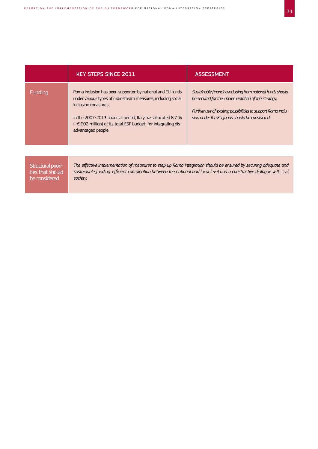|                                                         | <b>KEY STEPS SINCE 2011</b>                                                                                                                                                                                                                                                                                                    | <b>ASSESSMENT</b>                                                                                                                                                                                                                 |
|---------------------------------------------------------|--------------------------------------------------------------------------------------------------------------------------------------------------------------------------------------------------------------------------------------------------------------------------------------------------------------------------------|-----------------------------------------------------------------------------------------------------------------------------------------------------------------------------------------------------------------------------------|
| Funding                                                 | Roma inclusion has been supported by national and EU funds<br>under various types of mainstream measures, including social<br>inclusion measures.<br>In the 2007-2013 financial period, Italy has allocated 8,7 $\%$<br>$\left(\sim\in 602\right)$ million) of its total ESF budget for integrating dis-<br>advantaged people. | Sustainable financing including from national funds should<br>be secured for the implementation of the strategy.<br>Further use of existing possibilities to support Roma inclu-<br>sion under the EU funds should be considered. |
|                                                         |                                                                                                                                                                                                                                                                                                                                |                                                                                                                                                                                                                                   |
| Structural priori-<br>ties that should<br>be considered | The effective implementation of measures to step up Roma integration should be ensured by securing adequate and<br>sustainable funding, efficient coordination between the national and local level and a constructive dialogue with civil<br>society.                                                                         |                                                                                                                                                                                                                                   |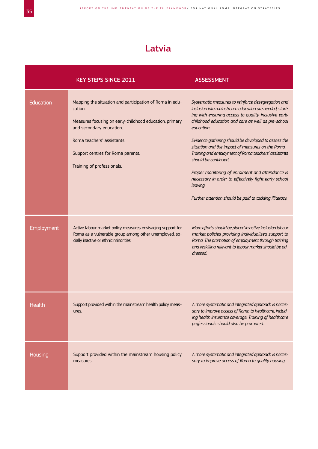## Latvia

|            | <b>KEY STEPS SINCE 2011</b>                                                                                                                                                                                                                                | <b>ASSESSMENT</b>                                                                                                                                                                                                                                                                                                                                                                                                                                                                                                                                                                                                        |
|------------|------------------------------------------------------------------------------------------------------------------------------------------------------------------------------------------------------------------------------------------------------------|--------------------------------------------------------------------------------------------------------------------------------------------------------------------------------------------------------------------------------------------------------------------------------------------------------------------------------------------------------------------------------------------------------------------------------------------------------------------------------------------------------------------------------------------------------------------------------------------------------------------------|
| Education  | Mapping the situation and participation of Roma in edu-<br>cation.<br>Measures focusing on early-childhood education, primary<br>and secondary education.<br>Roma teachers' assistants.<br>Support centres for Roma parents.<br>Training of professionals. | Systematic measures to reinforce desegregation and<br>inclusion into mainstream education are needed, start-<br>ing with ensuring access to quality-inclusive early<br>childhood education and care as well as pre-school<br>education.<br>Evidence gathering should be developed to assess the<br>situation and the impact of measures on the Roma.<br>Training and employment of Roma teachers' assistants<br>should be continued.<br>Proper monitoring of enrolment and attendance is<br>necessary in order to effectively fight early school<br>leaving.<br>Further attention should be paid to tackling illiteracy. |
| Employment | Active labour market policy measures envisaging support for<br>Roma as a vulnerable group among other unemployed, so-<br>cially inactive or ethnic minorities.                                                                                             | More efforts should be placed in active inclusion labour<br>market policies providing individualised support to<br>Roma. The promotion of employment through training<br>and reskilling relevant to labour market should be ad-<br>dressed.                                                                                                                                                                                                                                                                                                                                                                              |
| Health     | Support provided within the mainstream health policy meas-<br>ures.                                                                                                                                                                                        | A more systematic and integrated approach is neces-<br>sary to improve access of Roma to healthcare, includ-<br>ing health insurance coverage. Training of healthcare<br>professionals should also be promoted.                                                                                                                                                                                                                                                                                                                                                                                                          |
| Housing    | Support provided within the mainstream housing policy<br>measures.                                                                                                                                                                                         | A more systematic and integrated approach is neces-<br>sary to improve access of Roma to quality housing.                                                                                                                                                                                                                                                                                                                                                                                                                                                                                                                |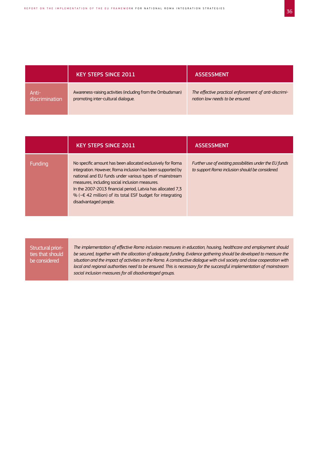|                | <b>KEY STEPS SINCE 2011</b>                                 | <b>ASSESSMENT</b>                                     |
|----------------|-------------------------------------------------------------|-------------------------------------------------------|
| Anti-          | Awareness-raising activities (including from the Ombudsman) | The effective practical enforcement of anti-discrimi- |
| discrimination | promoting inter-cultural dialogue.                          | nation law needs to be ensured.                       |

|         | <b>KEY STEPS SINCE 2011</b>                                                                                                                                                                                                                                                                                                                                                                              | <b>ASSESSMENT</b>                                                                                           |
|---------|----------------------------------------------------------------------------------------------------------------------------------------------------------------------------------------------------------------------------------------------------------------------------------------------------------------------------------------------------------------------------------------------------------|-------------------------------------------------------------------------------------------------------------|
| Funding | No specific amount has been allocated exclusively for Roma<br>integration. However, Roma inclusion has been supported by<br>national and EU funds under various types of mainstream<br>measures, including social inclusion measures.<br>In the 2007-2013 financial period, Latvia has allocated 7,3<br>% ( $\sim \epsilon$ 42 million) of its total ESF budget for integrating<br>disadvantaged people. | Further use of existing possibilities under the EU funds<br>to support Roma inclusion should be considered. |

*The implementation of effective Roma inclusion measures in education, housing, healthcare and employment should be secured, together with the allocation of adequate funding. Evidence gathering should be developed to measure the situation and the impact of activities on the Roma. A constructive dialogue with civil society and close cooperation with local and regional authorities need to be ensured. This is necessary for the successful implementation of mainstream social inclusion measures for all disadvantaged groups.*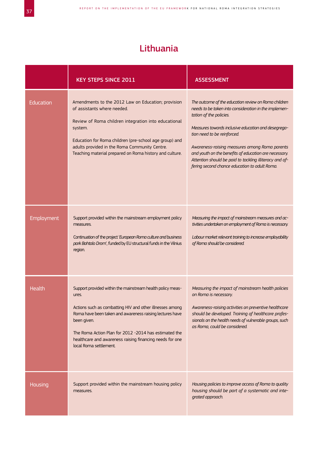## Lithuania

|            | <b>KEY STEPS SINCE 2011</b>                                                                                                                                                                                                                                                                                                                               | <b>ASSESSMENT</b>                                                                                                                                                                                                                                                                                                                                                                                                                                    |
|------------|-----------------------------------------------------------------------------------------------------------------------------------------------------------------------------------------------------------------------------------------------------------------------------------------------------------------------------------------------------------|------------------------------------------------------------------------------------------------------------------------------------------------------------------------------------------------------------------------------------------------------------------------------------------------------------------------------------------------------------------------------------------------------------------------------------------------------|
| Education  | Amendments to the 2012 Law on Education; provision<br>of assistants where needed.<br>Review of Roma children integration into educational<br>system.<br>Education for Roma children (pre-school age group) and<br>adults provided in the Roma Community Centre.<br>Teaching material prepared on Roma history and culture.                                | The outcome of the education review on Roma children<br>needs to be taken into consideration in the implemen-<br>tation of the policies.<br>Measures towards inclusive education and desegrega-<br>tion need to be reinforced.<br>Awareness-raising measures among Roma parents<br>and youth on the benefits of education are necessary.<br>Attention should be paid to tackling illiteracy and of-<br>fering second chance education to adult Roma. |
| Employment | Support provided within the mainstream employment policy<br>measures.<br>Continuation of the project 'European Roma culture and business<br>park Bahtalo Drom', funded by EU structural funds in the Vilnius<br>region.                                                                                                                                   | Measuring the impact of mainstream measures and ac-<br>tivities undertaken on employment of Roma is necessary.<br>Labour market relevant training to increase employability<br>of Roma should be considered.                                                                                                                                                                                                                                         |
| Health     | Support provided within the mainstream health policy meas-<br>ures.<br>Actions such as combatting HIV and other illnesses among<br>Roma have been taken and awareness raising lectures have<br>been given.<br>The Roma Action Plan for 2012 -2014 has estimated the<br>healthcare and awareness raising financing needs for one<br>local Roma settlement. | Measuring the impact of mainstream health policies<br>on Roma is necessary.<br>Awareness-raising activities on preventive healthcare<br>should be developed. Training of healthcare profes-<br>sionals on the health needs of vulnerable groups, such<br>as Roma, could be considered.                                                                                                                                                               |
| Housing    | Support provided within the mainstream housing policy<br>measures.                                                                                                                                                                                                                                                                                        | Housing policies to improve access of Roma to quality<br>housing should be part of a systematic and inte-<br>grated approach.                                                                                                                                                                                                                                                                                                                        |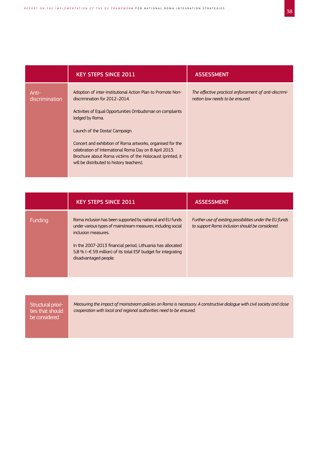|                         | <b>KEY STEPS SINCE 2011</b>                                                                                                                                                                                                                                                                                                                                                                                                                      | <b>ASSESSMENT</b>                                                                        |
|-------------------------|--------------------------------------------------------------------------------------------------------------------------------------------------------------------------------------------------------------------------------------------------------------------------------------------------------------------------------------------------------------------------------------------------------------------------------------------------|------------------------------------------------------------------------------------------|
| Anti-<br>discrimination | Adoption of inter-institutional Action Plan to Promote Non-<br>discrimination for 2012-2014.<br>Activities of Equal Opportunities Ombudsman on complaints<br>lodged by Roma.<br>Launch of the Dosta! Campaign.<br>Concert and exhibition of Roma artworks, organised for the<br>celebration of International Roma Day on 8 April 2013.<br>Brochure about Roma victims of the Holocaust (printed, it<br>will be distributed to history teachers). | The effective practical enforcement of anti-discrimi-<br>nation law needs to be ensured. |

|         | <b>KEY STEPS SINCE 2011</b>                                                                                                                                                                                                                                                                                   | <b>ASSESSMENT</b>                                                                                           |
|---------|---------------------------------------------------------------------------------------------------------------------------------------------------------------------------------------------------------------------------------------------------------------------------------------------------------------|-------------------------------------------------------------------------------------------------------------|
| Funding | Roma inclusion has been supported by national and EU funds<br>under various types of mainstream measures, including social<br>inclusion measures.<br>In the 2007-2013 financial period, Lithuania has allocated<br>5,8 % ( $\le$ 59 million) of its total ESF budget for integrating<br>disadvantaged people. | Further use of existing possibilities under the EU funds<br>to support Roma inclusion should be considered. |

| Structural priori-<br>ties that should<br>be considered | Measuring the impact of mainstream policies on Roma is necessary. A constructive dialogue with civil society and close<br>cooperation with local and regional authorities need to be ensured. |
|---------------------------------------------------------|-----------------------------------------------------------------------------------------------------------------------------------------------------------------------------------------------|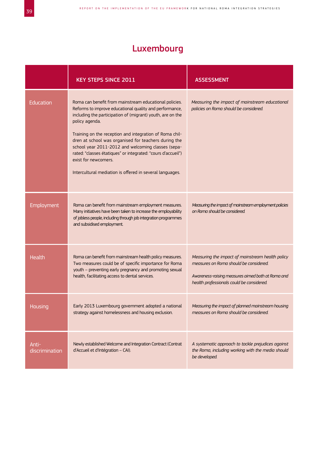# Luxembourg

|                         | <b>KEY STEPS SINCE 2011</b>                                                                                                                                                                                                                                                                                                                                                                                                                                                                                                    | <b>ASSESSMENT</b>                                                                                                                                                                            |
|-------------------------|--------------------------------------------------------------------------------------------------------------------------------------------------------------------------------------------------------------------------------------------------------------------------------------------------------------------------------------------------------------------------------------------------------------------------------------------------------------------------------------------------------------------------------|----------------------------------------------------------------------------------------------------------------------------------------------------------------------------------------------|
| Education               | Roma can benefit from mainstream educational policies.<br>Reforms to improve educational quality and performance,<br>including the participation of (migrant) youth, are on the<br>policy agenda.<br>Training on the reception and integration of Roma chil-<br>dren at school was organised for teachers during the<br>school year 2011-2012 and welcoming classes (sepa-<br>rated: "classes étatiques" or integrated: "cours d'accueil")<br>exist for newcomers.<br>Intercultural mediation is offered in several languages. | Measuring the impact of mainstream educational<br>policies on Roma should be considered.                                                                                                     |
| Employment              | Roma can benefit from mainstream employment measures.<br>Many initiatives have been taken to increase the employability<br>of jobless people, including through job integration programmes<br>and subsidised employment.                                                                                                                                                                                                                                                                                                       | Measuring the impact of mainstream employment policies<br>on Roma should be considered.                                                                                                      |
| Health                  | Roma can benefit from mainstream health policy measures.<br>Two measures could be of specific importance for Roma<br>youth - preventing early pregnancy and promoting sexual<br>health, facilitating access to dental services.                                                                                                                                                                                                                                                                                                | Measuring the impact of mainstream health policy<br>measures on Roma should be considered.<br>Awareness-raising measures aimed both at Roma and<br>health professionals could be considered. |
| <u>Housing</u>          | Early 2013 Luxembourg government adopted a national<br>strategy against homelessness and housing exclusion.                                                                                                                                                                                                                                                                                                                                                                                                                    | Measuring the impact of planned mainstream housing<br>measures on Roma should be considered.                                                                                                 |
| Anti-<br>discrimination | Newly established Welcome and Integration Contract (Contrat<br>d'Accueil et d'Intégration - CAI).                                                                                                                                                                                                                                                                                                                                                                                                                              | A systematic approach to tackle prejudices against<br>the Roma, including working with the media should<br>be developed.                                                                     |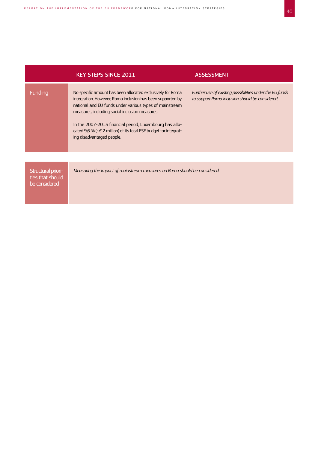|                                                         | <b>KEY STEPS SINCE 2011</b>                                                                                                                                                                                                                                                                                                                                                                       | <b>ASSESSMENT</b>                                                                                           |
|---------------------------------------------------------|---------------------------------------------------------------------------------------------------------------------------------------------------------------------------------------------------------------------------------------------------------------------------------------------------------------------------------------------------------------------------------------------------|-------------------------------------------------------------------------------------------------------------|
| <b>Funding</b>                                          | No specific amount has been allocated exclusively for Roma<br>integration. However, Roma inclusion has been supported by<br>national and EU funds under various types of mainstream<br>measures, including social inclusion measures.<br>In the 2007-2013 financial period, Luxembourg has allo-<br>cated 9,6 % (~€ 2 million) of its total ESF budget for integrat-<br>ing disadvantaged people. | Further use of existing possibilities under the EU funds<br>to support Roma inclusion should be considered. |
|                                                         |                                                                                                                                                                                                                                                                                                                                                                                                   |                                                                                                             |
| Structural priori-<br>ties that should<br>be considered | Measuring the impact of mainstream measures on Roma should be considered.                                                                                                                                                                                                                                                                                                                         |                                                                                                             |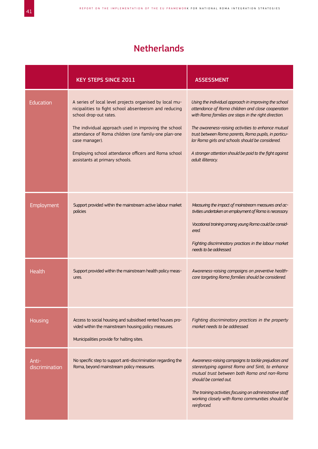## Netherlands

|                         | <b>KEY STEPS SINCE 2011</b>                                                                                                                                                                                                                                                                                                                                            | <b>ASSESSMENT</b>                                                                                                                                                                                                                                                                                                                                                                                                     |
|-------------------------|------------------------------------------------------------------------------------------------------------------------------------------------------------------------------------------------------------------------------------------------------------------------------------------------------------------------------------------------------------------------|-----------------------------------------------------------------------------------------------------------------------------------------------------------------------------------------------------------------------------------------------------------------------------------------------------------------------------------------------------------------------------------------------------------------------|
| <b>Education</b>        | A series of local level projects organised by local mu-<br>nicipalities to fight school absenteeism and reducing<br>school drop-out rates.<br>The individual approach used in improving the school<br>attendance of Roma children (one family-one plan-one<br>case manager).<br>Employing school attendance officers and Roma school<br>assistants at primary schools. | Using the individual approach in improving the school<br>attendance of Roma children and close cooperation<br>with Roma families are steps in the right direction.<br>The awareness-raising activities to enhance mutual<br>trust between Roma parents, Roma pupils, in particu-<br>lar Roma girls and schools should be considered.<br>A stronger attention should be paid to the fight against<br>adult illiteracy. |
| <b>Employment</b>       | Support provided within the mainstream active labour market<br>policies                                                                                                                                                                                                                                                                                                | Measuring the impact of mainstream measures and ac-<br>tivities undertaken on employment of Roma is necessary.<br>Vocational training among young Roma could be consid-<br>ered.<br>Fighting discriminatory practices in the labour market<br>needs to be addressed.                                                                                                                                                  |
| Health                  | Support provided within the mainstream health policy meas-<br>ures.                                                                                                                                                                                                                                                                                                    | Awareness-raising campaigns on preventive health-<br>care targeting Roma families should be considered.                                                                                                                                                                                                                                                                                                               |
| Housing                 | Access to social housing and subsidised rented houses pro-<br>vided within the mainstream housing policy measures.<br>Municipalities provide for halting sites.                                                                                                                                                                                                        | Fighting discriminatory practices in the property<br>market needs to be addressed.                                                                                                                                                                                                                                                                                                                                    |
| Anti-<br>discrimination | No specific step to support anti-discrimination regarding the<br>Roma, beyond mainstream policy measures.                                                                                                                                                                                                                                                              | Awareness-raising campaigns to tackle prejudices and<br>stereotyping against Roma and Sinti, to enhance<br>mutual trust between both Roma and non-Roma<br>should be carried out.<br>The training activities focusing on administrative staff<br>working closely with Roma communities should be<br>reinforced.                                                                                                        |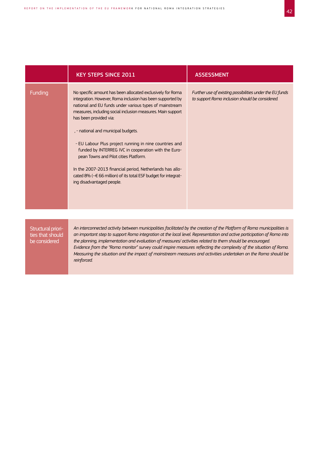|         | <b>KEY STEPS SINCE 2011</b>                                                                                                                                                                                                                                                                                                                                                                                                                                                                                                                                                                                                                             | <b>ASSESSMENT</b>                                                                                           |
|---------|---------------------------------------------------------------------------------------------------------------------------------------------------------------------------------------------------------------------------------------------------------------------------------------------------------------------------------------------------------------------------------------------------------------------------------------------------------------------------------------------------------------------------------------------------------------------------------------------------------------------------------------------------------|-------------------------------------------------------------------------------------------------------------|
| Funding | No specific amount has been allocated exclusively for Roma<br>integration. However, Roma inclusion has been supported by<br>national and EU funds under various types of mainstream<br>measures, including social inclusion measures. Main support<br>has been provided via:<br>, - national and municipal budgets.<br>- EU Labour Plus project running in nine countries and<br>funded by INTERREG IVC in cooperation with the Euro-<br>pean Towns and Pilot cities Platform.<br>In the 2007-2013 financial period, Netherlands has allo-<br>cated 8% ( $\sim \epsilon$ 66 million) of its total ESF budget for integrat-<br>ing disadvantaged people. | Further use of existing possibilities under the EU funds<br>to support Roma inclusion should be considered. |
|         |                                                                                                                                                                                                                                                                                                                                                                                                                                                                                                                                                                                                                                                         |                                                                                                             |

*An interconnected activity between municipalities facilitated by the creation of the Platform of Roma municipalities is an important step to support Roma integration at the local level. Representation and active participation of Roma into the planning, implementation and evaluation of measures/ activities related to them should be encouraged. Evidence from the "Roma monitor" survey could inspire measures reflecting the complexity of the situation of Roma. Measuring the situation and the impact of mainstream measures and activities undertaken on the Roma should be reinforced.*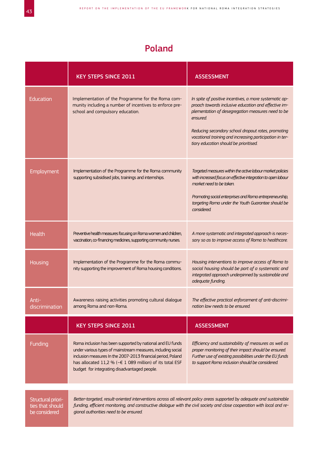## Poland

|                                                         | <b>KEY STEPS SINCE 2011</b>                                                                                                                                                                                                                                                                            | <b>ASSESSMENT</b>                                                                                                                                                                                                                                                                                                                           |
|---------------------------------------------------------|--------------------------------------------------------------------------------------------------------------------------------------------------------------------------------------------------------------------------------------------------------------------------------------------------------|---------------------------------------------------------------------------------------------------------------------------------------------------------------------------------------------------------------------------------------------------------------------------------------------------------------------------------------------|
| Education                                               | Implementation of the Programme for the Roma com-<br>munity including a number of incentives to enforce pre-<br>school and compulsory education.                                                                                                                                                       | In spite of positive incentives, a more systematic ap-<br>proach towards inclusive education and effective im-<br>plementation of desegregation measures need to be<br>ensured.<br>Reducing secondary school dropout rates, promoting<br>vocational training and increasing participation in ter-<br>tiary education should be prioritised. |
| Employment                                              | Implementation of the Programme for the Roma community<br>supporting subsidised jobs, trainings and internships.                                                                                                                                                                                       | Targeted measures within the active labour market policies<br>with increased focus on effective integration to open labour<br>market need to be taken.<br>Promoting social enterprises and Roma entrepreneurship,<br>targeting Roma under the Youth Guarantee should be<br>considered.                                                      |
| Health                                                  | Preventive health measures focusing on Roma women and children,<br>vaccination, co-financing medicines, supporting community nurses.                                                                                                                                                                   | A more systematic and integrated approach is neces-<br>sary so as to improve access of Roma to healthcare.                                                                                                                                                                                                                                  |
| Housing                                                 | Implementation of the Programme for the Roma commu-<br>nity supporting the improvement of Roma housing conditions.                                                                                                                                                                                     | Housing interventions to improve access of Roma to<br>social housing should be part of a systematic and<br>integrated approach underpinned by sustainable and<br>adequate funding.                                                                                                                                                          |
| Anti-<br>discrimination                                 | Awareness raising activities promoting cultural dialogue<br>among Roma and non-Roma.                                                                                                                                                                                                                   | The effective practical enforcement of anti-discrimi-<br>nation law needs to be ensured.                                                                                                                                                                                                                                                    |
|                                                         | <b>KEY STEPS SINCE 2011</b>                                                                                                                                                                                                                                                                            | <b>ASSESSMENT</b>                                                                                                                                                                                                                                                                                                                           |
| Funding                                                 | Roma inclusion has been supported by national and EU funds<br>under various types of mainstream measures, including social<br>inclusion measures In the 2007-2013 financial period, Poland<br>has allocated 11,2 % (~€ 1 089 million) of its total ESF<br>budget for integrating disadvantaged people. | Efficiency and sustainability of measures as well as<br>proper monitoring of their impact should be ensured.<br>Further use of existing possibilities under the EU funds<br>to support Roma inclusion should be considered.                                                                                                                 |
|                                                         |                                                                                                                                                                                                                                                                                                        |                                                                                                                                                                                                                                                                                                                                             |
| Structural priori-<br>ties that should<br>be considered | Better-targeted, result-oriented interventions across all relevant policy areas supported by adequate and sustainable<br>funding, efficient monitoring, and constructive dialogue with the civil society and close cooperation with local and re-<br>gional authorities need to be ensured.            |                                                                                                                                                                                                                                                                                                                                             |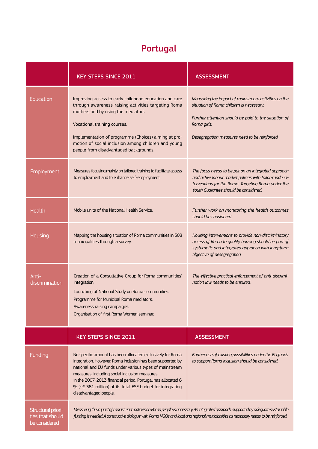# Portugal

|                                                         | <b>KEY STEPS SINCE 2011</b>                                                                                                                                                                                                                                                                                                                                                                 | <b>ASSESSMENT</b>                                                                                                                                                                                                        |
|---------------------------------------------------------|---------------------------------------------------------------------------------------------------------------------------------------------------------------------------------------------------------------------------------------------------------------------------------------------------------------------------------------------------------------------------------------------|--------------------------------------------------------------------------------------------------------------------------------------------------------------------------------------------------------------------------|
| Education                                               | Improving access to early childhood education and care<br>through awareness-raising activities targeting Roma<br>mothers and by using the mediators.<br>Vocational training courses.<br>Implementation of programme (Choices) aiming at pro-<br>motion of social inclusion among children and young<br>people from disadvantaged backgrounds.                                               | Measuring the impact of mainstream activities on the<br>situation of Roma children is necessary.<br>Further attention should be paid to the situation of<br>Roma girls.<br>Desegregation measures need to be reinforced. |
| Employment                                              | Measures focusing mainly on tailored training to facilitate access<br>to employment and to enhance self-employment.                                                                                                                                                                                                                                                                         | The focus needs to be put on an integrated approach<br>and active labour market policies with tailor-made in-<br>terventions for the Roma. Targeting Roma under the<br>Youth Guarantee should be considered.             |
| <b>Health</b>                                           | Mobile units of the National Health Service.                                                                                                                                                                                                                                                                                                                                                | Further work on monitoring the health outcomes<br>should be considered.                                                                                                                                                  |
| <b>Housing</b>                                          | Mapping the housing situation of Roma communities in 308<br>municipalities through a survey.                                                                                                                                                                                                                                                                                                | Housing interventions to provide non-discriminatory<br>access of Roma to quality housing should be part of<br>systematic and integrated approach with long-term<br>objective of desegregation.                           |
| Anti-<br>discrimination                                 | Creation of a Consultative Group for Roma communities'<br>integration.<br>Launching of National Study on Roma communities.<br>Programme for Municipal Roma mediators.<br>Awareness raising campaigns.<br>Organisation of first Roma Women seminar.                                                                                                                                          | The effective practical enforcement of anti-discrimi-<br>nation law needs to be ensured.                                                                                                                                 |
|                                                         | <b>KEY STEPS SINCE 2011</b>                                                                                                                                                                                                                                                                                                                                                                 | <b>ASSESSMENT</b>                                                                                                                                                                                                        |
| Funding                                                 | No specific amount has been allocated exclusively for Roma<br>integration. However, Roma inclusion has been supported by<br>national and EU funds under various types of mainstream<br>measures, including social inclusion measures.<br>In the 2007-2013 financial period, Portugal has allocated 6<br>% (~€ 381 million) of its total ESF budget for integrating<br>disadvantaged people. | Further use of existing possibilities under the EU funds<br>to support Roma inclusion should be considered.                                                                                                              |
| Structural priori-<br>ties that should<br>be considered | Measuring the impact of mainstream policies on Roma people is necessary. An integrated approach, supported by adequate sustainable<br>funding is needed. A constructive dialogue with Roma NGOs and local and regional municipalities as necessary needs to be reinforced.                                                                                                                  |                                                                                                                                                                                                                          |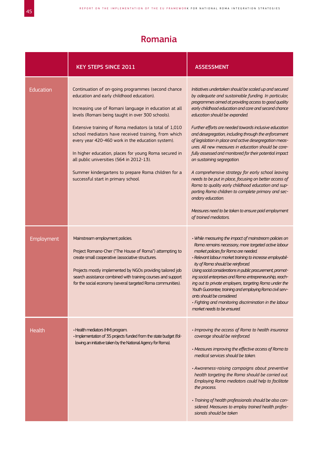#### Romania

|                  | <b>KEY STEPS SINCE 2011</b>                                                                                                                                                                                                                                                                                                                                                                                                                                                                                                                                                             | <b>ASSESSMENT</b>                                                                                                                                                                                                                                                                                                                                                                                                                                                                                                                                                                                                                                                                                                                                                                                                                                                                                                          |
|------------------|-----------------------------------------------------------------------------------------------------------------------------------------------------------------------------------------------------------------------------------------------------------------------------------------------------------------------------------------------------------------------------------------------------------------------------------------------------------------------------------------------------------------------------------------------------------------------------------------|----------------------------------------------------------------------------------------------------------------------------------------------------------------------------------------------------------------------------------------------------------------------------------------------------------------------------------------------------------------------------------------------------------------------------------------------------------------------------------------------------------------------------------------------------------------------------------------------------------------------------------------------------------------------------------------------------------------------------------------------------------------------------------------------------------------------------------------------------------------------------------------------------------------------------|
| <b>Education</b> | Continuation of on-going programmes (second chance<br>education and early childhood education).<br>Increasing use of Romani language in education at all<br>levels (Romani being taught in over 300 schools).<br>Extensive training of Roma mediators (a total of 1,010<br>school mediators have received training, from which<br>every year 420-460 work in the education system).<br>In higher education, places for young Roma secured in<br>all public universities (564 in 2012-13).<br>Summer kindergartens to prepare Roma children for a<br>successful start in primary school. | Initiatives undertaken should be scaled up and secured<br>by adequate and sustainable funding. In particular,<br>programmes aimed at providing access to good quality<br>early childhood education and care and second chance<br>education should be expanded.<br>Further efforts are needed towards inclusive education<br>and desegregation, including through the enforcement<br>of legislation in place and active desegregation meas-<br>ures. All new measures in education should be care-<br>fully assessed and monitored for their potential impact<br>on sustaining segregation.<br>A comprehensive strategy for early school leaving<br>needs to be put in place, focusing on better access of<br>Roma to quality early childhood education and sup-<br>porting Roma children to complete primary and sec-<br>ondary education.<br>Measures need to be taken to ensure paid employment<br>of trained mediators. |
| Employment       | Mainstream employment policies.<br>Project Romano-Cher ("The House of Roma") attempting to<br>create small cooperative /associative structures.<br>Projects mostly implemented by NGOs providing tailored job<br>search assistance combined with training courses and support<br>for the social economy (several targeted Roma communities).                                                                                                                                                                                                                                            | • While measuring the impact of mainstream policies on<br>Roma remains necessary, more targeted active labour<br>market policies for Roma are needed.<br>· Relevant labour market training to increase employabil-<br>ity of Roma should be reinforced.<br>Using social considerations in public procurement, promot-<br>ing social enterprises and Roma entrepreneurship, reach-<br>ing out to private employers, targeting Roma under the<br>Youth Guarantee, training and employing Roma civil serv-<br>ants should be considered.<br>• Fighting and monitoring discrimination in the labour<br>market needs to be ensured.                                                                                                                                                                                                                                                                                             |
| Health           | · Health mediators (HM) program.<br>· Implementation of 35 projects funded from the state budget (fol-<br>lowing an initiative taken by the National Agency for Roma).                                                                                                                                                                                                                                                                                                                                                                                                                  | . Improving the access of Roma to health insurance<br>coverage should be reinforced.<br>• Measures improving the effective access of Roma to<br>medical services should be taken.<br>· Awareness-raising campaigns about preventive<br>health targeting the Roma should be carried out.<br>Employing Roma mediators could help to facilitate<br>the process.<br>· Training of health professionals should be also con-<br>sidered. Measures to employ trained health profes-<br>sionals should be taken                                                                                                                                                                                                                                                                                                                                                                                                                    |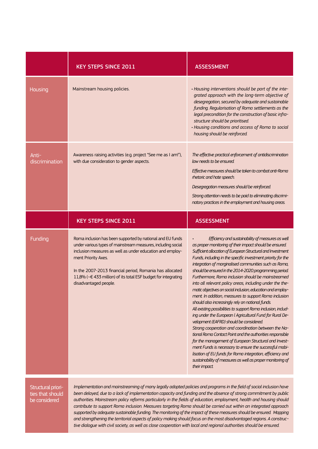|                                                         | <b>KEY STEPS SINCE 2011</b>                                                                                                                                                                                                                                                                                                                                                                                                                                                             | <b>ASSESSMENT</b>                                                                                                                                                                                                                                                                                                                                                                                                                                                                                                                                                                                                                                                                                                                                                                                                                                                                                                                                                                                                                                                                                                                                                                                                       |
|---------------------------------------------------------|-----------------------------------------------------------------------------------------------------------------------------------------------------------------------------------------------------------------------------------------------------------------------------------------------------------------------------------------------------------------------------------------------------------------------------------------------------------------------------------------|-------------------------------------------------------------------------------------------------------------------------------------------------------------------------------------------------------------------------------------------------------------------------------------------------------------------------------------------------------------------------------------------------------------------------------------------------------------------------------------------------------------------------------------------------------------------------------------------------------------------------------------------------------------------------------------------------------------------------------------------------------------------------------------------------------------------------------------------------------------------------------------------------------------------------------------------------------------------------------------------------------------------------------------------------------------------------------------------------------------------------------------------------------------------------------------------------------------------------|
| Housing                                                 | Mainstream housing policies.                                                                                                                                                                                                                                                                                                                                                                                                                                                            | • Housing interventions should be part of the inte-<br>grated approach with the long-term objective of<br>desegregation, secured by adequate and sustainable<br>funding. Regularisation of Roma settlements as the<br>legal precondition for the construction of basic infra-<br>structure should be prioritised.<br>· Housing conditions and access of Roma to social<br>housing should be reinforced.                                                                                                                                                                                                                                                                                                                                                                                                                                                                                                                                                                                                                                                                                                                                                                                                                 |
| Anti-<br>discrimination                                 | Awareness raising activities (e.g. project "See me as I am!"),<br>with due consideration to gender aspects.                                                                                                                                                                                                                                                                                                                                                                             | The effective practical enforcement of antidiscrimination<br>law needs to be ensured<br>Effective measures should be taken to combat anti-Roma<br>rhetoric and hate speech.<br>Desegregation measures should be reinforced.<br>Strong attention needs to be paid to eliminating discrimi-<br>natory practices in the employment and housing areas.                                                                                                                                                                                                                                                                                                                                                                                                                                                                                                                                                                                                                                                                                                                                                                                                                                                                      |
|                                                         | <b>KEY STEPS SINCE 2011</b>                                                                                                                                                                                                                                                                                                                                                                                                                                                             | <b>ASSESSMENT</b>                                                                                                                                                                                                                                                                                                                                                                                                                                                                                                                                                                                                                                                                                                                                                                                                                                                                                                                                                                                                                                                                                                                                                                                                       |
| Funding                                                 | Roma inclusion has been supported by national and EU funds<br>under various types of mainstream measures, including social<br>inclusion measures as well as under education and employ-<br>ment Priority Axes.<br>In the 2007-2013 financial period, Romania has allocated<br>11,8% (~€ 433 million) of its total ESF budget for integrating<br>disadvantaged people.                                                                                                                   | Efficiency and sustainability of measures as well<br>as proper monitoring of their impact should be ensured.<br>Sufficient allocation of European Structural and Investment<br>Funds, including in the specific investment priority for the<br>integration of marginalised communities such as Roma,<br>should be ensured in the 2014-2020 programming period.<br>Furthermore, Roma inclusion should be mainstreamed<br>into all relevant policy areas, including under the the-<br>matic objectives on social inclusion, education and employ-<br>ment. In addition, measures to support Roma inclusion<br>should also increasingly rely on national funds.<br>All existing possibilities to support Roma inclusion, includ-<br>ing under the European I Agricultural Fund for Rural De-<br>velopment (EAFRD) should be considered.<br>Strong cooperation and coordination between the Na-<br>tional Roma Contact Point and the authorities responsible<br>for the management of European Structural and Invest-<br>ment Funds is necessary to ensure the successful mobi-<br>lisation of EU funds for Roma integration, efficiency and<br>sustainability of measures as well as proper monitoring of<br>their impact. |
| Structural priori-<br>ties that should<br>be considered | Implementation and mainstreaming of many legally adopted policies and programs in the field of social inclusion have<br>been delayed, due to a lack of implementation capacity and funding and the absence of strong commitment by public<br>authorities. Mainstream policy reforms particularly in the fields of education, employment, health and housing should<br>contribute to sunnort Roma inclusion. Measures targeting Roma should be carried out within an integrated annroach |                                                                                                                                                                                                                                                                                                                                                                                                                                                                                                                                                                                                                                                                                                                                                                                                                                                                                                                                                                                                                                                                                                                                                                                                                         |

*contribute to support Roma inclusion. Measures targeting Roma should be carried out within an integrated approach supported by adequate sustainable funding. The monitoring of the impact of these measures should be ensured. Mapping and strengthening the territorial aspects of policy making should focus on the most disadvantaged regions. A constructive dialogue with civil society, as well as close cooperation with local and regional authorities should be ensured.*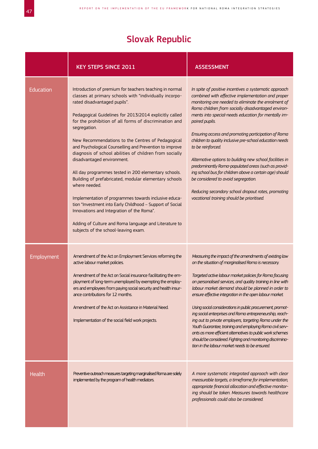# Slovak Republic

|            | <b>KEY STEPS SINCE 2011</b>                                                                                                                                                                                                                                                                                                                                                                                                                                                                                                                                                                                                                                                                                                                                                                                                                                                                          | <b>ASSESSMENT</b>                                                                                                                                                                                                                                                                                                                                                                                                                                                                                                                                                                                                                                                                                                                                                                      |
|------------|------------------------------------------------------------------------------------------------------------------------------------------------------------------------------------------------------------------------------------------------------------------------------------------------------------------------------------------------------------------------------------------------------------------------------------------------------------------------------------------------------------------------------------------------------------------------------------------------------------------------------------------------------------------------------------------------------------------------------------------------------------------------------------------------------------------------------------------------------------------------------------------------------|----------------------------------------------------------------------------------------------------------------------------------------------------------------------------------------------------------------------------------------------------------------------------------------------------------------------------------------------------------------------------------------------------------------------------------------------------------------------------------------------------------------------------------------------------------------------------------------------------------------------------------------------------------------------------------------------------------------------------------------------------------------------------------------|
| Education  | Introduction of premium for teachers teaching in normal<br>classes at primary schools with "individually incorpo-<br>rated disadvantaged pupils".<br>Pedagogical Guidelines for 2013/2014 explicitly called<br>for the prohibition of all forms of discrimination and<br>segregation.<br>New Recommendations to the Centres of Pedagogical<br>and Psychological Counselling and Prevention to improve<br>diagnosis of school abilities of children from socially<br>disadvantaged environment.<br>All day programmes tested in 200 elementary schools.<br>Building of prefabricated, modular elementary schools<br>where needed.<br>Implementation of programmes towards inclusive educa-<br>tion "Investment into Early Childhood - Support of Social<br>Innovations and Integration of the Roma".<br>Adding of Culture and Roma language and Literature to<br>subjects of the school-leaving exam. | In spite of positive incentives a systematic approach<br>combined with effective implementation and proper<br>monitoring are needed to eliminate the enrolment of<br>Roma children from socially disadvantaged environ-<br>ments into special-needs education for mentally im-<br>paired pupils.<br>Ensuring access and promoting participation of Roma<br>children to quality inclusive pre-school education needs<br>to be reinforced.<br>Alternative options to building new school facilities in<br>predominantly Roma-populated areas (such as provid-<br>ing school bus for children above a certain age) should<br>be considered to avoid segregation.<br>Reducing secondary school dropout rates, promoting<br>vocational training should be prioritised.                      |
| Employment | Amendment of the Act on Employment Services reforming the<br>active labour market policies.<br>Amendment of the Act on Social insurance facilitating the em-<br>ployment of long-term unemployed by exempting the employ-<br>ers and employees from paying social security and health insur-<br>ance contributions for 12 months.<br>Amendment of the Act on Assistance in Material Need.<br>Implementation of the social field work projects.                                                                                                                                                                                                                                                                                                                                                                                                                                                       | Measuring the impact of the amendments of existing law<br>on the situation of marginalised Roma is necessary.<br>Targeted active labour market policies for Roma focusing<br>on personalised services, and quality training in line with<br>labour market demand should be planned in order to<br>ensure effective integration in the open labour market.<br>Using social considerations in public procurement, promot-<br>ing social enterprises and Roma entrepreneurship, reach-<br>ing out to private employers, targeting Roma under the<br>Youth Guarantee, training and employing Roma civil serv-<br>ants as more efficient alternatives to public work schemes<br>should be considered. Fighting and monitoring discrimina-<br>tion in the labour market needs to be ensured. |
| Health     | Preventive outreach measures targeting marginalised Roma are solely<br>implemented by the program of health mediators.                                                                                                                                                                                                                                                                                                                                                                                                                                                                                                                                                                                                                                                                                                                                                                               | A more systematic integrated approach with clear<br>measurable targets, a timeframe for implementation,<br>appropriate financial allocation and effective monitor-<br>ing should be taken. Measures towards healthcare<br>professionals could also be considered.                                                                                                                                                                                                                                                                                                                                                                                                                                                                                                                      |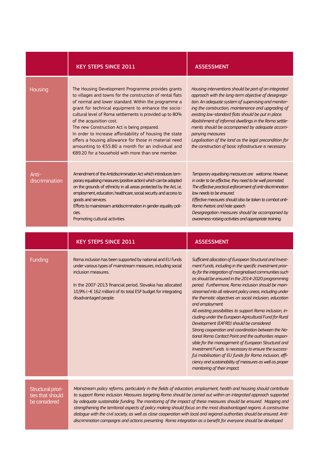|                         | <b>KEY STEPS SINCE 2011</b>                                                                                                                                                                                                                                                                                                                                                                                                                                                                                                                                                                         | <b>ASSESSMENT</b>                                                                                                                                                                                                                                                                                                                                                                                                                                                                                                                                                                                                                                                                                                                                                                                                                                                                                                                                                                           |
|-------------------------|-----------------------------------------------------------------------------------------------------------------------------------------------------------------------------------------------------------------------------------------------------------------------------------------------------------------------------------------------------------------------------------------------------------------------------------------------------------------------------------------------------------------------------------------------------------------------------------------------------|---------------------------------------------------------------------------------------------------------------------------------------------------------------------------------------------------------------------------------------------------------------------------------------------------------------------------------------------------------------------------------------------------------------------------------------------------------------------------------------------------------------------------------------------------------------------------------------------------------------------------------------------------------------------------------------------------------------------------------------------------------------------------------------------------------------------------------------------------------------------------------------------------------------------------------------------------------------------------------------------|
| Housing                 | The Housing Development Programme provides grants<br>to villages and towns for the construction of rental flats<br>of normal and lower standard. Within the programme a<br>grant for technical equipment to enhance the socio-<br>cultural level of Roma settlements is provided up to 80%<br>of the acquisition cost.<br>The new Construction Act is being prepared.<br>In order to increase affordability of housing the state<br>offers a housing allowance for those in material need<br>amounting to €55.80 a month for an individual and<br>€89.20 for a household with more than one member. | Housing interventions should be part of an integrated<br>approach with the long-term objective of desegrega-<br>tion. An adequate system of supervising and monitor-<br>ing the construction, maintenance and upgrading of<br>existing low-standard flats should be put in place.<br>Abolishment of informal dwellings in the Roma settle-<br>ments should be accompanied by adequate accom-<br>panying measures<br>Legalisation of the land as the legal precondition for<br>the construction of basic infrastructure is necessary.                                                                                                                                                                                                                                                                                                                                                                                                                                                        |
| Anti-<br>discrimination | Amendment of the Antidiscrimination Act which introduces tem-<br>porary equalising measures (positive action) which can be adopted<br>on the grounds of ethnicity in all areas protected by the Act, i.e.<br>employment, education, healthcare, social security and access to<br>goods and services.<br>Efforts to mainstream antidiscrimination in gender equality poli-<br>cies.<br>Promoting cultural activities.                                                                                                                                                                                | Temporary equalising measures are welcome. However,<br>in order to be effective, they need to be well promoted.<br>The effective practical enforcement of anti-discrimination<br>law needs to be ensured.<br>Effective measures should also be taken to combat anti-<br>Roma rhetoric and hate speech.<br>Desegregation measures should be accompanied by<br>awareness-raising activities and appropriate training.                                                                                                                                                                                                                                                                                                                                                                                                                                                                                                                                                                         |
|                         |                                                                                                                                                                                                                                                                                                                                                                                                                                                                                                                                                                                                     |                                                                                                                                                                                                                                                                                                                                                                                                                                                                                                                                                                                                                                                                                                                                                                                                                                                                                                                                                                                             |
|                         | <b>KEY STEPS SINCE 2011</b>                                                                                                                                                                                                                                                                                                                                                                                                                                                                                                                                                                         | <b>ASSESSMENT</b>                                                                                                                                                                                                                                                                                                                                                                                                                                                                                                                                                                                                                                                                                                                                                                                                                                                                                                                                                                           |
| <b>Funding</b>          | Roma inclusion has been supported by national and EU funds<br>under various types of mainstream measures, including social<br>inclusion measures.<br>In the 2007-2013 financial period, Slovakia has allocated<br>10,9% (~€ 162 million) of its total ESF budget for integrating<br>disadvantaged people.                                                                                                                                                                                                                                                                                           | Sufficient allocation of European Structural and Invest-<br>ment Funds, including in the specific investment prior-<br>ity for the integration of marginalised communities such<br>as should be ensured in the 2014-2020 programming<br>period. Furthermore, Roma inclusion should be main-<br>streamed into all relevant policy areas, including under<br>the thematic objectives on social inclusion, education<br>and employment.<br>All existing possibilities to support Roma inclusion, in-<br>cluding under the European Agricultural Fund for Rural<br>Development (EAFRD) should be considered.<br>Strong cooperation and coordination between the Na-<br>tional Roma Contact Point and the authorities respon-<br>sible for the management of European Structural and<br>Investment Funds is necessary to ensure the success-<br>ful mobilisation of EU funds for Roma inclusion, effi-<br>ciency and sustainability of measures as well as proper<br>monitoring of their impact. |
| Structural priori-      | Mainstream policy reforms, particularly in the fields of education, employment, health and housing should contribute<br>to cunnort Poma inclusion. Mogsures targeting Poma should be carried out within an integrated annroach sunnerted                                                                                                                                                                                                                                                                                                                                                            |                                                                                                                                                                                                                                                                                                                                                                                                                                                                                                                                                                                                                                                                                                                                                                                                                                                                                                                                                                                             |

ties that should be considered

rt Roma inclusion. Measures targeting Roma should be carried out within an integrated appro *by adequate sustainable funding. The monitoring of the impact of these measures should be ensured. Mapping and strengthening the territorial aspects of policy making should focus on the most disadvantaged regions. A constructive dialogue with the civil society, as well as close cooperation with local and regional authorities should be ensured. Antidiscrimination campaigns and actions presenting Roma integration as a benefit for everyone should be developed*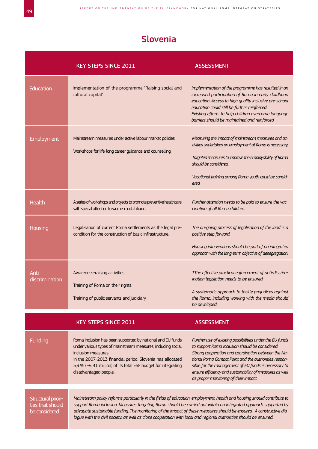#### Slovenia

|                                                         | <b>KEY STEPS SINCE 2011</b>                                                                                                                                                                                                                                                                                                                                                                                                                                                            | <b>ASSESSMENT</b>                                                                                                                                                                                                                                                                                                                                                                        |
|---------------------------------------------------------|----------------------------------------------------------------------------------------------------------------------------------------------------------------------------------------------------------------------------------------------------------------------------------------------------------------------------------------------------------------------------------------------------------------------------------------------------------------------------------------|------------------------------------------------------------------------------------------------------------------------------------------------------------------------------------------------------------------------------------------------------------------------------------------------------------------------------------------------------------------------------------------|
| <b>Education</b>                                        | Implementation of the programme "Raising social and<br>cultural capital".                                                                                                                                                                                                                                                                                                                                                                                                              | Implementation of the programme has resulted in an<br>increased participation of Roma in early childhood<br>education. Access to high quality inclusive pre-school<br>education could still be further reinforced.<br>Existing efforts to help children overcome language<br>barriers should be maintained and reinforced.                                                               |
| Employment                                              | Mainstream measures under active labour market policies.<br>Workshops for life-long career guidance and counselling.                                                                                                                                                                                                                                                                                                                                                                   | Measuring the impact of mainstream measures and ac-<br>tivities undertaken on employment of Roma is necessary.<br>Targeted measures to improve the employability of Roma<br>should be considered.<br>Vocational training among Roma youth could be consid-<br>ered.                                                                                                                      |
| <b>Health</b>                                           | A series of workshops and projects to promote preventive healthcare<br>with special attention to women and children.                                                                                                                                                                                                                                                                                                                                                                   | Further attention needs to be paid to ensure the vac-<br>cination of all Roma children.                                                                                                                                                                                                                                                                                                  |
| Housing                                                 | Legalisation of current Roma settlements as the legal pre-<br>condition for the construction of basic infrastructure.                                                                                                                                                                                                                                                                                                                                                                  | The on-going process of legalisation of the land is a<br>positive step forward.<br>Housing interventions should be part of an integrated<br>approach with the long-term objective of desegregation.                                                                                                                                                                                      |
| Anti-<br>discrimination                                 | Awareness-raising activities.<br>Training of Roma on their rights.<br>Training of public servants and judiciary.                                                                                                                                                                                                                                                                                                                                                                       | TThe effective practical enforcement of anti-discrim-<br>ination legislation needs to be ensured.<br>A systematic approach to tackle prejudices against<br>the Roma, including working with the media should<br>be developed.                                                                                                                                                            |
|                                                         | <b>KEY STEPS SINCE 2011</b>                                                                                                                                                                                                                                                                                                                                                                                                                                                            | <b>ASSESSMENT</b>                                                                                                                                                                                                                                                                                                                                                                        |
| <b>Funding</b>                                          | Roma inclusion has been supported by national and EU funds<br>under various types of mainstream measures, including social<br>inclusion measures.<br>In the 2007-2013 financial period, Slovenia has allocated<br>5,9 % (~€ 41 million) of its total ESF budget for integrating<br>disadvantaged people.                                                                                                                                                                               | Further use of existing possibilities under the EU funds<br>to support Roma inclusion should be considered.<br>Strong cooperation and coordination between the Na-<br>tional Roma Contact Point and the authorities respon-<br>sible for the management of EU funds is necessary to<br>ensure efficiency and sustainability of measures as well<br>as proper monitoring of their impact. |
| Structural priori-<br>ties that should<br>be considered | Mainstream policy reforms particularly in the fields of education, employment, health and housing should contribute to<br>support Roma inclusion. Measures targeting Roma should be carried out within an integrated approach supported by<br>adequate sustainable funding. The monitoring of the impact of these measures should be ensured. A constructive dia-<br>logue with the civil society, as well as close cooperation with local and regional authorities should be ensured. |                                                                                                                                                                                                                                                                                                                                                                                          |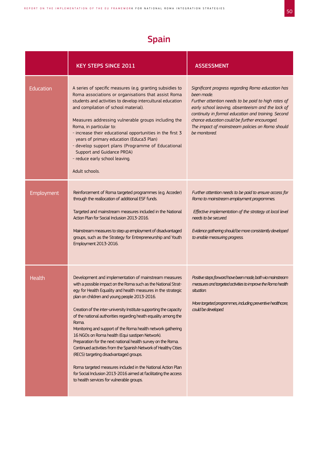## Spain

|            | <b>KEY STEPS SINCE 2011</b>                                                                                                                                                                                                                                                                                                                                                                                                                                                                                                                                                                                                                                                                                                                                                                                                                                            | <b>ASSESSMENT</b>                                                                                                                                                                                                                                                                                                                                        |
|------------|------------------------------------------------------------------------------------------------------------------------------------------------------------------------------------------------------------------------------------------------------------------------------------------------------------------------------------------------------------------------------------------------------------------------------------------------------------------------------------------------------------------------------------------------------------------------------------------------------------------------------------------------------------------------------------------------------------------------------------------------------------------------------------------------------------------------------------------------------------------------|----------------------------------------------------------------------------------------------------------------------------------------------------------------------------------------------------------------------------------------------------------------------------------------------------------------------------------------------------------|
| Education  | A series of specific measures (e.g. granting subsidies to<br>Roma associations or organisations that assist Roma<br>students and activities to develop intercultural education<br>and compilation of school material).<br>Measures addressing vulnerable groups including the<br>Roma, in particular to:<br>- increase their educational opportunities in the first 3<br>years of primary education (Educa3 Plan)<br>- develop support plans (Programme of Educational<br>Support and Guidance PROA)<br>- reduce early school leaving.<br>Adult schools.                                                                                                                                                                                                                                                                                                               | Significant progress regarding Roma education has<br>been made.<br>Further attention needs to be paid to high rates of<br>early school leaving, absenteeism and the lack of<br>continuity in formal education and training. Second<br>chance education could be further encouraged.<br>The impact of mainstream policies on Roma should<br>be monitored. |
| Employment | Reinforcement of Roma targeted programmes (e.g. Acceder)<br>through the reallocation of additional ESF funds.<br>Targeted and mainstream measures included in the National<br>Action Plan for Social Inclusion 2013-2016.<br>Mainstream measures to step up employment of disadvantaged<br>groups, such as the Strategy for Entrepreneurship and Youth<br>Employment 2013-2016.                                                                                                                                                                                                                                                                                                                                                                                                                                                                                        | Further attention needs to be paid to ensure access for<br>Roma to mainstream employment programmes.<br>Effective implementation of the strategy at local level<br>needs to be secured.<br>Evidence gathering should be more consistently developed<br>to enable measuring progress.                                                                     |
| Health     | Development and implementation of mainstream measures<br>with a possible impact on the Roma such as the National Strat-<br>egy for Health Equality and health measures in the strategic<br>plan on children and young people 2013-2016.<br>Creation of the inter-university Institute supporting the capacity<br>of the national authorities regarding heath equality among the<br>Roma.<br>Monitoring and support of the Roma health network gathering<br>16 NGOs on Roma health (Equi sastipen Network).<br>Preparation for the next national health survey on the Roma.<br>Continued activities from the Spanish Network of Healthy Cities<br>(RECS) targeting disadvantaged groups.<br>Roma targeted measures included in the National Action Plan<br>for Social Inclusion 2013-2016 aimed at facilitating the access<br>to health services for vulnerable groups. | Positive steps forward have been made, both via mainstream<br>measures and targeted activities to improve the Roma health<br>situation.<br>More targeted programmes, induding preventive healthcare,<br>could be developed.                                                                                                                              |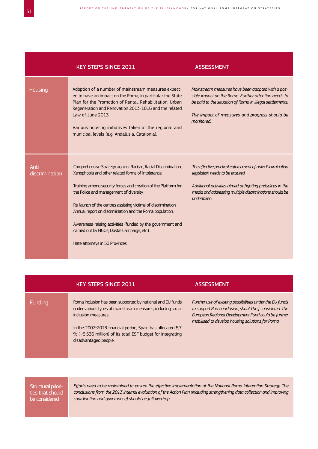|                         | <b>KEY STEPS SINCE 2011</b>                                                                                                                                                                                                                                                                                                                                                                                                                                                                                    | <b>ASSESSMENT</b>                                                                                                                                                                                                                    |
|-------------------------|----------------------------------------------------------------------------------------------------------------------------------------------------------------------------------------------------------------------------------------------------------------------------------------------------------------------------------------------------------------------------------------------------------------------------------------------------------------------------------------------------------------|--------------------------------------------------------------------------------------------------------------------------------------------------------------------------------------------------------------------------------------|
| Housing                 | Adoption of a number of mainstream measures expect-<br>ed to have an impact on the Roma, in particular the State<br>Plan for the Promotion of Rental, Rehabilitation, Urban<br>Regeneration and Renovation 2013-1016 and the related<br>Law of June 2013.<br>Various housing initiatives taken at the regional and<br>municipal levels (e.g. Andalusia, Catalonia).                                                                                                                                            | Mainstream measures have been adopted with a pos-<br>sible impact on the Roma. Further attention needs to<br>be paid to the situation of Roma in illegal settlements.<br>The impact of measures and progress should be<br>monitored  |
| Anti-<br>discrimination | Comprehensive Strategy against Racism, Racial Discrimination,<br>Xenophobia and other related forms of Intolerance.<br>Training among security forces and creation of the Platform for<br>the Police and management of diversity.<br>Re-launch of the centres assisting victims of discrimination.<br>Annual report on discrimination and the Roma population.<br>Awareness-raising activities (funded by the government and<br>carried out by NGOs; Dosta! Campaign; etc.).<br>Hate attomeys in 50 Provinces. | The effective practical enforcement of anti-discrimination<br>legislation needs to be ensured.<br>Additional activities aimed at fighting prejudices in the<br>media and addressing multiple discriminations should be<br>undertaken |

|         | <b>KEY STEPS SINCE 2011</b>                                                                                                                                                                                                                                                                                          | <b>ASSESSMENT</b>                                                                                                                                                                                                             |
|---------|----------------------------------------------------------------------------------------------------------------------------------------------------------------------------------------------------------------------------------------------------------------------------------------------------------------------|-------------------------------------------------------------------------------------------------------------------------------------------------------------------------------------------------------------------------------|
| Funding | Roma inclusion has been supported by national and EU funds<br>under various types of mainstream measures, including social<br>inclusion measures.<br>In the 2007-2013 financial period, Spain has allocated 6,7<br>% ( $\sim \epsilon$ 536 million) of its total ESF budget for integrating<br>disadvantaged people. | Further use of existing possibilities under the EU funds<br>to support Roma inclusion, should be f considered. The<br>European Regional Development Fund could be further<br>mobilised to develop housing solutions for Roma. |

Structural priorities that should be considered

*Efforts need to be maintained to ensure the effective implementation of the National Roma Integration Strategy. The conclusions from the 2013 internal evaluation of the Action Plan (including strengthening data collection and improving coordination and governance) should be followed-up.*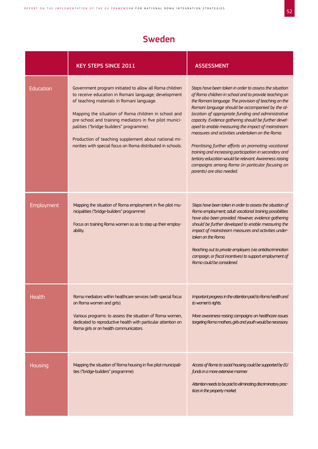## Sweden

|            | <b>KEY STEPS SINCE 2011</b>                                                                                                                                                                                                                                                                                                                                                                                                                       | <b>ASSESSMENT</b>                                                                                                                                                                                                                                                                                                                                                                                                                                                                                                                                                                                                                                                                                                |
|------------|---------------------------------------------------------------------------------------------------------------------------------------------------------------------------------------------------------------------------------------------------------------------------------------------------------------------------------------------------------------------------------------------------------------------------------------------------|------------------------------------------------------------------------------------------------------------------------------------------------------------------------------------------------------------------------------------------------------------------------------------------------------------------------------------------------------------------------------------------------------------------------------------------------------------------------------------------------------------------------------------------------------------------------------------------------------------------------------------------------------------------------------------------------------------------|
| Education  | Government program initiated to allow all Roma children<br>to receive education in Romani language; development<br>of teaching materials in Romani language.<br>Mapping the situation of Roma children in school and<br>pre-school and training mediators in five pilot munici-<br>palities ("bridge-builders" programme).<br>Production of teaching supplement about national mi-<br>norities with special focus on Roma distributed in schools. | Steps have been taken in order to assess the situation<br>of Roma children in school and to provide teaching on<br>the Romani language. The provision of teaching on the<br>Romani language should be accompanied by the al-<br>location of appropriate funding and administrative<br>capacity. Evidence gathering should be further devel-<br>oped to enable measuring the impact of mainstream<br>measures and activities undertaken on the Roma.<br>Prioritising further efforts on promoting vocational<br>training and increasing participation in secondary and<br>tertiary education would be relevant. Awareness raising<br>campaigns among Roma (in particular focusing on<br>parents) are also needed. |
| Employment | Mapping the situation of Roma employment in five pilot mu-<br>nicipalities ("bridge-builders" programme)<br>Focus on training Roma women so as to step up their employ-<br>ability.                                                                                                                                                                                                                                                               | Steps have been taken in order to assess the situation of<br>Roma employment; adult vocational training possibilities<br>have also been provided. However, evidence gathering<br>should be further developed to enable measuring the<br>impact of mainstream measures and activities under-<br>taken on the Roma.<br>Reaching out to private employers (via antidiscrimination<br>campaign, or fiscal incentives) to support employment of<br>Roma could be considered.                                                                                                                                                                                                                                          |
| Health     | Roma mediators within healthcare services (with special focus<br>on Roma women and girls).<br>Various programs: to assess the situation of Roma women,<br>dedicated to reproductive health with particular attention on<br>Roma girls or on health communicators.                                                                                                                                                                                 | Important progress in the attention paid to Roma health and<br>to women's rights.<br>More awareness-raising campaigns on healthcare issues<br>targeting Roma mothers, girls and youth would be necessary.                                                                                                                                                                                                                                                                                                                                                                                                                                                                                                        |
| Housing    | Mapping the situation of Roma housing in five pilot municipali-<br>ties ("bridge-builders" programme).                                                                                                                                                                                                                                                                                                                                            | Access of Roma to social housing could be supported by EU<br>funds in a more extensive manner.<br>Attention needs to be paid to eliminating discriminatory prac-<br>tices in the property market.                                                                                                                                                                                                                                                                                                                                                                                                                                                                                                                |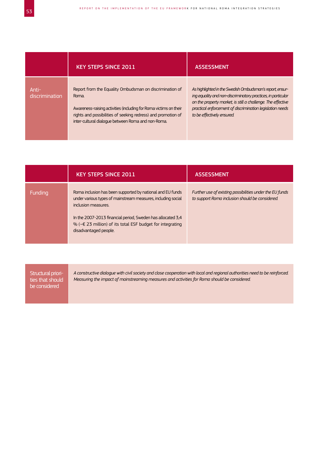|                         | <b>KEY STEPS SINCE 2011</b>                                                                                                                                                                                                                                  | <b>ASSESSMENT</b>                                                                                                                                                                                                                                                                  |
|-------------------------|--------------------------------------------------------------------------------------------------------------------------------------------------------------------------------------------------------------------------------------------------------------|------------------------------------------------------------------------------------------------------------------------------------------------------------------------------------------------------------------------------------------------------------------------------------|
| Anti-<br>discrimination | Report from the Equality Ombudsman on discrimination of<br>Roma.<br>Awareness-raising activities (including for Roma victims on their<br>rights and possibilities of seeking redress) and promotion of<br>inter-cultural dialogue between Roma and non-Roma. | As highlighted in the Swedish Ombudsman's report, ensur-<br>ing equality and non-discriminatory practices, in particular<br>on the property market, is still a challenge. The effective<br>practical enforcement of discrimination legislation needs<br>to be effectively ensured. |

|         | <b>KEY STEPS SINCE 2011</b>                                                                                                                                                                                                                                                                                      | <b>ASSESSMENT</b>                                                                                           |
|---------|------------------------------------------------------------------------------------------------------------------------------------------------------------------------------------------------------------------------------------------------------------------------------------------------------------------|-------------------------------------------------------------------------------------------------------------|
| Funding | Roma inclusion has been supported by national and EU funds<br>under various types of mainstream measures, including social<br>inclusion measures.<br>In the 2007-2013 financial period, Sweden has allocated 3,4<br>% ( $\textless$ 23 million) of its total ESF budget for integrating<br>disadvantaged people. | Further use of existing possibilities under the EU funds<br>to support Roma inclusion should be considered. |

| Structural priori-<br>ties that should<br>be considered | A constructive dialogue with civil society and close cooperation with local and regional authorities need to be reinforced.<br>Measuring the impact of mainstreaming measures and activities for Roma should be considered. |
|---------------------------------------------------------|-----------------------------------------------------------------------------------------------------------------------------------------------------------------------------------------------------------------------------|
|                                                         |                                                                                                                                                                                                                             |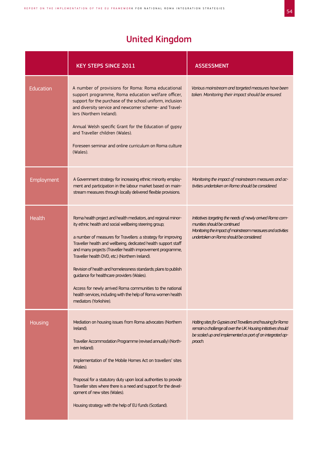## United Kingdom

|               | <b>KEY STEPS SINCE 2011</b>                                                                                                                                                                                                                                                                                                                                                                                                                                                                                                                                                                                                                          | <b>ASSESSMENT</b>                                                                                                                                                                                      |
|---------------|------------------------------------------------------------------------------------------------------------------------------------------------------------------------------------------------------------------------------------------------------------------------------------------------------------------------------------------------------------------------------------------------------------------------------------------------------------------------------------------------------------------------------------------------------------------------------------------------------------------------------------------------------|--------------------------------------------------------------------------------------------------------------------------------------------------------------------------------------------------------|
| Education     | A number of provisions for Roma: Roma educational<br>support programme, Roma education welfare officer,<br>support for the purchase of the school uniform, inclusion<br>and diversity service and newcomer scheme- and Travel-<br>lers (Northern Ireland).<br>Annual Welsh specific Grant for the Education of gypsy<br>and Traveller children (Wales).<br>Foreseen seminar and online curriculum on Roma culture<br>(Wales).                                                                                                                                                                                                                        | Various mainstream and targeted measures have been<br>taken. Monitoring their impact should be ensured.                                                                                                |
| Employment    | A Government strategy for increasing ethnic minority employ-<br>ment and participation in the labour market based on main-<br>stream measures through locally delivered flexible provisions.                                                                                                                                                                                                                                                                                                                                                                                                                                                         | Monitoring the impact of mainstream measures and ac-<br>tivities undertaken on Roma should be considered.                                                                                              |
| <b>Health</b> | Roma health project and health mediators, and regional minor-<br>ity ethnic health and social wellbeing steering group;<br>a number of measures for Travellers: a strategy for improving<br>Traveller health and wellbeing, dedicated health support staff<br>and many projects (Traveller health improvement programme,<br>Traveller health DVD, etc.) (Northern Ireland).<br>Revision of health and homelessness standards; plans to publish<br>guidance for healthcare providers (Wales).<br>Access for newly arrived Roma communities to the national<br>health services, including with the help of Roma women health<br>mediators (Yorkshire). | Initiatives targeting the needs of newly arrived Roma com-<br>munities should be continued.<br>Monitoring the impact of mainstream measures and activities<br>undertaken on Roma should be considered. |
| Housing       | Mediation on housing issues from Roma advocates (Northern<br>Ireland).<br>Traveller Accommodation Programme (revised annually) (North-<br>em Ireland).<br>Implementation of the Mobile Homes Act on travellers' sites<br>(Wales).<br>Proposal for a statutory duty upon local authorities to provide<br>Traveller sites where there is a need and support for the devel-<br>opment of new sites (Wales).<br>Housing strategy with the help of EU funds (Scotland).                                                                                                                                                                                   | Halting sites for Gypsies and Travellers and housing for Roma<br>remain a challenge all over the UK Housing initiatives should<br>be scaled up and implemented as part of an integrated ap-<br>proach. |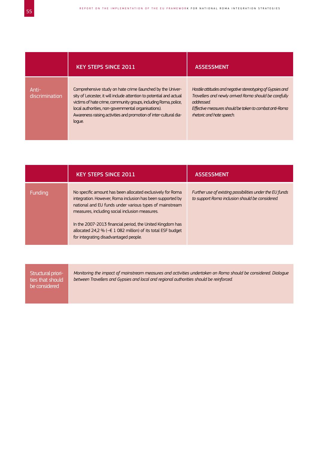|                         | <b>KEY STEPS SINCE 2011</b>                                                                                                                                                                                                                                                                                                                  | <b>ASSESSMENT</b>                                                                                                                                                                                                        |
|-------------------------|----------------------------------------------------------------------------------------------------------------------------------------------------------------------------------------------------------------------------------------------------------------------------------------------------------------------------------------------|--------------------------------------------------------------------------------------------------------------------------------------------------------------------------------------------------------------------------|
| Anti-<br>discrimination | Comprehensive study on hate crime (launched by the Univer-<br>sity of Leicester, it will include attention to potential and actual<br>victims of hate crime, community groups, including Roma, police,<br>local authorities, non-governmental organisations).<br>Awareness raising activities and promotion of inter-cultural dia-<br>loque. | Hostile attitudes and negative stereotyping of Gypsies and<br>Travellers and newly arrived Roma should be carefully<br>addressed.<br>Effective measures should be taken to combat anti-Roma<br>thetoric and hate speech. |

|         | <b>KEY STEPS SINCE 2011</b>                                                                                                                                                                                                                                                                                                                                                                                              | <b>ASSESSMENT</b>                                                                                           |
|---------|--------------------------------------------------------------------------------------------------------------------------------------------------------------------------------------------------------------------------------------------------------------------------------------------------------------------------------------------------------------------------------------------------------------------------|-------------------------------------------------------------------------------------------------------------|
| Funding | No specific amount has been allocated exclusively for Roma<br>integration. However, Roma inclusion has been supported by<br>national and EU funds under various types of mainstream<br>measures, including social inclusion measures.<br>In the 2007-2013 financial period, the United Kingdom has<br>allocated 24,2 % ( $\sim \epsilon$ 1 082 million) of its total ESF budget<br>for integrating disadvantaged people. | Further use of existing possibilities under the EU funds<br>to support Roma inclusion should be considered. |

| Structural priori-<br>ties that should<br>be considered | Monitoring the impact of mainstream measures and activities undertaken on Roma should be considered. Dialogue<br>between Travellers and Gypsies and local and regional authorities should be reinforced. |
|---------------------------------------------------------|----------------------------------------------------------------------------------------------------------------------------------------------------------------------------------------------------------|
|                                                         |                                                                                                                                                                                                          |